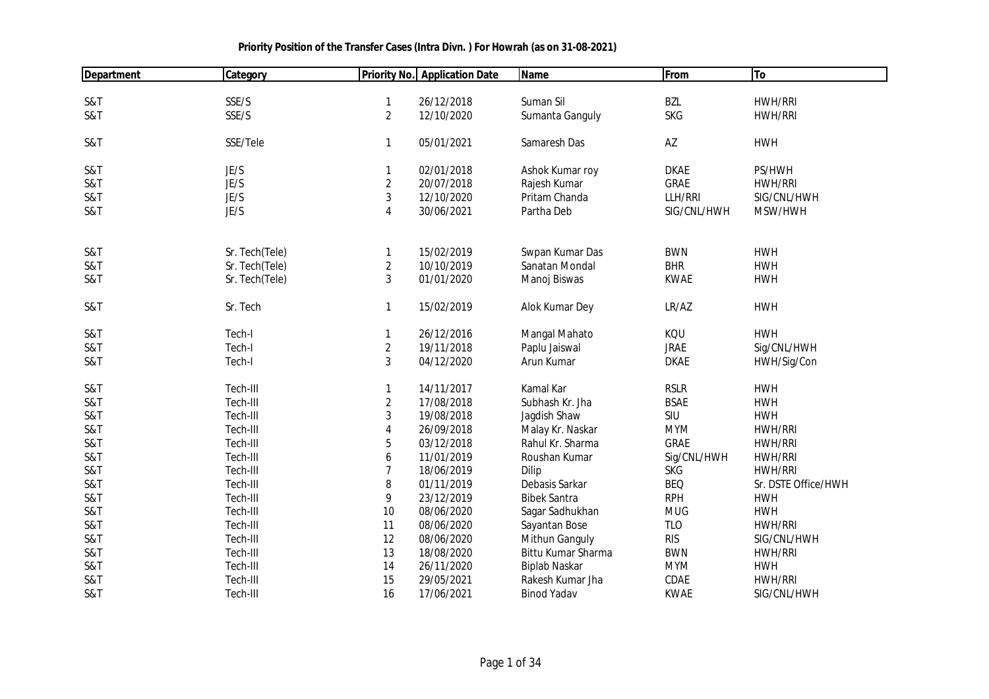| Department | Category       |                | <b>Priority No. Application Date</b> | <b>Name</b>          | From        | To                  |
|------------|----------------|----------------|--------------------------------------|----------------------|-------------|---------------------|
|            |                |                |                                      |                      |             |                     |
| S&T        | SSE/S          | 1              | 26/12/2018                           | Suman Sil            | <b>BZL</b>  | <b>HWH/RRI</b>      |
| S&T        | SSE/S          | $\overline{2}$ | 12/10/2020                           | Sumanta Ganguly      | <b>SKG</b>  | <b>HWH/RRI</b>      |
|            |                |                |                                      |                      |             |                     |
| S&T        | SSE/Tele       | 1              | 05/01/2021                           | Samaresh Das         | AZ          | <b>HWH</b>          |
|            |                |                |                                      |                      |             |                     |
| S&T        | JE/S           | 1              | 02/01/2018                           | Ashok Kumar roy      | <b>DKAE</b> | PS/HWH              |
| S&T        | JE/S           | $\overline{c}$ | 20/07/2018                           | Rajesh Kumar         | GRAE        | <b>HWH/RRI</b>      |
| S&T        | JE/S           | 3              | 12/10/2020                           | Pritam Chanda        | LLH/RRI     | SIG/CNL/HWH         |
| S&T        | JE/S           | 4              | 30/06/2021                           | Partha Deb           | SIG/CNL/HWH | MSW/HWH             |
|            |                |                |                                      |                      |             |                     |
| S&T        | Sr. Tech(Tele) | $\mathbf{1}$   | 15/02/2019                           | Swpan Kumar Das      | <b>BWN</b>  | <b>HWH</b>          |
| S&T        | Sr. Tech(Tele) | $\overline{c}$ | 10/10/2019                           | Sanatan Mondal       | <b>BHR</b>  | <b>HWH</b>          |
| S&T        | Sr. Tech(Tele) | 3              | 01/01/2020                           | Manoj Biswas         | <b>KWAE</b> | <b>HWH</b>          |
|            |                |                |                                      |                      |             |                     |
| S&T        | Sr. Tech       | 1              | 15/02/2019                           | Alok Kumar Dey       | LR/AZ       | <b>HWH</b>          |
|            |                |                |                                      |                      |             |                     |
| S&T        | Tech-I         | $\mathbf{1}$   | 26/12/2016                           | Mangal Mahato        | KQU         | <b>HWH</b>          |
| S&T        | Tech-I         | $\overline{2}$ | 19/11/2018                           | Paplu Jaiswal        | <b>JRAE</b> | Sig/CNL/HWH         |
| S&T        | Tech-I         | 3              | 04/12/2020                           | Arun Kumar           | <b>DKAE</b> | HWH/Sig/Con         |
|            |                |                |                                      |                      |             |                     |
| S&T        | Tech-III       | 1              | 14/11/2017                           | Kamal Kar            | <b>RSLR</b> | <b>HWH</b>          |
| S&T        | Tech-III       | $\overline{c}$ | 17/08/2018                           | Subhash Kr. Jha      | <b>BSAE</b> | <b>HWH</b>          |
| S&T        | Tech-III       | 3              | 19/08/2018                           | Jagdish Shaw         | SIU         | <b>HWH</b>          |
| S&T        | Tech-III       | 4              | 26/09/2018                           | Malay Kr. Naskar     | <b>MYM</b>  | <b>HWH/RRI</b>      |
| S&T        | Tech-III       | 5              | 03/12/2018                           | Rahul Kr. Sharma     | GRAE        | <b>HWH/RRI</b>      |
| S&T        | Tech-III       | 6              | 11/01/2019                           | Roushan Kumar        | Sig/CNL/HWH | <b>HWH/RRI</b>      |
| S&T        | Tech-III       | $\overline{7}$ | 18/06/2019                           | Dilip                | <b>SKG</b>  | <b>HWH/RRI</b>      |
| S&T        | Tech-III       | 8              | 01/11/2019                           | Debasis Sarkar       | <b>BEQ</b>  | Sr. DSTE Office/HWH |
| S&T        | Tech-III       | 9              | 23/12/2019                           | <b>Bibek Santra</b>  | <b>RPH</b>  | <b>HWH</b>          |
| S&T        | Tech-III       | 10             | 08/06/2020                           | Sagar Sadhukhan      | <b>MUG</b>  | <b>HWH</b>          |
| S&T        | Tech-III       | 11             | 08/06/2020                           | Sayantan Bose        | <b>TLO</b>  | <b>HWH/RRI</b>      |
| S&T        | Tech-III       | 12             | 08/06/2020                           | Mithun Ganguly       | <b>RIS</b>  | SIG/CNL/HWH         |
| S&T        | Tech-III       | 13             | 18/08/2020                           | Bittu Kumar Sharma   | <b>BWN</b>  | <b>HWH/RRI</b>      |
| S&T        | Tech-III       | 14             | 26/11/2020                           | <b>Biplab Naskar</b> | <b>MYM</b>  | <b>HWH</b>          |
| S&T        | Tech-III       | 15             | 29/05/2021                           | Rakesh Kumar Jha     | CDAE        | <b>HWH/RRI</b>      |
| S&T        | Tech-III       | 16             | 17/06/2021                           | <b>Binod Yadav</b>   | <b>KWAE</b> | SIG/CNL/HWH         |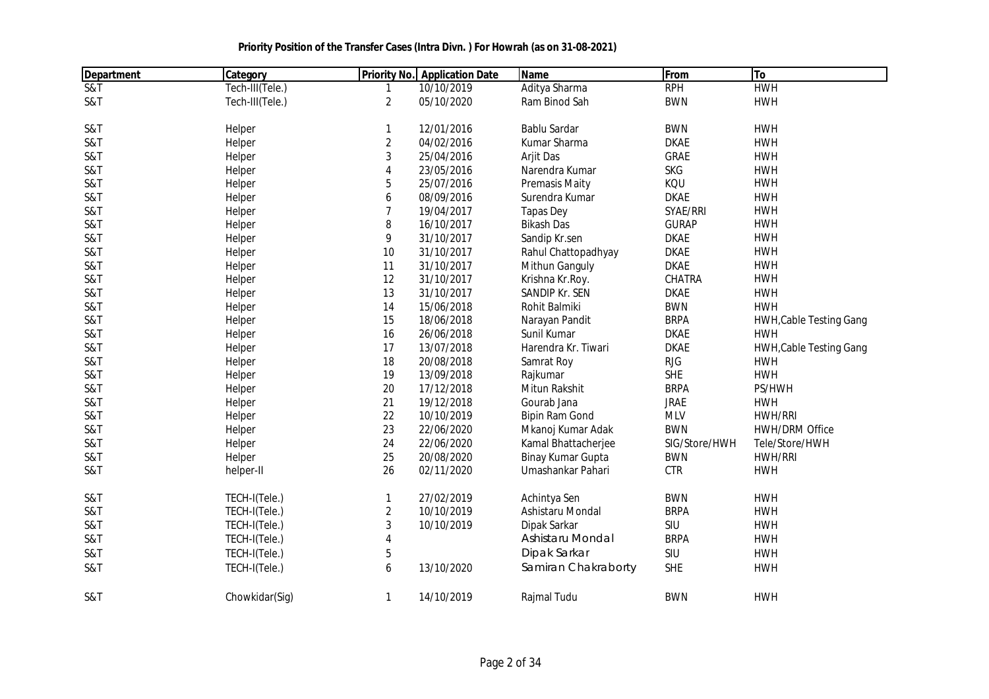| <b>Department</b>          | Category        |                | <b>Priority No.</b> Application Date | <b>Name</b>           | From          | To                             |
|----------------------------|-----------------|----------------|--------------------------------------|-----------------------|---------------|--------------------------------|
| $\overline{\text{S&ampT}}$ | Tech-III(Tele.) | 1              | 10/10/2019                           | Aditya Sharma         | <b>RPH</b>    | <b>HWH</b>                     |
| S&T                        | Tech-III(Tele.) | $\overline{2}$ | 05/10/2020                           | Ram Binod Sah         | <b>BWN</b>    | <b>HWH</b>                     |
| S&T                        | Helper          | $\mathbf{1}$   | 12/01/2016                           | <b>Bablu Sardar</b>   | <b>BWN</b>    | <b>HWH</b>                     |
| S&T                        | Helper          | $\overline{2}$ | 04/02/2016                           | Kumar Sharma          | <b>DKAE</b>   | <b>HWH</b>                     |
| S&T                        | Helper          | 3              | 25/04/2016                           | Arjit Das             | <b>GRAE</b>   | <b>HWH</b>                     |
| S&T                        | Helper          | $\overline{4}$ | 23/05/2016                           | Narendra Kumar        | <b>SKG</b>    | <b>HWH</b>                     |
| S&T                        | Helper          | 5              | 25/07/2016                           | <b>Premasis Maity</b> | KQU           | <b>HWH</b>                     |
| S&T                        | Helper          | 6              | 08/09/2016                           | Surendra Kumar        | <b>DKAE</b>   | <b>HWH</b>                     |
| S&T                        | Helper          | $\overline{7}$ | 19/04/2017                           | <b>Tapas Dey</b>      | SYAE/RRI      | <b>HWH</b>                     |
| S&T                        | Helper          | 8              | 16/10/2017                           | <b>Bikash Das</b>     | <b>GURAP</b>  | <b>HWH</b>                     |
| S&T                        | Helper          | 9              | 31/10/2017                           | Sandip Kr.sen         | <b>DKAE</b>   | <b>HWH</b>                     |
| S&T                        | Helper          | $10$           | 31/10/2017                           | Rahul Chattopadhyay   | <b>DKAE</b>   | <b>HWH</b>                     |
| S&T                        | Helper          | 11             | 31/10/2017                           | Mithun Ganguly        | <b>DKAE</b>   | <b>HWH</b>                     |
| S&T                        | Helper          | 12             | 31/10/2017                           | Krishna Kr.Roy.       | CHATRA        | <b>HWH</b>                     |
| S&T                        | Helper          | 13             | 31/10/2017                           | SANDIP Kr. SEN        | <b>DKAE</b>   | <b>HWH</b>                     |
| S&T                        | Helper          | 14             | 15/06/2018                           | Rohit Balmiki         | <b>BWN</b>    | <b>HWH</b>                     |
| S&T                        | Helper          | 15             | 18/06/2018                           | Narayan Pandit        | <b>BRPA</b>   | <b>HWH, Cable Testing Gang</b> |
| S&T                        | Helper          | 16             | 26/06/2018                           | Sunil Kumar           | <b>DKAE</b>   | <b>HWH</b>                     |
| S&T                        | Helper          | 17             | 13/07/2018                           | Harendra Kr. Tiwari   | <b>DKAE</b>   | <b>HWH, Cable Testing Gang</b> |
| S&T                        | Helper          | 18             | 20/08/2018                           | Samrat Roy            | <b>RJG</b>    | <b>HWH</b>                     |
| S&T                        | Helper          | 19             | 13/09/2018                           | Rajkumar              | <b>SHE</b>    | <b>HWH</b>                     |
| S&T                        | Helper          | 20             | 17/12/2018                           | Mitun Rakshit         | <b>BRPA</b>   | PS/HWH                         |
| S&T                        | Helper          | 21             | 19/12/2018                           | Gourab Jana           | <b>JRAE</b>   | <b>HWH</b>                     |
| S&T                        | Helper          | 22             | 10/10/2019                           | <b>Bipin Ram Gond</b> | <b>MLV</b>    | <b>HWH/RRI</b>                 |
| S&T                        | Helper          | 23             | 22/06/2020                           | Mkanoj Kumar Adak     | <b>BWN</b>    | <b>HWH/DRM Office</b>          |
| S&T                        | Helper          | 24             | 22/06/2020                           | Kamal Bhattacherjee   | SIG/Store/HWH | Tele/Store/HWH                 |
| S&T                        | Helper          | 25             | 20/08/2020                           | Binay Kumar Gupta     | <b>BWN</b>    | <b>HWH/RRI</b>                 |
| S&T                        | helper-II       | 26             | 02/11/2020                           | Umashankar Pahari     | <b>CTR</b>    | <b>HWH</b>                     |
| S&T                        | TECH-I(Tele.)   | $\mathbf{1}$   | 27/02/2019                           | Achintya Sen          | <b>BWN</b>    | <b>HWH</b>                     |
| S&T                        | TECH-I(Tele.)   | $\overline{2}$ | 10/10/2019                           | Ashistaru Mondal      | <b>BRPA</b>   | <b>HWH</b>                     |
| S&T                        | TECH-I(Tele.)   | $\sqrt{3}$     | 10/10/2019                           | Dipak Sarkar          | SIU           | <b>HWH</b>                     |
| S&T                        | TECH-I(Tele.)   | $\overline{4}$ |                                      | Ashistaru Mondal      | <b>BRPA</b>   | <b>HWH</b>                     |
| S&T                        | TECH-I(Tele.)   | 5              |                                      | Dipak Sarkar          | SIU           | <b>HWH</b>                     |
| S&T                        | TECH-I(Tele.)   | 6              | 13/10/2020                           | Samiran Chakraborty   | <b>SHE</b>    | <b>HWH</b>                     |
| S&T                        | Chowkidar(Sig)  | 1              | 14/10/2019                           | Rajmal Tudu           | <b>BWN</b>    | <b>HWH</b>                     |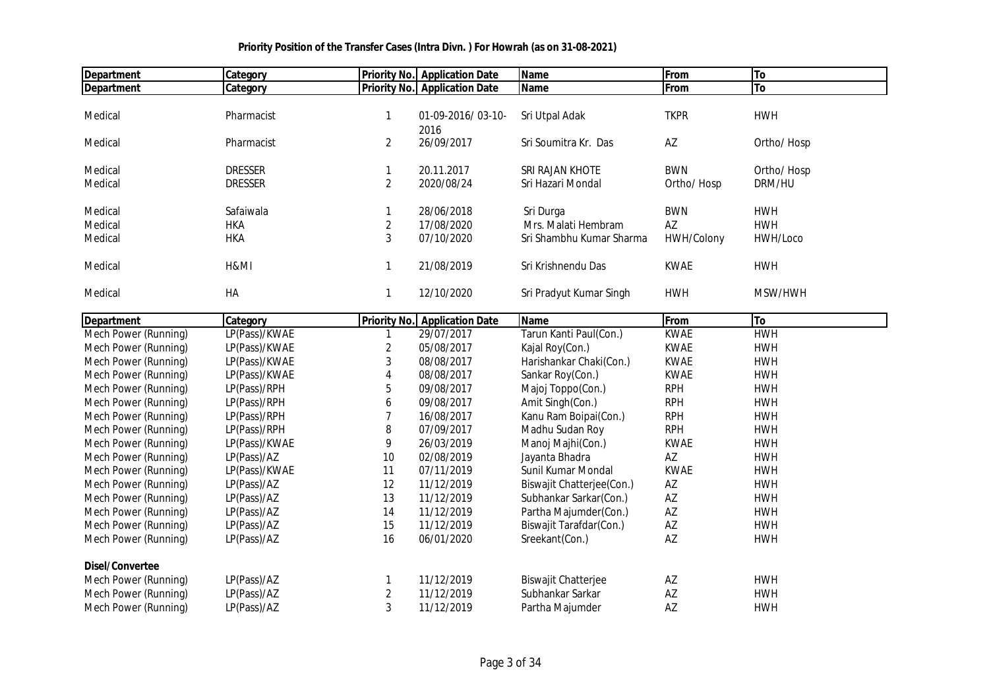| Department             | Category        |                     | <b>Priority No. Application Date</b> | Name                       | From        | To         |
|------------------------|-----------------|---------------------|--------------------------------------|----------------------------|-------------|------------|
| <b>Department</b>      | Category        |                     | <b>Priority No.</b> Application Date | <b>Name</b>                | From        | <b>To</b>  |
|                        |                 |                     |                                      |                            |             |            |
| Medical                | Pharmacist      | 1                   | 01-09-2016/03-10-                    | Sri Utpal Adak             | <b>TKPR</b> | <b>HWH</b> |
|                        |                 |                     | 2016                                 |                            |             |            |
| Medical                | Pharmacist      | $\overline{2}$      | 26/09/2017                           | Sri Soumitra Kr. Das       | AZ          | Ortho/Hosp |
|                        |                 |                     |                                      |                            |             |            |
| Medical                | <b>DRESSER</b>  | 1                   | 20.11.2017                           | SRI RAJAN KHOTE            | <b>BWN</b>  | Ortho/Hosp |
| Medical                | <b>DRESSER</b>  | $\overline{2}$      | 2020/08/24                           | Sri Hazari Mondal          | Ortho/Hosp  | DRM/HU     |
|                        |                 |                     |                                      |                            |             |            |
| Medical                | Safaiwala       | 1                   | 28/06/2018                           | Sri Durga                  | <b>BWN</b>  | <b>HWH</b> |
| Medical                | <b>HKA</b>      | $\overline{2}$      | 17/08/2020                           | Mrs. Malati Hembram        | AZ          | <b>HWH</b> |
| Medical                | <b>HKA</b>      | 3                   | 07/10/2020                           | Sri Shambhu Kumar Sharma   | HWH/Colony  | HWH/Loco   |
|                        |                 |                     |                                      |                            |             |            |
| Medical                | H&MI            | 1                   | 21/08/2019                           | Sri Krishnendu Das         | <b>KWAE</b> | <b>HWH</b> |
|                        |                 |                     |                                      |                            |             |            |
| Medical                | HA              | 1                   | 12/10/2020                           | Sri Pradyut Kumar Singh    | <b>HWH</b>  | MSW/HWH    |
| <b>Department</b>      | <b>Category</b> | <b>Priority No.</b> | <b>Application Date</b>              | Name                       | From        | To         |
| Mech Power (Running)   | LP(Pass)/KWAE   | 1                   | 29/07/2017                           | Tarun Kanti Paul(Con.)     | <b>KWAE</b> | <b>HWH</b> |
| Mech Power (Running)   | LP(Pass)/KWAE   | $\sqrt{2}$          | 05/08/2017                           | Kajal Roy(Con.)            | <b>KWAE</b> | <b>HWH</b> |
| Mech Power (Running)   | LP(Pass)/KWAE   | 3                   | 08/08/2017                           | Harishankar Chaki(Con.)    | <b>KWAE</b> | <b>HWH</b> |
| Mech Power (Running)   | LP(Pass)/KWAE   | 4                   | 08/08/2017                           | Sankar Roy(Con.)           | <b>KWAE</b> | <b>HWH</b> |
| Mech Power (Running)   | LP(Pass)/RPH    | 5                   | 09/08/2017                           | Majoj Toppo(Con.)          | <b>RPH</b>  | <b>HWH</b> |
| Mech Power (Running)   | LP(Pass)/RPH    | 6                   | 09/08/2017                           | Amit Singh(Con.)           | <b>RPH</b>  | <b>HWH</b> |
| Mech Power (Running)   | LP(Pass)/RPH    | 7                   | 16/08/2017                           | Kanu Ram Boipai(Con.)      | <b>RPH</b>  | <b>HWH</b> |
| Mech Power (Running)   | LP(Pass)/RPH    | 8                   | 07/09/2017                           | Madhu Sudan Roy            | <b>RPH</b>  | <b>HWH</b> |
| Mech Power (Running)   | LP(Pass)/KWAE   | 9                   | 26/03/2019                           | Manoj Majhi(Con.)          | <b>KWAE</b> | <b>HWH</b> |
| Mech Power (Running)   | LP(Pass)/AZ     | 10                  | 02/08/2019                           | Jayanta Bhadra             | AZ          | <b>HWH</b> |
| Mech Power (Running)   | LP(Pass)/KWAE   | 11                  | 07/11/2019                           | Sunil Kumar Mondal         | <b>KWAE</b> | <b>HWH</b> |
| Mech Power (Running)   | LP(Pass)/AZ     | 12                  | 11/12/2019                           | Biswajit Chatterjee(Con.)  | AZ          | <b>HWH</b> |
| Mech Power (Running)   | LP(Pass)/AZ     | 13                  | 11/12/2019                           | Subhankar Sarkar(Con.)     | AZ          | <b>HWH</b> |
| Mech Power (Running)   | LP(Pass)/AZ     | 14                  | 11/12/2019                           | Partha Majumder(Con.)      | AZ          | <b>HWH</b> |
| Mech Power (Running)   | LP(Pass)/AZ     | 15                  | 11/12/2019                           | Biswajit Tarafdar(Con.)    | AZ          | <b>HWH</b> |
| Mech Power (Running)   | LP(Pass)/AZ     | 16                  | 06/01/2020                           | Sreekant(Con.)             | AZ          | <b>HWH</b> |
|                        |                 |                     |                                      |                            |             |            |
| <b>Disel/Convertee</b> |                 |                     |                                      |                            |             |            |
| Mech Power (Running)   | LP(Pass)/AZ     | 1                   | 11/12/2019                           | <b>Biswajit Chatterjee</b> | AZ          | <b>HWH</b> |
| Mech Power (Running)   | LP(Pass)/AZ     | $\overline{c}$      | 11/12/2019                           | Subhankar Sarkar           | AZ          | <b>HWH</b> |
| Mech Power (Running)   | LP(Pass)/AZ     | 3                   | 11/12/2019                           | Partha Majumder            | AZ          | <b>HWH</b> |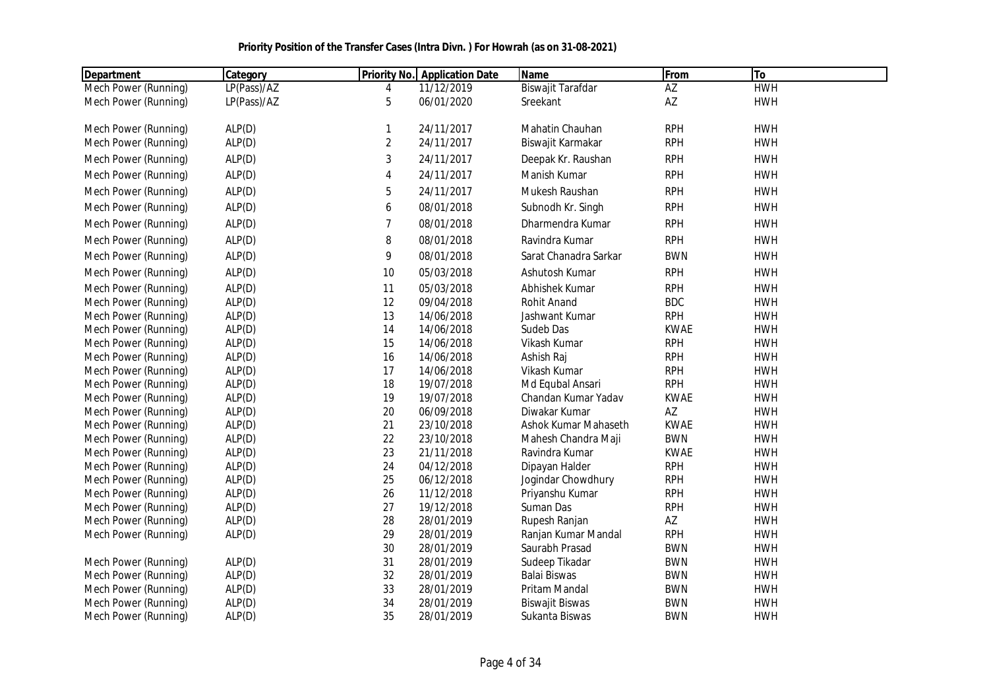| <b>Department</b>    | Category    | <b>Priority No.</b> | <b>Application Date</b> | <b>Name</b>            | From        | To         |
|----------------------|-------------|---------------------|-------------------------|------------------------|-------------|------------|
| Mech Power (Running) | LP(Pass)/AZ | 4                   | 11/12/2019              | Biswajit Tarafdar      | AZ          | <b>HWH</b> |
| Mech Power (Running) | LP(Pass)/AZ | 5                   | 06/01/2020              | Sreekant               | AZ          | <b>HWH</b> |
| Mech Power (Running) | ALP(D)      | 1                   | 24/11/2017              | Mahatin Chauhan        | <b>RPH</b>  | <b>HWH</b> |
| Mech Power (Running) | ALP(D)      | $\overline{c}$      | 24/11/2017              | Biswajit Karmakar      | <b>RPH</b>  | <b>HWH</b> |
| Mech Power (Running) | ALP(D)      | 3                   | 24/11/2017              | Deepak Kr. Raushan     | <b>RPH</b>  | <b>HWH</b> |
| Mech Power (Running) | ALP(D)      | 4                   | 24/11/2017              | Manish Kumar           | <b>RPH</b>  | <b>HWH</b> |
| Mech Power (Running) | ALP(D)      | 5                   | 24/11/2017              | Mukesh Raushan         | <b>RPH</b>  | <b>HWH</b> |
| Mech Power (Running) | ALP(D)      | 6                   | 08/01/2018              | Subnodh Kr. Singh      | <b>RPH</b>  | <b>HWH</b> |
| Mech Power (Running) | ALP(D)      | 7                   | 08/01/2018              | Dharmendra Kumar       | <b>RPH</b>  | <b>HWH</b> |
| Mech Power (Running) | ALP(D)      | 8                   | 08/01/2018              | Ravindra Kumar         | <b>RPH</b>  | <b>HWH</b> |
|                      |             |                     |                         |                        |             |            |
| Mech Power (Running) | ALP(D)      | 9                   | 08/01/2018              | Sarat Chanadra Sarkar  | <b>BWN</b>  | <b>HWH</b> |
| Mech Power (Running) | ALP(D)      | 10                  | 05/03/2018              | Ashutosh Kumar         | <b>RPH</b>  | <b>HWH</b> |
| Mech Power (Running) | ALP(D)      | 11                  | 05/03/2018              | Abhishek Kumar         | <b>RPH</b>  | <b>HWH</b> |
| Mech Power (Running) | ALP(D)      | 12                  | 09/04/2018              | <b>Rohit Anand</b>     | <b>BDC</b>  | <b>HWH</b> |
| Mech Power (Running) | ALP(D)      | 13                  | 14/06/2018              | Jashwant Kumar         | <b>RPH</b>  | <b>HWH</b> |
| Mech Power (Running) | ALP(D)      | 14                  | 14/06/2018              | Sudeb Das              | <b>KWAE</b> | <b>HWH</b> |
| Mech Power (Running) | ALP(D)      | 15                  | 14/06/2018              | Vikash Kumar           | <b>RPH</b>  | <b>HWH</b> |
| Mech Power (Running) | ALP(D)      | 16                  | 14/06/2018              | Ashish Raj             | <b>RPH</b>  | <b>HWH</b> |
| Mech Power (Running) | ALP(D)      | 17                  | 14/06/2018              | Vikash Kumar           | <b>RPH</b>  | <b>HWH</b> |
| Mech Power (Running) | ALP(D)      | 18                  | 19/07/2018              | Md Equbal Ansari       | <b>RPH</b>  | <b>HWH</b> |
| Mech Power (Running) | ALP(D)      | 19                  | 19/07/2018              | Chandan Kumar Yadav    | <b>KWAE</b> | <b>HWH</b> |
| Mech Power (Running) | ALP(D)      | 20                  | 06/09/2018              | Diwakar Kumar          | AZ          | <b>HWH</b> |
| Mech Power (Running) | ALP(D)      | 21                  | 23/10/2018              | Ashok Kumar Mahaseth   | <b>KWAE</b> | <b>HWH</b> |
| Mech Power (Running) | ALP(D)      | 22                  | 23/10/2018              | Mahesh Chandra Maji    | <b>BWN</b>  | <b>HWH</b> |
| Mech Power (Running) | ALP(D)      | 23                  | 21/11/2018              | Ravindra Kumar         | <b>KWAE</b> | <b>HWH</b> |
| Mech Power (Running) | ALP(D)      | 24                  | 04/12/2018              | Dipayan Halder         | <b>RPH</b>  | <b>HWH</b> |
| Mech Power (Running) | ALP(D)      | 25                  | 06/12/2018              | Jogindar Chowdhury     | <b>RPH</b>  | <b>HWH</b> |
| Mech Power (Running) | ALP(D)      | 26                  | 11/12/2018              | Priyanshu Kumar        | <b>RPH</b>  | <b>HWH</b> |
| Mech Power (Running) | ALP(D)      | 27                  | 19/12/2018              | Suman Das              | <b>RPH</b>  | <b>HWH</b> |
| Mech Power (Running) | ALP(D)      | 28                  | 28/01/2019              | Rupesh Ranjan          | AZ          | <b>HWH</b> |
| Mech Power (Running) | ALP(D)      | 29                  | 28/01/2019              | Ranjan Kumar Mandal    | <b>RPH</b>  | <b>HWH</b> |
|                      |             | 30                  | 28/01/2019              | Saurabh Prasad         | <b>BWN</b>  | <b>HWH</b> |
| Mech Power (Running) | ALP(D)      | 31                  | 28/01/2019              | Sudeep Tikadar         | <b>BWN</b>  | <b>HWH</b> |
| Mech Power (Running) | ALP(D)      | 32                  | 28/01/2019              | <b>Balai Biswas</b>    | <b>BWN</b>  | <b>HWH</b> |
| Mech Power (Running) | ALP(D)      | 33                  | 28/01/2019              | Pritam Mandal          | <b>BWN</b>  | <b>HWH</b> |
| Mech Power (Running) | ALP(D)      | 34                  | 28/01/2019              | <b>Biswajit Biswas</b> | <b>BWN</b>  | <b>HWH</b> |
| Mech Power (Running) | ALP(D)      | 35                  | 28/01/2019              | Sukanta Biswas         | <b>BWN</b>  | <b>HWH</b> |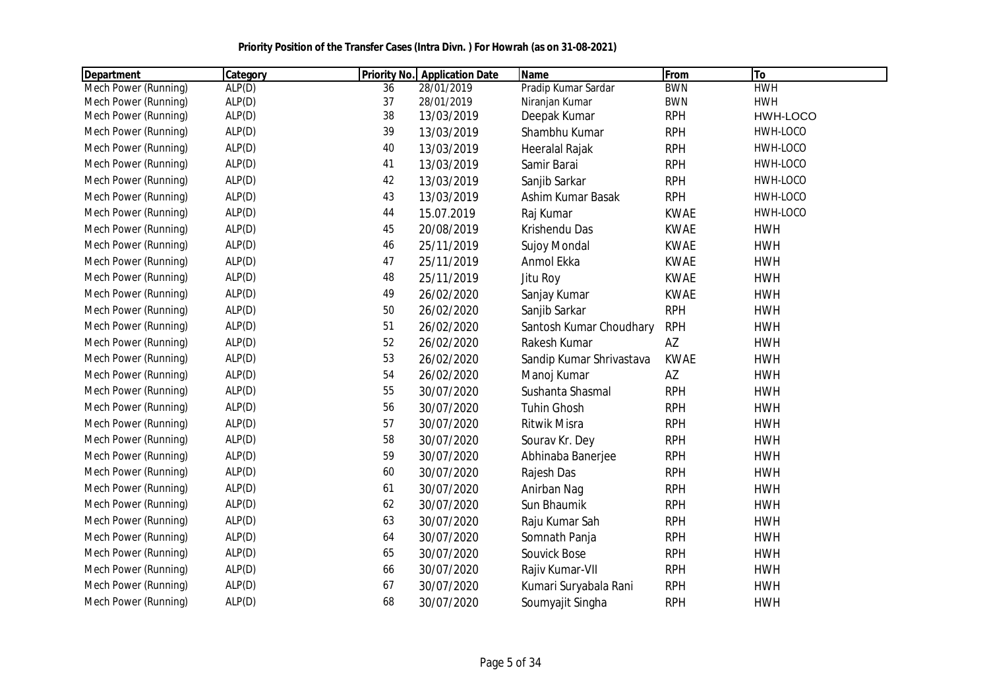|  | Priority Position of the Transfer Cases (Intra Divn.) For Howrah (as on 31-08-2021) |
|--|-------------------------------------------------------------------------------------|
|--|-------------------------------------------------------------------------------------|

| Department           | Category | <b>Priority No.</b> | <b>Application Date</b> | <b>Name</b>              | From        | To         |
|----------------------|----------|---------------------|-------------------------|--------------------------|-------------|------------|
| Mech Power (Running) | ALP(D)   | 36                  | 28/01/2019              | Pradip Kumar Sardar      | <b>BWN</b>  | <b>HWH</b> |
| Mech Power (Running) | ALP(D)   | 37                  | 28/01/2019              | Niranjan Kumar           | <b>BWN</b>  | <b>HWH</b> |
| Mech Power (Running) | ALP(D)   | 38                  | 13/03/2019              | Deepak Kumar             | <b>RPH</b>  | HWH-LOCO   |
| Mech Power (Running) | ALP(D)   | 39                  | 13/03/2019              | Shambhu Kumar            | <b>RPH</b>  | HWH-LOCO   |
| Mech Power (Running) | ALP(D)   | 40                  | 13/03/2019              | Heeralal Rajak           | <b>RPH</b>  | HWH-LOCO   |
| Mech Power (Running) | ALP(D)   | 41                  | 13/03/2019              | Samir Barai              | <b>RPH</b>  | HWH-LOCO   |
| Mech Power (Running) | ALP(D)   | 42                  | 13/03/2019              | Sanjib Sarkar            | <b>RPH</b>  | HWH-LOCO   |
| Mech Power (Running) | ALP(D)   | 43                  | 13/03/2019              | Ashim Kumar Basak        | <b>RPH</b>  | HWH-LOCO   |
| Mech Power (Running) | ALP(D)   | 44                  | 15.07.2019              | Raj Kumar                | <b>KWAE</b> | HWH-LOCO   |
| Mech Power (Running) | ALP(D)   | 45                  | 20/08/2019              | Krishendu Das            | <b>KWAE</b> | <b>HWH</b> |
| Mech Power (Running) | ALP(D)   | 46                  | 25/11/2019              | <b>Sujoy Mondal</b>      | <b>KWAE</b> | <b>HWH</b> |
| Mech Power (Running) | ALP(D)   | 47                  | 25/11/2019              | Anmol Ekka               | <b>KWAE</b> | <b>HWH</b> |
| Mech Power (Running) | ALP(D)   | 48                  | 25/11/2019              | Jitu Roy                 | <b>KWAE</b> | <b>HWH</b> |
| Mech Power (Running) | ALP(D)   | 49                  | 26/02/2020              | Sanjay Kumar             | <b>KWAE</b> | <b>HWH</b> |
| Mech Power (Running) | ALP(D)   | 50                  | 26/02/2020              | Sanjib Sarkar            | <b>RPH</b>  | <b>HWH</b> |
| Mech Power (Running) | ALP(D)   | 51                  | 26/02/2020              | Santosh Kumar Choudhary  | <b>RPH</b>  | <b>HWH</b> |
| Mech Power (Running) | ALP(D)   | 52                  | 26/02/2020              | Rakesh Kumar             | AZ          | <b>HWH</b> |
| Mech Power (Running) | ALP(D)   | 53                  | 26/02/2020              | Sandip Kumar Shrivastava | <b>KWAE</b> | <b>HWH</b> |
| Mech Power (Running) | ALP(D)   | 54                  | 26/02/2020              | Manoj Kumar              | AZ          | <b>HWH</b> |
| Mech Power (Running) | ALP(D)   | 55                  | 30/07/2020              | Sushanta Shasmal         | <b>RPH</b>  | <b>HWH</b> |
| Mech Power (Running) | ALP(D)   | 56                  | 30/07/2020              | <b>Tuhin Ghosh</b>       | <b>RPH</b>  | <b>HWH</b> |
| Mech Power (Running) | ALP(D)   | 57                  | 30/07/2020              | Ritwik Misra             | <b>RPH</b>  | <b>HWH</b> |
| Mech Power (Running) | ALP(D)   | 58                  | 30/07/2020              | Sourav Kr. Dey           | <b>RPH</b>  | <b>HWH</b> |
| Mech Power (Running) | ALP(D)   | 59                  | 30/07/2020              | Abhinaba Banerjee        | <b>RPH</b>  | <b>HWH</b> |
| Mech Power (Running) | ALP(D)   | 60                  | 30/07/2020              | Rajesh Das               | <b>RPH</b>  | <b>HWH</b> |
| Mech Power (Running) | ALP(D)   | 61                  | 30/07/2020              | Anirban Nag              | <b>RPH</b>  | <b>HWH</b> |
| Mech Power (Running) | ALP(D)   | 62                  | 30/07/2020              | Sun Bhaumik              | <b>RPH</b>  | <b>HWH</b> |
| Mech Power (Running) | ALP(D)   | 63                  | 30/07/2020              | Raju Kumar Sah           | <b>RPH</b>  | <b>HWH</b> |
| Mech Power (Running) | ALP(D)   | 64                  | 30/07/2020              | Somnath Panja            | <b>RPH</b>  | <b>HWH</b> |
| Mech Power (Running) | ALP(D)   | 65                  | 30/07/2020              | Souvick Bose             | <b>RPH</b>  | <b>HWH</b> |
| Mech Power (Running) | ALP(D)   | 66                  | 30/07/2020              | Rajiv Kumar-VII          | <b>RPH</b>  | <b>HWH</b> |
| Mech Power (Running) | ALP(D)   | 67                  | 30/07/2020              | Kumari Suryabala Rani    | <b>RPH</b>  | <b>HWH</b> |
| Mech Power (Running) | ALP(D)   | 68                  | 30/07/2020              | Soumyajit Singha         | <b>RPH</b>  | <b>HWH</b> |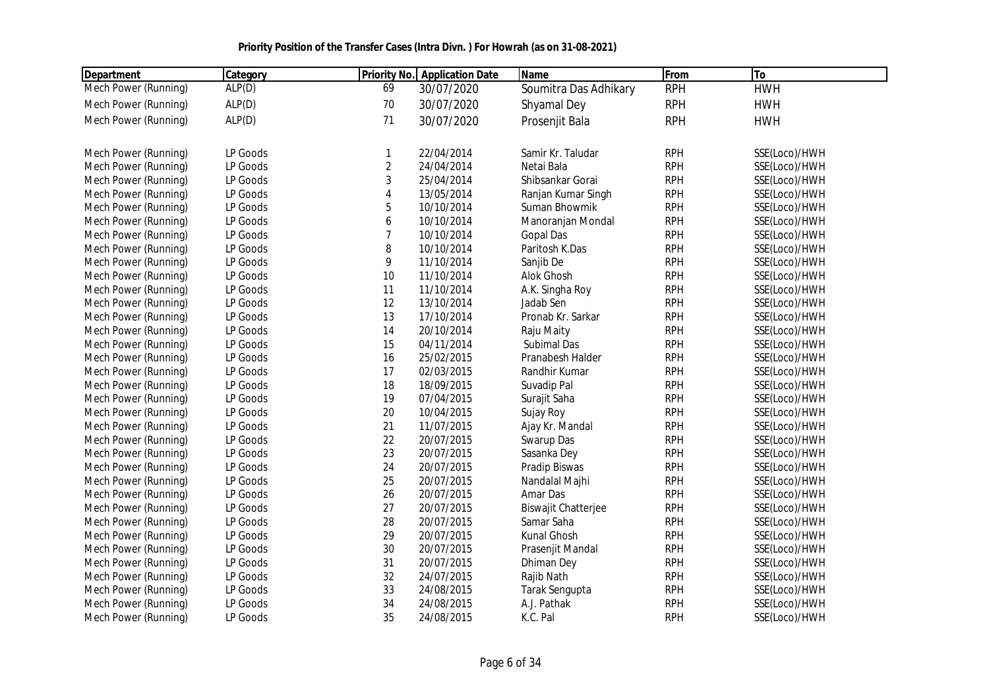| <b>Department</b>    | Category | <b>Priority No.</b> | <b>Application Date</b> | <b>Name</b>                | From       | To            |
|----------------------|----------|---------------------|-------------------------|----------------------------|------------|---------------|
| Mech Power (Running) | ALP(D)   | 69                  | 30/07/2020              | Soumitra Das Adhikary      | <b>RPH</b> | <b>HWH</b>    |
| Mech Power (Running) | ALP(D)   | 70                  | 30/07/2020              | Shyamal Dey                | <b>RPH</b> | <b>HWH</b>    |
| Mech Power (Running) | ALP(D)   | 71                  | 30/07/2020              | Prosenjit Bala             | <b>RPH</b> | <b>HWH</b>    |
|                      |          |                     |                         |                            |            |               |
| Mech Power (Running) | LP Goods | $\mathbf{1}$        | 22/04/2014              | Samir Kr. Taludar          | <b>RPH</b> | SSE(Loco)/HWH |
| Mech Power (Running) | LP Goods | $\sqrt{2}$          | 24/04/2014              | Netai Bala                 | <b>RPH</b> | SSE(Loco)/HWH |
| Mech Power (Running) | LP Goods | 3                   | 25/04/2014              | Shibsankar Gorai           | <b>RPH</b> | SSE(Loco)/HWH |
| Mech Power (Running) | LP Goods | $\overline{4}$      | 13/05/2014              | Ranjan Kumar Singh         | <b>RPH</b> | SSE(Loco)/HWH |
| Mech Power (Running) | LP Goods | 5                   | 10/10/2014              | Suman Bhowmik              | <b>RPH</b> | SSE(Loco)/HWH |
| Mech Power (Running) | LP Goods | 6                   | 10/10/2014              | Manoranjan Mondal          | <b>RPH</b> | SSE(Loco)/HWH |
| Mech Power (Running) | LP Goods | $\overline{7}$      | 10/10/2014              | <b>Gopal Das</b>           | <b>RPH</b> | SSE(Loco)/HWH |
| Mech Power (Running) | LP Goods | 8                   | 10/10/2014              | Paritosh K.Das             | <b>RPH</b> | SSE(Loco)/HWH |
| Mech Power (Running) | LP Goods | 9                   | 11/10/2014              | Sanjib De                  | <b>RPH</b> | SSE(Loco)/HWH |
| Mech Power (Running) | LP Goods | 10                  | 11/10/2014              | Alok Ghosh                 | <b>RPH</b> | SSE(Loco)/HWH |
| Mech Power (Running) | LP Goods | 11                  | 11/10/2014              | A.K. Singha Roy            | <b>RPH</b> | SSE(Loco)/HWH |
| Mech Power (Running) | LP Goods | 12                  | 13/10/2014              | Jadab Sen                  | <b>RPH</b> | SSE(Loco)/HWH |
| Mech Power (Running) | LP Goods | 13                  | 17/10/2014              | Pronab Kr. Sarkar          | <b>RPH</b> | SSE(Loco)/HWH |
| Mech Power (Running) | LP Goods | 14                  | 20/10/2014              | Raju Maity                 | <b>RPH</b> | SSE(Loco)/HWH |
| Mech Power (Running) | LP Goods | 15                  | 04/11/2014              | Subimal Das                | <b>RPH</b> | SSE(Loco)/HWH |
| Mech Power (Running) | LP Goods | 16                  | 25/02/2015              | Pranabesh Halder           | <b>RPH</b> | SSE(Loco)/HWH |
| Mech Power (Running) | LP Goods | 17                  | 02/03/2015              | Randhir Kumar              | <b>RPH</b> | SSE(Loco)/HWH |
| Mech Power (Running) | LP Goods | 18                  | 18/09/2015              | Suvadip Pal                | <b>RPH</b> | SSE(Loco)/HWH |
| Mech Power (Running) | LP Goods | 19                  | 07/04/2015              | Surajit Saha               | <b>RPH</b> | SSE(Loco)/HWH |
| Mech Power (Running) | LP Goods | 20                  | 10/04/2015              | Sujay Roy                  | <b>RPH</b> | SSE(Loco)/HWH |
| Mech Power (Running) | LP Goods | 21                  | 11/07/2015              | Ajay Kr. Mandal            | <b>RPH</b> | SSE(Loco)/HWH |
| Mech Power (Running) | LP Goods | 22                  | 20/07/2015              | Swarup Das                 | <b>RPH</b> | SSE(Loco)/HWH |
| Mech Power (Running) | LP Goods | 23                  | 20/07/2015              | Sasanka Dey                | <b>RPH</b> | SSE(Loco)/HWH |
| Mech Power (Running) | LP Goods | 24                  | 20/07/2015              | Pradip Biswas              | <b>RPH</b> | SSE(Loco)/HWH |
| Mech Power (Running) | LP Goods | 25                  | 20/07/2015              | Nandalal Majhi             | <b>RPH</b> | SSE(Loco)/HWH |
| Mech Power (Running) | LP Goods | 26                  | 20/07/2015              | Amar Das                   | <b>RPH</b> | SSE(Loco)/HWH |
| Mech Power (Running) | LP Goods | 27                  | 20/07/2015              | <b>Biswajit Chatterjee</b> | <b>RPH</b> | SSE(Loco)/HWH |
| Mech Power (Running) | LP Goods | 28                  | 20/07/2015              | Samar Saha                 | <b>RPH</b> | SSE(Loco)/HWH |
| Mech Power (Running) | LP Goods | 29                  | 20/07/2015              | Kunal Ghosh                | <b>RPH</b> | SSE(Loco)/HWH |
| Mech Power (Running) | LP Goods | 30                  | 20/07/2015              | Prasenjit Mandal           | <b>RPH</b> | SSE(Loco)/HWH |
| Mech Power (Running) | LP Goods | 31                  | 20/07/2015              | <b>Dhiman Dey</b>          | <b>RPH</b> | SSE(Loco)/HWH |
| Mech Power (Running) | LP Goods | 32                  | 24/07/2015              | Rajib Nath                 | <b>RPH</b> | SSE(Loco)/HWH |
| Mech Power (Running) | LP Goods | 33                  | 24/08/2015              | Tarak Sengupta             | <b>RPH</b> | SSE(Loco)/HWH |
| Mech Power (Running) | LP Goods | 34                  | 24/08/2015              | A.J. Pathak                | <b>RPH</b> | SSE(Loco)/HWH |
| Mech Power (Running) | LP Goods | 35                  | 24/08/2015              | K.C. Pal                   | <b>RPH</b> | SSE(Loco)/HWH |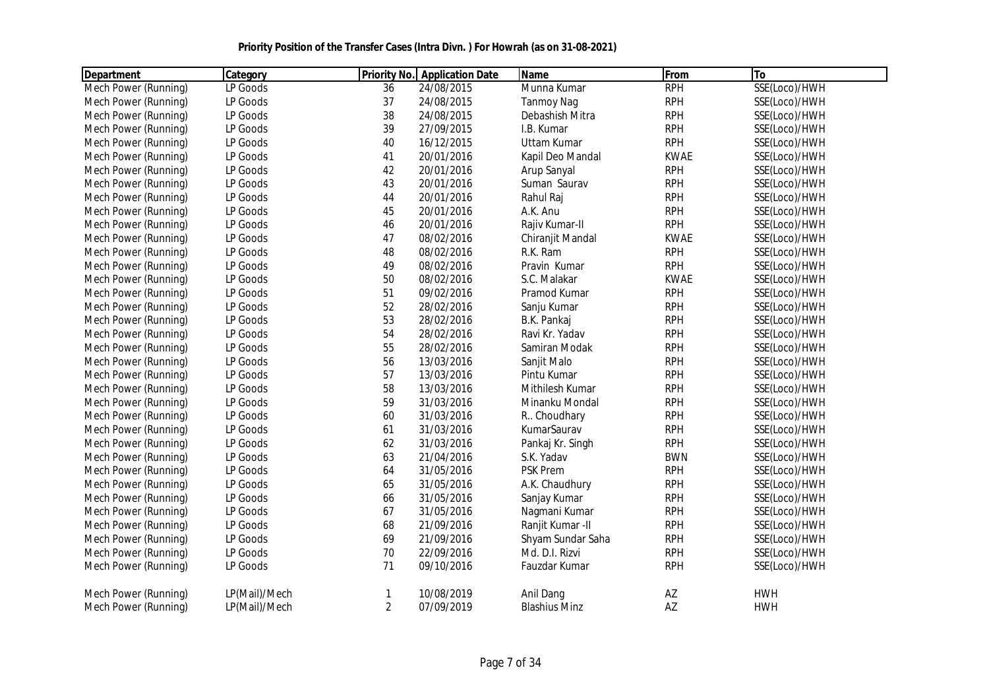| <b>Department</b>    | Category      |                | <b>Priority No. Application Date</b> | <b>Name</b>          | From        | To            |
|----------------------|---------------|----------------|--------------------------------------|----------------------|-------------|---------------|
| Mech Power (Running) | LP Goods      | 36             | 24/08/2015                           | Munna Kumar          | <b>RPH</b>  | SSE(Loco)/HWH |
| Mech Power (Running) | LP Goods      | 37             | 24/08/2015                           | <b>Tanmoy Nag</b>    | <b>RPH</b>  | SSE(Loco)/HWH |
| Mech Power (Running) | LP Goods      | 38             | 24/08/2015                           | Debashish Mitra      | <b>RPH</b>  | SSE(Loco)/HWH |
| Mech Power (Running) | LP Goods      | 39             | 27/09/2015                           | I.B. Kumar           | <b>RPH</b>  | SSE(Loco)/HWH |
| Mech Power (Running) | LP Goods      | 40             | 16/12/2015                           | <b>Uttam Kumar</b>   | <b>RPH</b>  | SSE(Loco)/HWH |
| Mech Power (Running) | LP Goods      | 41             | 20/01/2016                           | Kapil Deo Mandal     | <b>KWAE</b> | SSE(Loco)/HWH |
| Mech Power (Running) | LP Goods      | 42             | 20/01/2016                           | Arup Sanyal          | <b>RPH</b>  | SSE(Loco)/HWH |
| Mech Power (Running) | LP Goods      | 43             | 20/01/2016                           | Suman Saurav         | <b>RPH</b>  | SSE(Loco)/HWH |
| Mech Power (Running) | LP Goods      | 44             | 20/01/2016                           | Rahul Raj            | <b>RPH</b>  | SSE(Loco)/HWH |
| Mech Power (Running) | LP Goods      | 45             | 20/01/2016                           | A.K. Anu             | <b>RPH</b>  | SSE(Loco)/HWH |
| Mech Power (Running) | LP Goods      | 46             | 20/01/2016                           | Rajiv Kumar-II       | <b>RPH</b>  | SSE(Loco)/HWH |
| Mech Power (Running) | LP Goods      | 47             | 08/02/2016                           | Chiranjit Mandal     | <b>KWAE</b> | SSE(Loco)/HWH |
| Mech Power (Running) | LP Goods      | 48             | 08/02/2016                           | R.K. Ram             | <b>RPH</b>  | SSE(Loco)/HWH |
| Mech Power (Running) | LP Goods      | 49             | 08/02/2016                           | Pravin Kumar         | <b>RPH</b>  | SSE(Loco)/HWH |
| Mech Power (Running) | LP Goods      | 50             | 08/02/2016                           | S.C. Malakar         | <b>KWAE</b> | SSE(Loco)/HWH |
| Mech Power (Running) | LP Goods      | 51             | 09/02/2016                           | Pramod Kumar         | <b>RPH</b>  | SSE(Loco)/HWH |
| Mech Power (Running) | LP Goods      | 52             | 28/02/2016                           | Sanju Kumar          | <b>RPH</b>  | SSE(Loco)/HWH |
| Mech Power (Running) | LP Goods      | 53             | 28/02/2016                           | B.K. Pankaj          | <b>RPH</b>  | SSE(Loco)/HWH |
| Mech Power (Running) | LP Goods      | 54             | 28/02/2016                           | Ravi Kr. Yadav       | <b>RPH</b>  | SSE(Loco)/HWH |
| Mech Power (Running) | LP Goods      | 55             | 28/02/2016                           | Samiran Modak        | <b>RPH</b>  | SSE(Loco)/HWH |
| Mech Power (Running) | LP Goods      | 56             | 13/03/2016                           | Sanjit Malo          | <b>RPH</b>  | SSE(Loco)/HWH |
| Mech Power (Running) | LP Goods      | 57             | 13/03/2016                           | Pintu Kumar          | <b>RPH</b>  | SSE(Loco)/HWH |
| Mech Power (Running) | LP Goods      | 58             | 13/03/2016                           | Mithilesh Kumar      | <b>RPH</b>  | SSE(Loco)/HWH |
| Mech Power (Running) | LP Goods      | 59             | 31/03/2016                           | Minanku Mondal       | <b>RPH</b>  | SSE(Loco)/HWH |
| Mech Power (Running) | LP Goods      | 60             | 31/03/2016                           | R. Choudhary         | <b>RPH</b>  | SSE(Loco)/HWH |
| Mech Power (Running) | LP Goods      | 61             | 31/03/2016                           | KumarSaurav          | <b>RPH</b>  | SSE(Loco)/HWH |
| Mech Power (Running) | LP Goods      | 62             | 31/03/2016                           | Pankaj Kr. Singh     | <b>RPH</b>  | SSE(Loco)/HWH |
| Mech Power (Running) | LP Goods      | 63             | 21/04/2016                           | S.K. Yadav           | <b>BWN</b>  | SSE(Loco)/HWH |
| Mech Power (Running) | LP Goods      | 64             | 31/05/2016                           | <b>PSK Prem</b>      | <b>RPH</b>  | SSE(Loco)/HWH |
| Mech Power (Running) | LP Goods      | 65             | 31/05/2016                           | A.K. Chaudhury       | <b>RPH</b>  | SSE(Loco)/HWH |
| Mech Power (Running) | LP Goods      | 66             | 31/05/2016                           | Sanjay Kumar         | <b>RPH</b>  | SSE(Loco)/HWH |
| Mech Power (Running) | LP Goods      | 67             | 31/05/2016                           | Nagmani Kumar        | <b>RPH</b>  | SSE(Loco)/HWH |
| Mech Power (Running) | LP Goods      | 68             | 21/09/2016                           | Ranjit Kumar - II    | <b>RPH</b>  | SSE(Loco)/HWH |
| Mech Power (Running) | LP Goods      | 69             | 21/09/2016                           | Shyam Sundar Saha    | <b>RPH</b>  | SSE(Loco)/HWH |
| Mech Power (Running) | LP Goods      | $70\,$         | 22/09/2016                           | Md. D.I. Rizvi       | <b>RPH</b>  | SSE(Loco)/HWH |
| Mech Power (Running) | LP Goods      | 71             | 09/10/2016                           | Fauzdar Kumar        | <b>RPH</b>  | SSE(Loco)/HWH |
| Mech Power (Running) | LP(Mail)/Mech | 1              | 10/08/2019                           | Anil Dang            | AZ          | <b>HWH</b>    |
| Mech Power (Running) | LP(Mail)/Mech | $\overline{2}$ | 07/09/2019                           | <b>Blashius Minz</b> | AZ          | <b>HWH</b>    |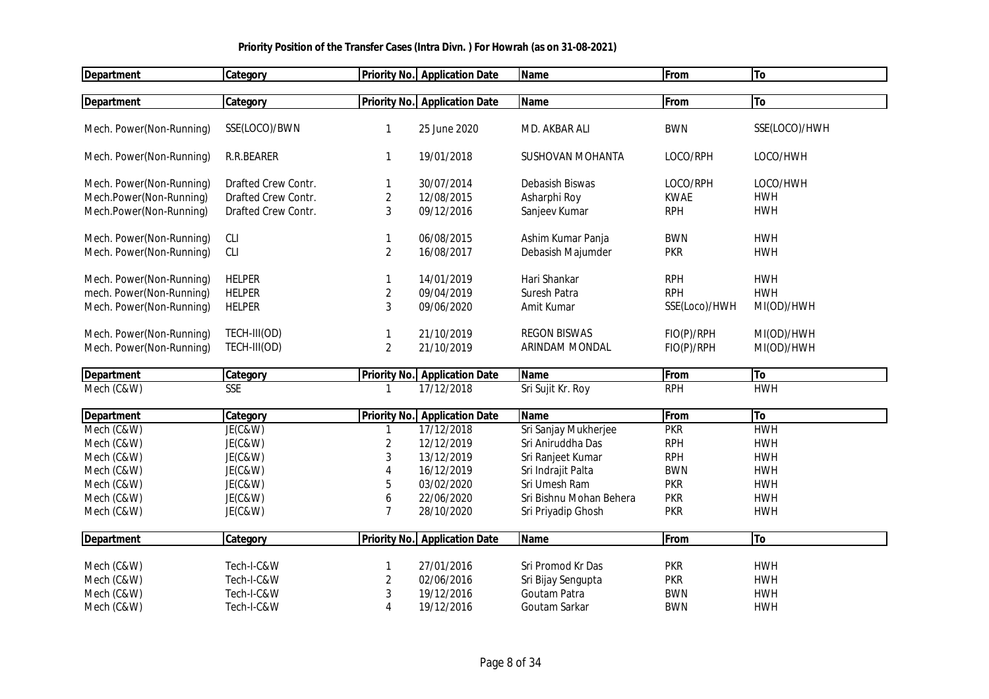| <b>Department</b>        | Category            |                     | <b>Priority No. Application Date</b> | <b>Name</b>             | <b>From</b>   | To            |
|--------------------------|---------------------|---------------------|--------------------------------------|-------------------------|---------------|---------------|
|                          |                     |                     | <b>Priority No.</b> Application Date | <b>Name</b>             | From          | To            |
| <b>Department</b>        | Category            |                     |                                      |                         |               |               |
| Mech. Power(Non-Running) | SSE(LOCO)/BWN       | 1                   | 25 June 2020                         | MD. AKBAR ALI           | <b>BWN</b>    | SSE(LOCO)/HWH |
| Mech. Power(Non-Running) | R.R.BEARER          | 1                   | 19/01/2018                           | <b>SUSHOVAN MOHANTA</b> | LOCO/RPH      | LOCO/HWH      |
| Mech. Power(Non-Running) | Drafted Crew Contr. | 1                   | 30/07/2014                           | Debasish Biswas         | LOCO/RPH      | LOCO/HWH      |
| Mech.Power(Non-Running)  | Drafted Crew Contr. | $\overline{c}$      | 12/08/2015                           | Asharphi Roy            | <b>KWAE</b>   | <b>HWH</b>    |
| Mech.Power(Non-Running)  | Drafted Crew Contr. | 3                   | 09/12/2016                           | Sanjeev Kumar           | <b>RPH</b>    | <b>HWH</b>    |
| Mech. Power(Non-Running) | <b>CLI</b>          | 1                   | 06/08/2015                           | Ashim Kumar Panja       | <b>BWN</b>    | <b>HWH</b>    |
| Mech. Power(Non-Running) | <b>CLI</b>          | $\overline{c}$      | 16/08/2017                           | Debasish Majumder       | <b>PKR</b>    | <b>HWH</b>    |
| Mech. Power(Non-Running) | <b>HELPER</b>       | 1                   | 14/01/2019                           | Hari Shankar            | <b>RPH</b>    | <b>HWH</b>    |
| mech. Power(Non-Running) | <b>HELPER</b>       | 2                   | 09/04/2019                           | Suresh Patra            | <b>RPH</b>    | <b>HWH</b>    |
| Mech. Power(Non-Running) | <b>HELPER</b>       | 3                   | 09/06/2020                           | Amit Kumar              | SSE(Loco)/HWH | MI(OD)/HWH    |
| Mech. Power(Non-Running) | TECH-III(OD)        | $\mathbf{1}$        | 21/10/2019                           | <b>REGON BISWAS</b>     | FIO(P)/RPH    | MI(OD)/HWH    |
| Mech. Power(Non-Running) | TECH-III(OD)        | $\overline{2}$      | 21/10/2019                           | ARINDAM MONDAL          | FIO(P)/RPH    | MI(OD)/HWH    |
| <b>Department</b>        | Category            | <b>Priority No.</b> | <b>Application Date</b>              | Name                    | From          | To            |
| Mech (C&W)               | <b>SSE</b>          |                     | 17/12/2018                           | Sri Sujit Kr. Roy       | <b>RPH</b>    | <b>HWH</b>    |
| <b>Department</b>        | Category            |                     | <b>Priority No.</b> Application Date | <b>Name</b>             | From          | To            |
| Mech (C&W)               | JE(C&W)             | 1                   | 17/12/2018                           | Sri Sanjay Mukherjee    | <b>PKR</b>    | <b>HWH</b>    |
| Mech (C&W)               | JE(C&W)             | 2                   | 12/12/2019                           | Sri Aniruddha Das       | <b>RPH</b>    | <b>HWH</b>    |
| Mech (C&W)               | JE(C&W)             | 3                   | 13/12/2019                           | Sri Ranjeet Kumar       | <b>RPH</b>    | <b>HWH</b>    |
| Mech (C&W)               | JE(C&W)             | $\overline{4}$      | 16/12/2019                           | Sri Indrajit Palta      | <b>BWN</b>    | <b>HWH</b>    |
| Mech (C&W)               | JE(C&W)             | 5                   | 03/02/2020                           | Sri Umesh Ram           | <b>PKR</b>    | <b>HWH</b>    |
| Mech (C&W)               | JE(C&W)             | 6                   | 22/06/2020                           | Sri Bishnu Mohan Behera | <b>PKR</b>    | <b>HWH</b>    |
| Mech (C&W)               | JE(C&W)             | 7                   | 28/10/2020                           | Sri Priyadip Ghosh      | <b>PKR</b>    | <b>HWH</b>    |
| <b>Department</b>        | Category            | <b>Priority No.</b> | <b>Application Date</b>              | <b>Name</b>             | From          | To            |
| Mech (C&W)               | Tech-I-C&W          | 1                   | 27/01/2016                           | Sri Promod Kr Das       | <b>PKR</b>    | <b>HWH</b>    |
| Mech (C&W)               | Tech-I-C&W          | $\overline{2}$      | 02/06/2016                           | Sri Bijay Sengupta      | <b>PKR</b>    | <b>HWH</b>    |
| Mech (C&W)               | Tech-I-C&W          | 3                   | 19/12/2016                           | Goutam Patra            | <b>BWN</b>    | <b>HWH</b>    |
| Mech (C&W)               | Tech-I-C&W          | $\overline{A}$      | 19/12/2016                           | Goutam Sarkar           | <b>BWN</b>    | <b>HWH</b>    |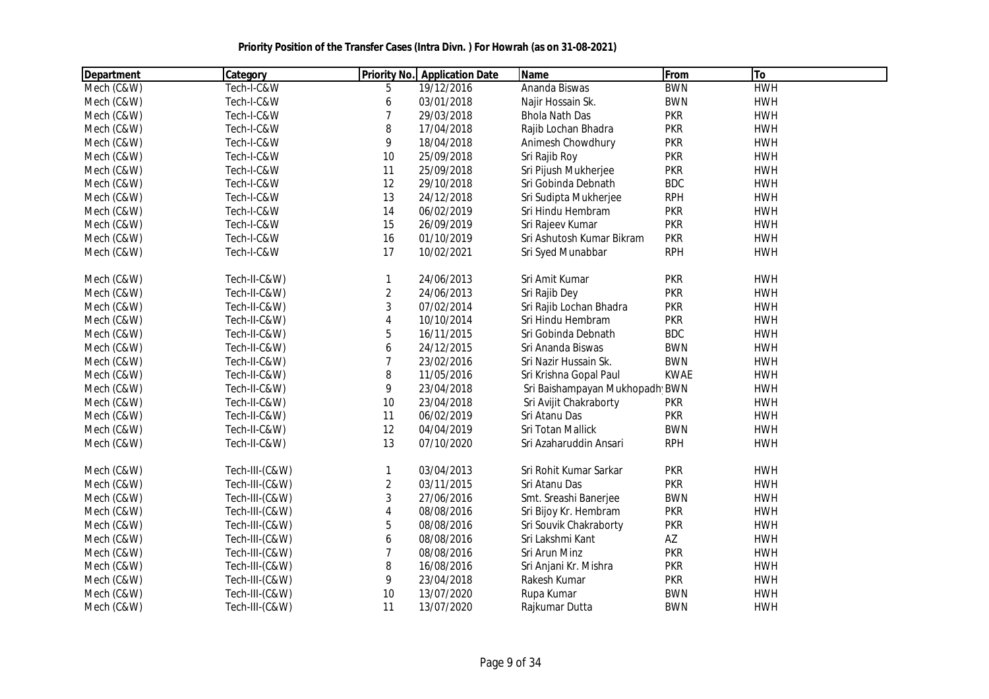| Department | Category       |                | <b>Priority No.</b> Application Date | Name                           | From        | To         |  |
|------------|----------------|----------------|--------------------------------------|--------------------------------|-------------|------------|--|
| Mech (C&W) | Tech-I-C&W     | 5              | 19/12/2016                           | Ananda Biswas                  | <b>BWN</b>  | <b>HWH</b> |  |
| Mech (C&W) | Tech-I-C&W     | 6              | 03/01/2018                           | Najir Hossain Sk.              | <b>BWN</b>  | <b>HWH</b> |  |
| Mech (C&W) | Tech-I-C&W     | $\overline{7}$ | 29/03/2018                           | <b>Bhola Nath Das</b>          | <b>PKR</b>  | <b>HWH</b> |  |
| Mech (C&W) | Tech-I-C&W     | 8              | 17/04/2018                           | Rajib Lochan Bhadra            | <b>PKR</b>  | <b>HWH</b> |  |
| Mech (C&W) | Tech-I-C&W     | 9              | 18/04/2018                           | Animesh Chowdhury              | <b>PKR</b>  | <b>HWH</b> |  |
| Mech (C&W) | Tech-I-C&W     | 10             | 25/09/2018                           | Sri Rajib Roy                  | <b>PKR</b>  | <b>HWH</b> |  |
| Mech (C&W) | Tech-I-C&W     | 11             | 25/09/2018                           | Sri Pijush Mukherjee           | <b>PKR</b>  | <b>HWH</b> |  |
| Mech (C&W) | Tech-I-C&W     | 12             | 29/10/2018                           | Sri Gobinda Debnath            | <b>BDC</b>  | <b>HWH</b> |  |
| Mech (C&W) | Tech-I-C&W     | 13             | 24/12/2018                           | Sri Sudipta Mukherjee          | <b>RPH</b>  | <b>HWH</b> |  |
| Mech (C&W) | Tech-I-C&W     | 14             | 06/02/2019                           | Sri Hindu Hembram              | <b>PKR</b>  | <b>HWH</b> |  |
| Mech (C&W) | Tech-I-C&W     | 15             | 26/09/2019                           | Sri Rajeev Kumar               | <b>PKR</b>  | <b>HWH</b> |  |
| Mech (C&W) | Tech-I-C&W     | 16             | 01/10/2019                           | Sri Ashutosh Kumar Bikram      | <b>PKR</b>  | <b>HWH</b> |  |
| Mech (C&W) | Tech-I-C&W     | 17             | 10/02/2021                           | Sri Syed Munabbar              | <b>RPH</b>  | <b>HWH</b> |  |
| Mech (C&W) | Tech-II-C&W)   | $\mathbf{1}$   | 24/06/2013                           | Sri Amit Kumar                 | <b>PKR</b>  | <b>HWH</b> |  |
| Mech (C&W) | Tech-II-C&W)   | $\overline{2}$ | 24/06/2013                           | Sri Rajib Dey                  | <b>PKR</b>  | <b>HWH</b> |  |
| Mech (C&W) | Tech-II-C&W)   | $\mathbf{3}$   | 07/02/2014                           | Sri Rajib Lochan Bhadra        | <b>PKR</b>  | <b>HWH</b> |  |
| Mech (C&W) | Tech-II-C&W)   | 4              | 10/10/2014                           | Sri Hindu Hembram              | <b>PKR</b>  | <b>HWH</b> |  |
| Mech (C&W) | Tech-II-C&W)   | 5              | 16/11/2015                           | Sri Gobinda Debnath            | <b>BDC</b>  | <b>HWH</b> |  |
| Mech (C&W) | Tech-II-C&W)   | 6              | 24/12/2015                           | Sri Ananda Biswas              | <b>BWN</b>  | <b>HWH</b> |  |
| Mech (C&W) | Tech-II-C&W)   | $\overline{7}$ | 23/02/2016                           | Sri Nazir Hussain Sk.          | <b>BWN</b>  | <b>HWH</b> |  |
| Mech (C&W) | Tech-II-C&W)   | 8              | 11/05/2016                           | Sri Krishna Gopal Paul         | <b>KWAE</b> | <b>HWH</b> |  |
| Mech (C&W) | Tech-II-C&W)   | 9              | 23/04/2018                           | Sri Baishampayan Mukhopadh BWN |             | <b>HWH</b> |  |
| Mech (C&W) | Tech-II-C&W)   | 10             | 23/04/2018                           | Sri Avijit Chakraborty         | <b>PKR</b>  | <b>HWH</b> |  |
| Mech (C&W) | Tech-II-C&W)   | 11             | 06/02/2019                           | Sri Atanu Das                  | <b>PKR</b>  | <b>HWH</b> |  |
| Mech (C&W) | Tech-II-C&W)   | 12             | 04/04/2019                           | Sri Totan Mallick              | <b>BWN</b>  | <b>HWH</b> |  |
| Mech (C&W) | Tech-II-C&W)   | 13             | 07/10/2020                           | Sri Azaharuddin Ansari         | <b>RPH</b>  | <b>HWH</b> |  |
| Mech (C&W) | Tech-III-(C&W) | 1              | 03/04/2013                           | Sri Rohit Kumar Sarkar         | <b>PKR</b>  | <b>HWH</b> |  |
| Mech (C&W) | Tech-III-(C&W) | $\overline{2}$ | 03/11/2015                           | Sri Atanu Das                  | <b>PKR</b>  | <b>HWH</b> |  |
| Mech (C&W) | Tech-III-(C&W) | 3              | 27/06/2016                           | Smt. Sreashi Banerjee          | <b>BWN</b>  | <b>HWH</b> |  |
| Mech (C&W) | Tech-III-(C&W) | 4              | 08/08/2016                           | Sri Bijoy Kr. Hembram          | <b>PKR</b>  | <b>HWH</b> |  |
| Mech (C&W) | Tech-III-(C&W) | 5              | 08/08/2016                           | Sri Souvik Chakraborty         | <b>PKR</b>  | <b>HWH</b> |  |
| Mech (C&W) | Tech-III-(C&W) | 6              | 08/08/2016                           | Sri Lakshmi Kant               | AZ          | <b>HWH</b> |  |
| Mech (C&W) | Tech-III-(C&W) | 7              | 08/08/2016                           | Sri Arun Minz                  | <b>PKR</b>  | <b>HWH</b> |  |
| Mech (C&W) | Tech-III-(C&W) | 8              | 16/08/2016                           | Sri Anjani Kr. Mishra          | <b>PKR</b>  | <b>HWH</b> |  |
| Mech (C&W) | Tech-III-(C&W) | 9              | 23/04/2018                           | Rakesh Kumar                   | <b>PKR</b>  | <b>HWH</b> |  |
| Mech (C&W) | Tech-III-(C&W) | 10             | 13/07/2020                           | Rupa Kumar                     | <b>BWN</b>  | <b>HWH</b> |  |
| Mech (C&W) | Tech-III-(C&W) | 11             | 13/07/2020                           | Rajkumar Dutta                 | <b>BWN</b>  | <b>HWH</b> |  |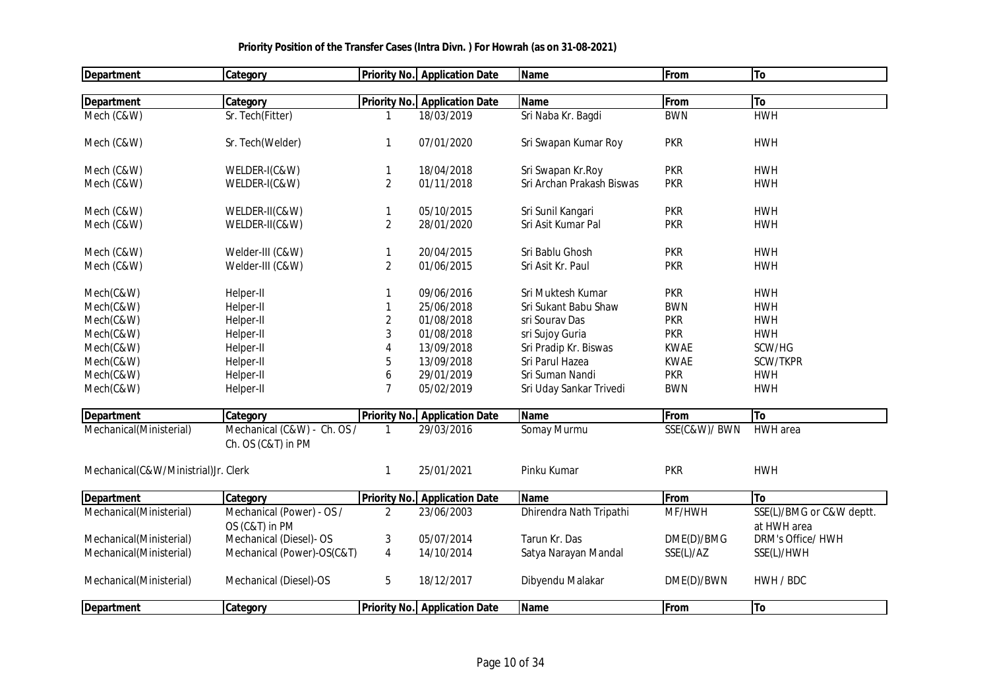| <b>Department</b>                   | <b>Category</b>             |                     | <b>Priority No. Application Date</b> | <b>Name</b>               | From         | To                       |
|-------------------------------------|-----------------------------|---------------------|--------------------------------------|---------------------------|--------------|--------------------------|
|                                     |                             |                     |                                      |                           |              |                          |
| <b>Department</b>                   | Category                    |                     | <b>Priority No. Application Date</b> | <b>Name</b>               | From         | To                       |
| Mech (C&W)                          | Sr. Tech(Fitter)            | -1                  | 18/03/2019                           | Sri Naba Kr. Bagdi        | <b>BWN</b>   | <b>HWH</b>               |
| Mech (C&W)                          | Sr. Tech(Welder)            | $\mathbf{1}$        | 07/01/2020                           | Sri Swapan Kumar Roy      | <b>PKR</b>   | <b>HWH</b>               |
| Mech (C&W)                          | WELDER-I(C&W)               | $\mathbf{1}$        | 18/04/2018                           | Sri Swapan Kr.Roy         | <b>PKR</b>   | <b>HWH</b>               |
| Mech (C&W)                          | WELDER-I(C&W)               | $\overline{2}$      | 01/11/2018                           | Sri Archan Prakash Biswas | <b>PKR</b>   | <b>HWH</b>               |
| Mech (C&W)                          | WELDER-II(C&W)              | $\mathbf{1}$        | 05/10/2015                           | Sri Sunil Kangari         | <b>PKR</b>   | <b>HWH</b>               |
| Mech (C&W)                          | WELDER-II(C&W)              | $\overline{2}$      | 28/01/2020                           | Sri Asit Kumar Pal        | <b>PKR</b>   | <b>HWH</b>               |
| Mech (C&W)                          | Welder-III (C&W)            | $\mathbf{1}$        | 20/04/2015                           | Sri Bablu Ghosh           | <b>PKR</b>   | <b>HWH</b>               |
| Mech (C&W)                          | Welder-III (C&W)            | $\overline{2}$      | 01/06/2015                           | Sri Asit Kr. Paul         | <b>PKR</b>   | <b>HWH</b>               |
| Mech(C&W)                           | Helper-II                   | $\mathbf{1}$        | 09/06/2016                           | Sri Muktesh Kumar         | <b>PKR</b>   | <b>HWH</b>               |
| Mech(C&W)                           | Helper-II                   | $\mathbf{1}$        | 25/06/2018                           | Sri Sukant Babu Shaw      | <b>BWN</b>   | <b>HWH</b>               |
| Mech(C&W)                           | Helper-II                   | 2                   | 01/08/2018                           | sri Sourav Das            | <b>PKR</b>   | <b>HWH</b>               |
| Mech(C&W)                           | Helper-II                   | 3                   | 01/08/2018                           | sri Sujoy Guria           | <b>PKR</b>   | <b>HWH</b>               |
| Mech(C&W)                           | Helper-II                   | 4                   | 13/09/2018                           | Sri Pradip Kr. Biswas     | <b>KWAE</b>  | SCW/HG                   |
| Mech(C&W)                           | Helper-II                   | 5                   | 13/09/2018                           | Sri Parul Hazea           | <b>KWAE</b>  | SCW/TKPR                 |
| Mech(C&W)                           | Helper-II                   | 6                   | 29/01/2019                           | Sri Suman Nandi           | <b>PKR</b>   | <b>HWH</b>               |
| Mech(C&W)                           | Helper-II                   | 7                   | 05/02/2019                           | Sri Uday Sankar Trivedi   | <b>BWN</b>   | <b>HWH</b>               |
|                                     |                             |                     |                                      |                           |              |                          |
| <b>Department</b>                   | Category                    | <b>Priority No.</b> | <b>Application Date</b>              | Name                      | From         | To                       |
| Mechanical(Ministerial)             | Mechanical (C&W) - Ch. OS / |                     | 29/03/2016                           | Somay Murmu               | SSE(C&W)/BWN | <b>HWH</b> area          |
|                                     | Ch. OS (C&T) in PM          |                     |                                      |                           |              |                          |
| Mechanical(C&W/Ministrial)Jr. Clerk |                             | 1                   | 25/01/2021                           | Pinku Kumar               | <b>PKR</b>   | <b>HWH</b>               |
| <b>Department</b>                   | Category                    | <b>Priority No.</b> | <b>Application Date</b>              | <b>Name</b>               | From         | To                       |
| Mechanical(Ministerial)             | Mechanical (Power) - OS /   | 2                   | 23/06/2003                           | Dhirendra Nath Tripathi   | MF/HWH       | SSE(L)/BMG or C&W deptt. |
|                                     | OS (C&T) in PM              |                     |                                      |                           |              | at HWH area              |
| Mechanical(Ministerial)             | Mechanical (Diesel)- OS     | 3                   | 05/07/2014                           | Tarun Kr. Das             | DME(D)/BMG   | DRM's Office/ HWH        |
| Mechanical(Ministerial)             | Mechanical (Power)-OS(C&T)  | $\overline{4}$      | 14/10/2014                           | Satya Narayan Mandal      | SSE(L)/AZ    | SSE(L)/HWH               |
| Mechanical(Ministerial)             | Mechanical (Diesel)-OS      | 5                   | 18/12/2017                           | Dibyendu Malakar          | DME(D)/BWN   | HWH / BDC                |
| <b>Department</b>                   | <b>Category</b>             |                     | <b>Priority No.</b> Application Date | Name                      | <b>From</b>  | To                       |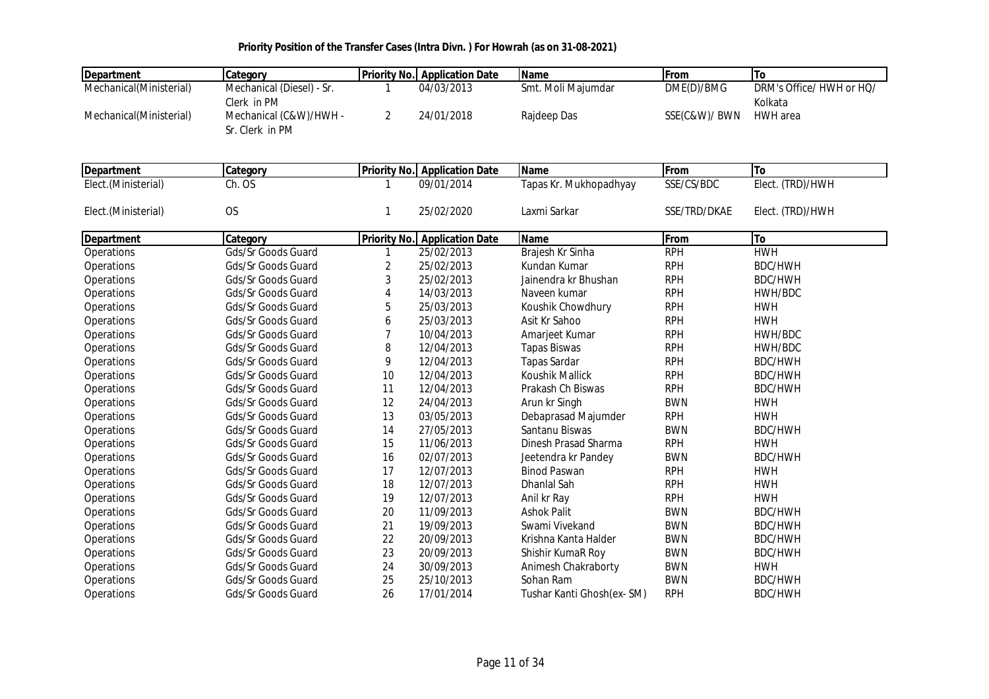| <b>Department</b>       | Category                  |                     | <b>Priority No. Application Date</b> | <b>Name</b>               | From         | To                       |
|-------------------------|---------------------------|---------------------|--------------------------------------|---------------------------|--------------|--------------------------|
| Mechanical(Ministerial) | Mechanical (Diesel) - Sr. | 1                   | 04/03/2013                           | Smt. Moli Majumdar        | DME(D)/BMG   | DRM's Office/ HWH or HQ/ |
|                         | Clerk in PM               |                     |                                      |                           |              | Kolkata                  |
| Mechanical(Ministerial) | Mechanical (C&W)/HWH -    | $\overline{2}$      | 24/01/2018                           | Rajdeep Das               | SSE(C&W)/BWN | HWH area                 |
|                         | Sr. Clerk in PM           |                     |                                      |                           |              |                          |
|                         |                           |                     |                                      |                           |              |                          |
| <b>Department</b>       | Category                  | <b>Priority No.</b> | <b>Application Date</b>              | <b>Name</b>               | From         | To                       |
| Elect.(Ministerial)     | Ch. OS                    | 1                   | 09/01/2014                           | Tapas Kr. Mukhopadhyay    | SSE/CS/BDC   | Elect. (TRD)/HWH         |
|                         |                           |                     |                                      |                           |              |                          |
| Elect.(Ministerial)     | <b>OS</b>                 | 1                   | 25/02/2020                           | Laxmi Sarkar              | SSE/TRD/DKAE | Elect. (TRD)/HWH         |
|                         |                           |                     |                                      |                           |              |                          |
| <b>Department</b>       | Category                  | <b>Priority No.</b> | <b>Application Date</b>              | <b>Name</b>               | From         | To                       |
| Operations              | Gds/Sr Goods Guard        | 1                   | 25/02/2013                           | Brajesh Kr Sinha          | <b>RPH</b>   | <b>HWH</b>               |
| Operations              | Gds/Sr Goods Guard        | 2                   | 25/02/2013                           | Kundan Kumar              | <b>RPH</b>   | BDC/HWH                  |
| Operations              | Gds/Sr Goods Guard        | 3                   | 25/02/2013                           | Jainendra kr Bhushan      | <b>RPH</b>   | BDC/HWH                  |
| Operations              | Gds/Sr Goods Guard        | 4                   | 14/03/2013                           | Naveen kumar              | <b>RPH</b>   | HWH/BDC                  |
| Operations              | Gds/Sr Goods Guard        | 5                   | 25/03/2013                           | Koushik Chowdhury         | <b>RPH</b>   | <b>HWH</b>               |
| Operations              | Gds/Sr Goods Guard        | 6                   | 25/03/2013                           | Asit Kr Sahoo             | <b>RPH</b>   | <b>HWH</b>               |
| Operations              | Gds/Sr Goods Guard        | $\overline{7}$      | 10/04/2013                           | Amarjeet Kumar            | <b>RPH</b>   | HWH/BDC                  |
| Operations              | Gds/Sr Goods Guard        | 8                   | 12/04/2013                           | <b>Tapas Biswas</b>       | <b>RPH</b>   | HWH/BDC                  |
| Operations              | Gds/Sr Goods Guard        | 9                   | 12/04/2013                           | <b>Tapas Sardar</b>       | <b>RPH</b>   | <b>BDC/HWH</b>           |
| Operations              | Gds/Sr Goods Guard        | 10                  | 12/04/2013                           | Koushik Mallick           | <b>RPH</b>   | <b>BDC/HWH</b>           |
| Operations              | <b>Gds/Sr Goods Guard</b> | 11                  | 12/04/2013                           | Prakash Ch Biswas         | <b>RPH</b>   | <b>BDC/HWH</b>           |
| <b>Operations</b>       | Gds/Sr Goods Guard        | 12                  | 24/04/2013                           | Arun kr Singh             | <b>BWN</b>   | <b>HWH</b>               |
| Operations              | Gds/Sr Goods Guard        | 13                  | 03/05/2013                           | Debaprasad Majumder       | <b>RPH</b>   | <b>HWH</b>               |
| Operations              | Gds/Sr Goods Guard        | 14                  | 27/05/2013                           | Santanu Biswas            | <b>BWN</b>   | <b>BDC/HWH</b>           |
| Operations              | Gds/Sr Goods Guard        | 15                  | 11/06/2013                           | Dinesh Prasad Sharma      | <b>RPH</b>   | <b>HWH</b>               |
| Operations              | Gds/Sr Goods Guard        | 16                  | 02/07/2013                           | Jeetendra kr Pandey       | <b>BWN</b>   | <b>BDC/HWH</b>           |
| Operations              | Gds/Sr Goods Guard        | 17                  | 12/07/2013                           | <b>Binod Paswan</b>       | <b>RPH</b>   | <b>HWH</b>               |
| Operations              | Gds/Sr Goods Guard        | 18                  | 12/07/2013                           | Dhanlal Sah               | <b>RPH</b>   | <b>HWH</b>               |
| Operations              | Gds/Sr Goods Guard        | 19                  | 12/07/2013                           | Anil kr Ray               | <b>RPH</b>   | <b>HWH</b>               |
| Operations              | Gds/Sr Goods Guard        | 20                  | 11/09/2013                           | <b>Ashok Palit</b>        | <b>BWN</b>   | <b>BDC/HWH</b>           |
| Operations              | Gds/Sr Goods Guard        | 21                  | 19/09/2013                           | Swami Vivekand            | <b>BWN</b>   | <b>BDC/HWH</b>           |
| Operations              | Gds/Sr Goods Guard        | 22                  | 20/09/2013                           | Krishna Kanta Halder      | <b>BWN</b>   | <b>BDC/HWH</b>           |
| Operations              | Gds/Sr Goods Guard        | 23                  | 20/09/2013                           | Shishir KumaR Roy         | <b>BWN</b>   | <b>BDC/HWH</b>           |
| Operations              | Gds/Sr Goods Guard        | 24                  | 30/09/2013                           | Animesh Chakraborty       | <b>BWN</b>   | <b>HWH</b>               |
| Operations              | Gds/Sr Goods Guard        | 25                  | 25/10/2013                           | Sohan Ram                 | <b>BWN</b>   | BDC/HWH                  |
| Operations              | Gds/Sr Goods Guard        | 26                  | 17/01/2014                           | Tushar Kanti Ghosh(ex-SM) | <b>RPH</b>   | BDC/HWH                  |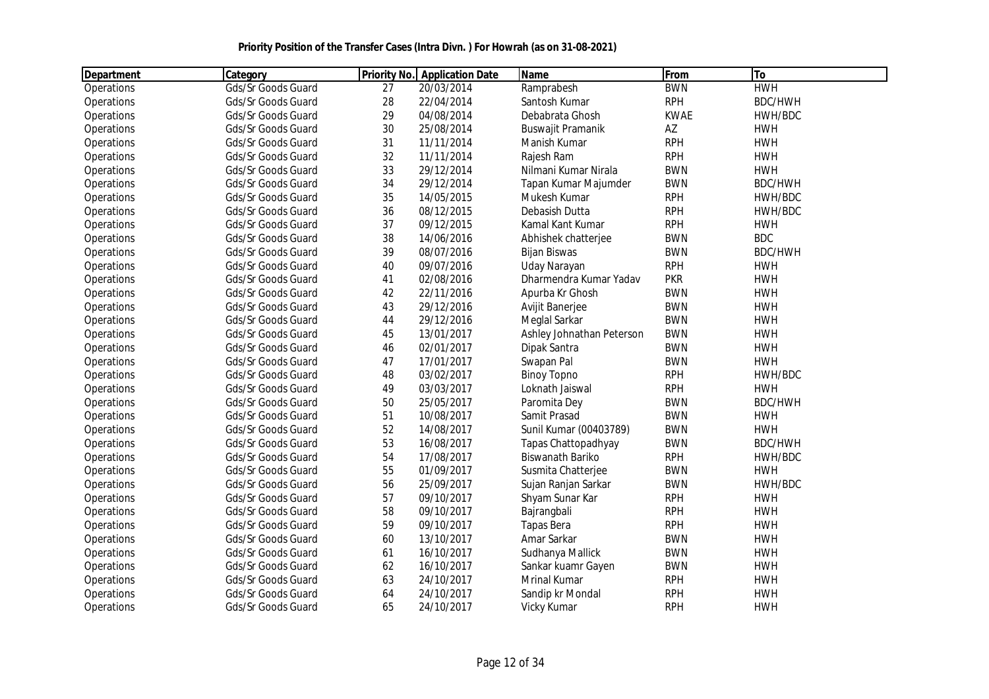| Department | Category                  |    | <b>Priority No.</b> Application Date | Name                      | From        | To             |  |
|------------|---------------------------|----|--------------------------------------|---------------------------|-------------|----------------|--|
| Operations | Gds/Sr Goods Guard        | 27 | 20/03/2014                           | Ramprabesh                | <b>BWN</b>  | <b>HWH</b>     |  |
| Operations | Gds/Sr Goods Guard        | 28 | 22/04/2014                           | Santosh Kumar             | <b>RPH</b>  | <b>BDC/HWH</b> |  |
| Operations | Gds/Sr Goods Guard        | 29 | 04/08/2014                           | Debabrata Ghosh           | <b>KWAE</b> | HWH/BDC        |  |
| Operations | Gds/Sr Goods Guard        | 30 | 25/08/2014                           | Buswajit Pramanik         | AZ          | <b>HWH</b>     |  |
| Operations | Gds/Sr Goods Guard        | 31 | 11/11/2014                           | Manish Kumar              | <b>RPH</b>  | <b>HWH</b>     |  |
| Operations | Gds/Sr Goods Guard        | 32 | 11/11/2014                           | Rajesh Ram                | <b>RPH</b>  | <b>HWH</b>     |  |
| Operations | Gds/Sr Goods Guard        | 33 | 29/12/2014                           | Nilmani Kumar Nirala      | <b>BWN</b>  | <b>HWH</b>     |  |
| Operations | Gds/Sr Goods Guard        | 34 | 29/12/2014                           | Tapan Kumar Majumder      | <b>BWN</b>  | <b>BDC/HWH</b> |  |
| Operations | Gds/Sr Goods Guard        | 35 | 14/05/2015                           | Mukesh Kumar              | <b>RPH</b>  | HWH/BDC        |  |
| Operations | Gds/Sr Goods Guard        | 36 | 08/12/2015                           | Debasish Dutta            | <b>RPH</b>  | HWH/BDC        |  |
| Operations | Gds/Sr Goods Guard        | 37 | 09/12/2015                           | Kamal Kant Kumar          | <b>RPH</b>  | <b>HWH</b>     |  |
| Operations | Gds/Sr Goods Guard        | 38 | 14/06/2016                           | Abhishek chatterjee       | <b>BWN</b>  | <b>BDC</b>     |  |
| Operations | Gds/Sr Goods Guard        | 39 | 08/07/2016                           | <b>Bijan Biswas</b>       | <b>BWN</b>  | <b>BDC/HWH</b> |  |
| Operations | Gds/Sr Goods Guard        | 40 | 09/07/2016                           | Uday Narayan              | <b>RPH</b>  | <b>HWH</b>     |  |
| Operations | Gds/Sr Goods Guard        | 41 | 02/08/2016                           | Dharmendra Kumar Yadav    | <b>PKR</b>  | <b>HWH</b>     |  |
| Operations | Gds/Sr Goods Guard        | 42 | 22/11/2016                           | Apurba Kr Ghosh           | <b>BWN</b>  | <b>HWH</b>     |  |
| Operations | Gds/Sr Goods Guard        | 43 | 29/12/2016                           | Avijit Banerjee           | <b>BWN</b>  | <b>HWH</b>     |  |
| Operations | Gds/Sr Goods Guard        | 44 | 29/12/2016                           | Meglal Sarkar             | <b>BWN</b>  | <b>HWH</b>     |  |
| Operations | Gds/Sr Goods Guard        | 45 | 13/01/2017                           | Ashley Johnathan Peterson | <b>BWN</b>  | <b>HWH</b>     |  |
| Operations | Gds/Sr Goods Guard        | 46 | 02/01/2017                           | Dipak Santra              | <b>BWN</b>  | <b>HWH</b>     |  |
| Operations | Gds/Sr Goods Guard        | 47 | 17/01/2017                           | Swapan Pal                | <b>BWN</b>  | <b>HWH</b>     |  |
| Operations | Gds/Sr Goods Guard        | 48 | 03/02/2017                           | <b>Binoy Topno</b>        | <b>RPH</b>  | HWH/BDC        |  |
| Operations | Gds/Sr Goods Guard        | 49 | 03/03/2017                           | Loknath Jaiswal           | <b>RPH</b>  | <b>HWH</b>     |  |
| Operations | Gds/Sr Goods Guard        | 50 | 25/05/2017                           | Paromita Dey              | <b>BWN</b>  | BDC/HWH        |  |
| Operations | Gds/Sr Goods Guard        | 51 | 10/08/2017                           | Samit Prasad              | <b>BWN</b>  | <b>HWH</b>     |  |
| Operations | Gds/Sr Goods Guard        | 52 | 14/08/2017                           | Sunil Kumar (00403789)    | <b>BWN</b>  | <b>HWH</b>     |  |
| Operations | Gds/Sr Goods Guard        | 53 | 16/08/2017                           | Tapas Chattopadhyay       | <b>BWN</b>  | <b>BDC/HWH</b> |  |
| Operations | Gds/Sr Goods Guard        | 54 | 17/08/2017                           | Biswanath Bariko          | <b>RPH</b>  | HWH/BDC        |  |
| Operations | Gds/Sr Goods Guard        | 55 | 01/09/2017                           | Susmita Chatterjee        | <b>BWN</b>  | <b>HWH</b>     |  |
| Operations | Gds/Sr Goods Guard        | 56 | 25/09/2017                           | Sujan Ranjan Sarkar       | <b>BWN</b>  | HWH/BDC        |  |
| Operations | Gds/Sr Goods Guard        | 57 | 09/10/2017                           | Shyam Sunar Kar           | <b>RPH</b>  | <b>HWH</b>     |  |
| Operations | Gds/Sr Goods Guard        | 58 | 09/10/2017                           | Bajrangbali               | <b>RPH</b>  | <b>HWH</b>     |  |
| Operations | Gds/Sr Goods Guard        | 59 | 09/10/2017                           | Tapas Bera                | <b>RPH</b>  | <b>HWH</b>     |  |
| Operations | Gds/Sr Goods Guard        | 60 | 13/10/2017                           | Amar Sarkar               | <b>BWN</b>  | <b>HWH</b>     |  |
| Operations | <b>Gds/Sr Goods Guard</b> | 61 | 16/10/2017                           | Sudhanya Mallick          | <b>BWN</b>  | <b>HWH</b>     |  |
| Operations | Gds/Sr Goods Guard        | 62 | 16/10/2017                           | Sankar kuamr Gayen        | <b>BWN</b>  | <b>HWH</b>     |  |
| Operations | Gds/Sr Goods Guard        | 63 | 24/10/2017                           | Mrinal Kumar              | <b>RPH</b>  | <b>HWH</b>     |  |
| Operations | Gds/Sr Goods Guard        | 64 | 24/10/2017                           | Sandip kr Mondal          | <b>RPH</b>  | <b>HWH</b>     |  |
| Operations | Gds/Sr Goods Guard        | 65 | 24/10/2017                           | Vicky Kumar               | <b>RPH</b>  | <b>HWH</b>     |  |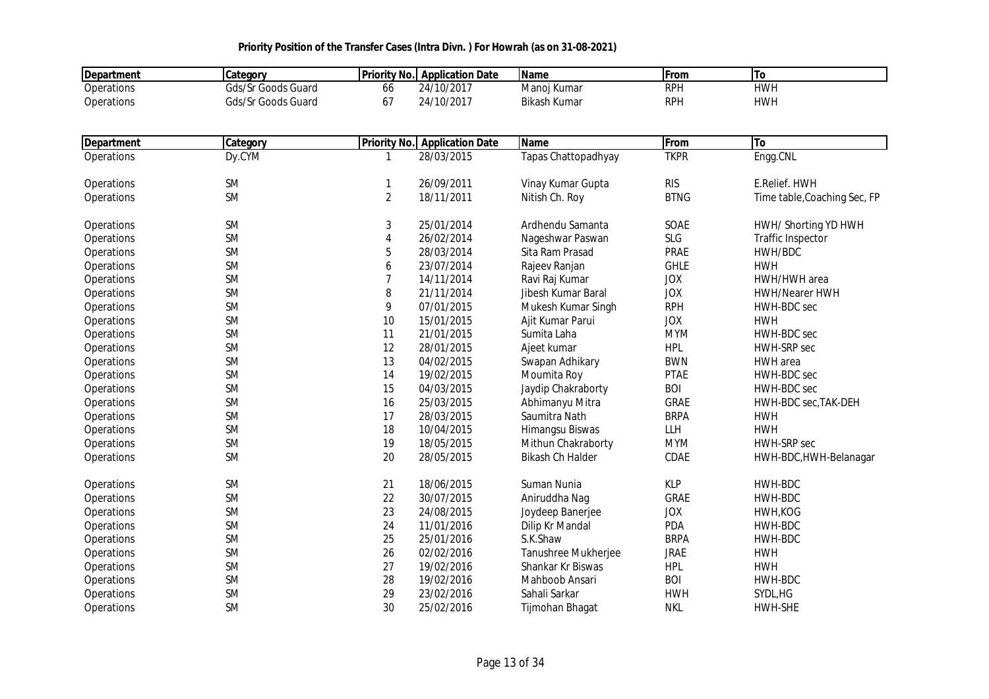| <b>Department</b> | Category               | <b>Priority No.</b> | <b>Application Date</b>  | <b>Name</b>             | From               | To                           |
|-------------------|------------------------|---------------------|--------------------------|-------------------------|--------------------|------------------------------|
| Operations        | Gds/Sr Goods Guard     | 66                  | 24/10/2017               | Manoj Kumar             | <b>RPH</b>         | <b>HWH</b>                   |
| Operations        | Gds/Sr Goods Guard     | 67                  | 24/10/2017               | <b>Bikash Kumar</b>     | <b>RPH</b>         | <b>HWH</b>                   |
| Department        | Category               | <b>Priority No.</b> | <b>Application Date</b>  | <b>Name</b>             | From               | <b>To</b>                    |
| Operations        | Dy.CYM                 | 1                   | 28/03/2015               | Tapas Chattopadhyay     | <b>TKPR</b>        | Engg.CNL                     |
|                   |                        |                     |                          |                         |                    |                              |
| Operations        | <b>SM</b>              | 1                   | 26/09/2011               | Vinay Kumar Gupta       | <b>RIS</b>         | E.Relief. HWH                |
| Operations        | <b>SM</b>              | $\overline{2}$      | 18/11/2011               | Nitish Ch. Roy          | <b>BTNG</b>        | Time table, Coaching Sec, FP |
|                   |                        |                     |                          |                         |                    |                              |
| Operations        | <b>SM</b><br><b>SM</b> | 3                   | 25/01/2014<br>26/02/2014 | Ardhendu Samanta        | SOAE<br><b>SLG</b> | HWH/ Shorting YD HWH         |
| Operations        |                        | 4                   |                          | Nageshwar Paswan        |                    | Traffic Inspector            |
| <b>Operations</b> | <b>SM</b>              | 5                   | 28/03/2014               | Sita Ram Prasad         | <b>PRAE</b>        | HWH/BDC                      |
| <b>Operations</b> | <b>SM</b>              | 6                   | 23/07/2014               | Rajeev Ranjan           | <b>GHLE</b>        | <b>HWH</b>                   |
| Operations        | <b>SM</b>              | $\overline{7}$      | 14/11/2014               | Ravi Raj Kumar          | <b>JOX</b>         | HWH/HWH area                 |
| Operations        | <b>SM</b>              | 8                   | 21/11/2014               | Jibesh Kumar Baral      | <b>JOX</b>         | HWH/Nearer HWH               |
| Operations        | <b>SM</b>              | 9                   | 07/01/2015               | Mukesh Kumar Singh      | <b>RPH</b>         | HWH-BDC sec                  |
| Operations        | <b>SM</b>              | 10                  | 15/01/2015               | Ajit Kumar Parui        | <b>JOX</b>         | <b>HWH</b>                   |
| Operations        | <b>SM</b>              | 11                  | 21/01/2015               | Sumita Laha             | <b>MYM</b>         | HWH-BDC sec                  |
| Operations        | <b>SM</b>              | 12                  | 28/01/2015               | Ajeet kumar             | <b>HPL</b>         | HWH-SRP sec                  |
| Operations        | <b>SM</b>              | 13                  | 04/02/2015               | Swapan Adhikary         | <b>BWN</b>         | HWH area                     |
| Operations        | <b>SM</b>              | 14                  | 19/02/2015               | Moumita Roy             | <b>PTAE</b>        | HWH-BDC sec                  |
| Operations        | <b>SM</b>              | 15                  | 04/03/2015               | Jaydip Chakraborty      | <b>BOI</b>         | HWH-BDC sec                  |
| Operations        | <b>SM</b>              | 16                  | 25/03/2015               | Abhimanyu Mitra         | <b>GRAE</b>        | HWH-BDC sec, TAK-DEH         |
| Operations        | <b>SM</b>              | 17                  | 28/03/2015               | Saumitra Nath           | <b>BRPA</b>        | <b>HWH</b>                   |
| Operations        | <b>SM</b>              | 18                  | 10/04/2015               | Himangsu Biswas         | LLH                | <b>HWH</b>                   |
| Operations        | <b>SM</b>              | 19                  | 18/05/2015               | Mithun Chakraborty      | <b>MYM</b>         | HWH-SRP sec                  |
| Operations        | <b>SM</b>              | 20                  | 28/05/2015               | <b>Bikash Ch Halder</b> | CDAE               | HWH-BDC, HWH-Belanagar       |
| Operations        | <b>SM</b>              | 21                  | 18/06/2015               | Suman Nunia             | <b>KLP</b>         | HWH-BDC                      |
| Operations        | <b>SM</b>              | 22                  | 30/07/2015               | Aniruddha Nag           | GRAE               | HWH-BDC                      |
| Operations        | <b>SM</b>              | 23                  | 24/08/2015               | Joydeep Banerjee        | <b>JOX</b>         | HWH, KOG                     |
| Operations        | <b>SM</b>              | 24                  | 11/01/2016               | Dilip Kr Mandal         | PDA                | HWH-BDC                      |
| Operations        | <b>SM</b>              | 25                  | 25/01/2016               | S.K.Shaw                | <b>BRPA</b>        | HWH-BDC                      |
| Operations        | <b>SM</b>              | 26                  | 02/02/2016               | Tanushree Mukherjee     | <b>JRAE</b>        | <b>HWH</b>                   |
| Operations        | <b>SM</b>              | 27                  | 19/02/2016               | Shankar Kr Biswas       | <b>HPL</b>         | <b>HWH</b>                   |
| Operations        | <b>SM</b>              | 28                  | 19/02/2016               | Mahboob Ansari          | <b>BOI</b>         | HWH-BDC                      |
| Operations        | <b>SM</b>              | 29                  | 23/02/2016               | Sahali Sarkar           | <b>HWH</b>         | SYDL, HG                     |
| Operations        | <b>SM</b>              | 30                  | 25/02/2016               | Tijmohan Bhagat         | <b>NKL</b>         | <b>HWH-SHE</b>               |
|                   |                        |                     |                          |                         |                    |                              |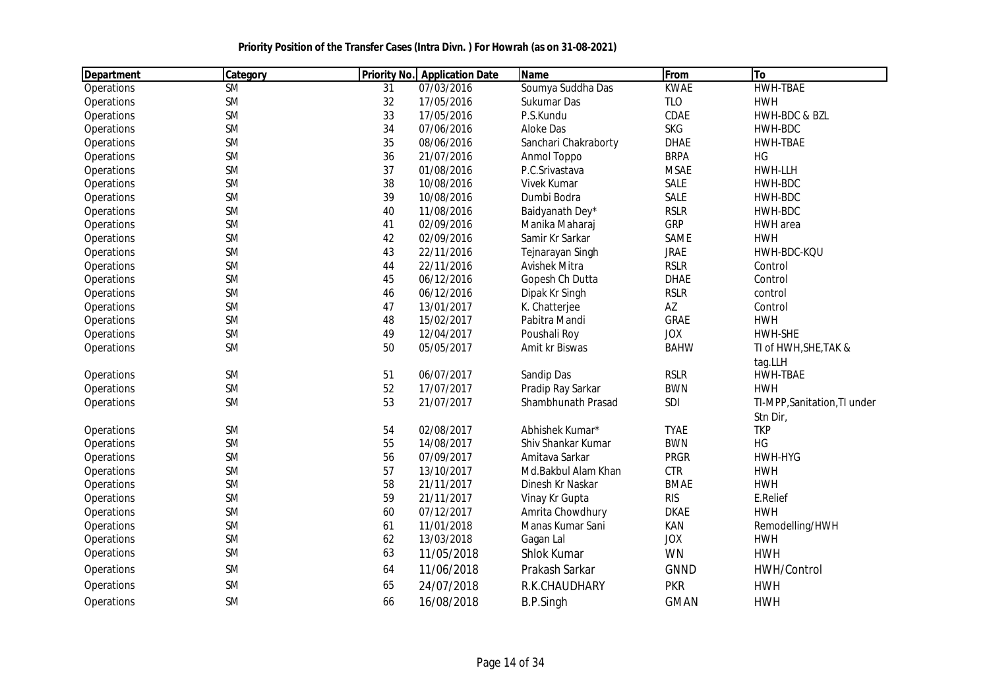| Department        | Category  | <b>Priority No.</b> | <b>Application Date</b> | <b>Name</b>          | From        | To                           |
|-------------------|-----------|---------------------|-------------------------|----------------------|-------------|------------------------------|
| <b>Operations</b> | <b>SM</b> | 31                  | 07/03/2016              | Soumya Suddha Das    | <b>KWAE</b> | <b>HWH-TBAE</b>              |
| Operations        | <b>SM</b> | 32                  | 17/05/2016              | Sukumar Das          | <b>TLO</b>  | <b>HWH</b>                   |
| Operations        | <b>SM</b> | 33                  | 17/05/2016              | P.S.Kundu            | CDAE        | HWH-BDC & BZL                |
| Operations        | <b>SM</b> | 34                  | 07/06/2016              | Aloke Das            | <b>SKG</b>  | HWH-BDC                      |
| Operations        | <b>SM</b> | 35                  | 08/06/2016              | Sanchari Chakraborty | <b>DHAE</b> | HWH-TBAE                     |
| Operations        | <b>SM</b> | 36                  | 21/07/2016              | Anmol Toppo          | <b>BRPA</b> | HG                           |
| Operations        | <b>SM</b> | 37                  | 01/08/2016              | P.C.Srivastava       | <b>MSAE</b> | HWH-LLH                      |
| Operations        | <b>SM</b> | 38                  | 10/08/2016              | Vivek Kumar          | SALE        | HWH-BDC                      |
| Operations        | <b>SM</b> | 39                  | 10/08/2016              | Dumbi Bodra          | SALE        | HWH-BDC                      |
| Operations        | <b>SM</b> | 40                  | 11/08/2016              | Baidyanath Dey*      | <b>RSLR</b> | HWH-BDC                      |
| Operations        | <b>SM</b> | 41                  | 02/09/2016              | Manika Maharaj       | <b>GRP</b>  | HWH area                     |
| Operations        | <b>SM</b> | 42                  | 02/09/2016              | Samir Kr Sarkar      | SAME        | <b>HWH</b>                   |
| Operations        | <b>SM</b> | 43                  | 22/11/2016              | Tejnarayan Singh     | <b>JRAE</b> | HWH-BDC-KQU                  |
| Operations        | <b>SM</b> | 44                  | 22/11/2016              | <b>Avishek Mitra</b> | <b>RSLR</b> | Control                      |
| Operations        | <b>SM</b> | 45                  | 06/12/2016              | Gopesh Ch Dutta      | <b>DHAE</b> | Control                      |
| Operations        | <b>SM</b> | 46                  | 06/12/2016              | Dipak Kr Singh       | <b>RSLR</b> | control                      |
| Operations        | <b>SM</b> | 47                  | 13/01/2017              | K. Chatterjee        | AZ          | Control                      |
| Operations        | <b>SM</b> | 48                  | 15/02/2017              | Pabitra Mandi        | <b>GRAE</b> | <b>HWH</b>                   |
| Operations        | <b>SM</b> | 49                  | 12/04/2017              | Poushali Roy         | <b>JOX</b>  | <b>HWH-SHE</b>               |
| Operations        | <b>SM</b> | 50                  | 05/05/2017              | Amit kr Biswas       | <b>BAHW</b> | TI of HWH, SHE, TAK &        |
|                   |           |                     |                         |                      |             | tag.LLH                      |
| Operations        | <b>SM</b> | 51                  | 06/07/2017              | Sandip Das           | <b>RSLR</b> | HWH-TBAE                     |
| Operations        | <b>SM</b> | 52                  | 17/07/2017              | Pradip Ray Sarkar    | <b>BWN</b>  | <b>HWH</b>                   |
| Operations        | <b>SM</b> | 53                  | 21/07/2017              | Shambhunath Prasad   | SDI         | TI-MPP, Sanitation, TI under |
|                   |           |                     |                         |                      |             | Stn Dir,                     |
| Operations        | <b>SM</b> | 54                  | 02/08/2017              | Abhishek Kumar*      | <b>TYAE</b> | <b>TKP</b>                   |
| Operations        | <b>SM</b> | 55                  | 14/08/2017              | Shiv Shankar Kumar   | <b>BWN</b>  | HG                           |
| Operations        | <b>SM</b> | 56                  | 07/09/2017              | Amitava Sarkar       | <b>PRGR</b> | HWH-HYG                      |
| Operations        | <b>SM</b> | 57                  | 13/10/2017              | Md.Bakbul Alam Khan  | <b>CTR</b>  | <b>HWH</b>                   |
| Operations        | <b>SM</b> | 58                  | 21/11/2017              | Dinesh Kr Naskar     | <b>BMAE</b> | <b>HWH</b>                   |
| Operations        | <b>SM</b> | 59                  | 21/11/2017              | Vinay Kr Gupta       | <b>RIS</b>  | E.Relief                     |
| Operations        | <b>SM</b> | 60                  | 07/12/2017              | Amrita Chowdhury     | <b>DKAE</b> | <b>HWH</b>                   |
| Operations        | <b>SM</b> | 61                  | 11/01/2018              | Manas Kumar Sani     | KAN         | Remodelling/HWH              |
| Operations        | <b>SM</b> | 62                  | 13/03/2018              | Gagan Lal            | <b>JOX</b>  | <b>HWH</b>                   |
| Operations        | <b>SM</b> | 63                  | 11/05/2018              | <b>Shlok Kumar</b>   | <b>WN</b>   | <b>HWH</b>                   |
| Operations        | <b>SM</b> | 64                  | 11/06/2018              | Prakash Sarkar       | <b>GNND</b> | HWH/Control                  |
| Operations        | <b>SM</b> | 65                  | 24/07/2018              | R.K.CHAUDHARY        | <b>PKR</b>  | <b>HWH</b>                   |
| Operations        | <b>SM</b> | 66                  | 16/08/2018              | <b>B.P.Singh</b>     | <b>GMAN</b> | <b>HWH</b>                   |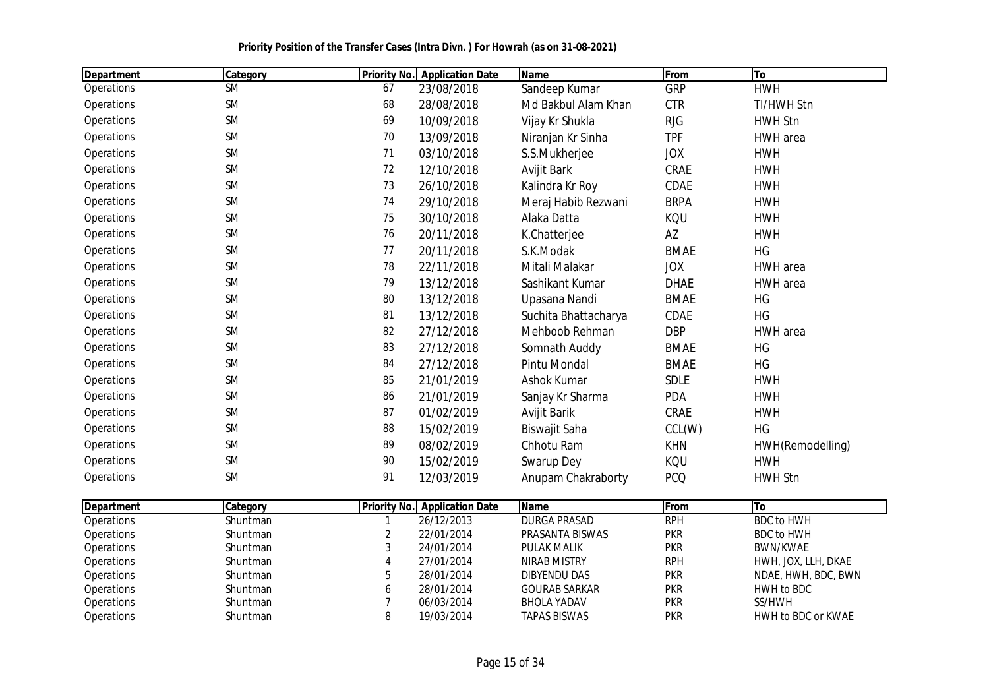| Department | Category  | <b>Priority No.</b> | <b>Application Date</b> | <b>Name</b>          | From        | To               |
|------------|-----------|---------------------|-------------------------|----------------------|-------------|------------------|
| Operations | <b>SM</b> | 67                  | 23/08/2018              | Sandeep Kumar        | <b>GRP</b>  | <b>HWH</b>       |
| Operations | <b>SM</b> | 68                  | 28/08/2018              | Md Bakbul Alam Khan  | <b>CTR</b>  | TI/HWH Stn       |
| Operations | <b>SM</b> | 69                  | 10/09/2018              | Vijay Kr Shukla      | <b>RJG</b>  | <b>HWH Stn</b>   |
| Operations | <b>SM</b> | 70                  | 13/09/2018              | Niranjan Kr Sinha    | <b>TPF</b>  | HWH area         |
| Operations | <b>SM</b> | 71                  | 03/10/2018              | S.S.Mukherjee        | <b>JOX</b>  | <b>HWH</b>       |
| Operations | <b>SM</b> | 72                  | 12/10/2018              | Avijit Bark          | CRAE        | <b>HWH</b>       |
| Operations | <b>SM</b> | 73                  | 26/10/2018              | Kalindra Kr Roy      | CDAE        | <b>HWH</b>       |
| Operations | <b>SM</b> | 74                  | 29/10/2018              | Meraj Habib Rezwani  | <b>BRPA</b> | <b>HWH</b>       |
| Operations | <b>SM</b> | 75                  | 30/10/2018              | Alaka Datta          | KQU         | <b>HWH</b>       |
| Operations | <b>SM</b> | 76                  | 20/11/2018              | K.Chatterjee         | AZ          | <b>HWH</b>       |
| Operations | <b>SM</b> | 77                  | 20/11/2018              | S.K.Modak            | <b>BMAE</b> | HG               |
| Operations | <b>SM</b> | 78                  | 22/11/2018              | Mitali Malakar       | <b>JOX</b>  | HWH area         |
| Operations | <b>SM</b> | 79                  | 13/12/2018              | Sashikant Kumar      | <b>DHAE</b> | HWH area         |
| Operations | <b>SM</b> | 80                  | 13/12/2018              | Upasana Nandi        | <b>BMAE</b> | HG               |
| Operations | <b>SM</b> | 81                  | 13/12/2018              | Suchita Bhattacharya | CDAE        | HG               |
| Operations | <b>SM</b> | 82                  | 27/12/2018              | Mehboob Rehman       | <b>DBP</b>  | HWH area         |
| Operations | <b>SM</b> | 83                  | 27/12/2018              | Somnath Auddy        | <b>BMAE</b> | HG               |
| Operations | <b>SM</b> | 84                  | 27/12/2018              | <b>Pintu Mondal</b>  | <b>BMAE</b> | <b>HG</b>        |
| Operations | <b>SM</b> | 85                  | 21/01/2019              | Ashok Kumar          | <b>SDLE</b> | <b>HWH</b>       |
| Operations | <b>SM</b> | 86                  | 21/01/2019              | Sanjay Kr Sharma     | PDA         | <b>HWH</b>       |
| Operations | <b>SM</b> | 87                  | 01/02/2019              | Avijit Barik         | CRAE        | <b>HWH</b>       |
| Operations | <b>SM</b> | 88                  | 15/02/2019              | Biswajit Saha        | CCL(W)      | HG               |
| Operations | <b>SM</b> | 89                  | 08/02/2019              | Chhotu Ram           | <b>KHN</b>  | HWH(Remodelling) |
| Operations | <b>SM</b> | 90                  | 15/02/2019              | Swarup Dey           | KQU         | <b>HWH</b>       |
| Operations | <b>SM</b> | 91                  | 12/03/2019              | Anupam Chakraborty   | <b>PCQ</b>  | <b>HWH Stn</b>   |

| Department        | Category        |   | <b>Priority No. Application Date</b> | <b>Name</b>          | <b>IFrom</b> | ΙTο                 |
|-------------------|-----------------|---|--------------------------------------|----------------------|--------------|---------------------|
| <b>Operations</b> | <b>Shuntman</b> |   | 26/12/2013                           | DURGA PRASAD         | <b>RPH</b>   | BDC to HWH          |
| <b>Operations</b> | <b>Shuntman</b> |   | 22/01/2014                           | PRASANTA BISWAS      | <b>PKR</b>   | BDC to HWH          |
| <b>Operations</b> | <b>Shuntman</b> |   | 24/01/2014                           | <b>PULAK MALIK</b>   | <b>PKR</b>   | BWN/KWAE            |
| Operations        | <b>Shuntman</b> |   | 27/01/2014                           | NIRAB MISTRY         | <b>RPH</b>   | HWH, JOX, LLH, DKAE |
| Operations        | Shuntman        |   | 28/01/2014                           | DIBYENDU DAS         | <b>PKR</b>   | NDAE, HWH, BDC, BWN |
| <b>Operations</b> | <b>Shuntman</b> | 6 | 28/01/2014                           | <b>GOURAB SARKAR</b> | <b>PKR</b>   | HWH to BDC          |
| <b>Operations</b> | <b>Shuntman</b> |   | 06/03/2014                           | <b>BHOLA YADAV</b>   | <b>PKR</b>   | SS/HWH              |
| <b>Operations</b> | <b>Shuntman</b> |   | 19/03/2014                           | <b>TAPAS BISWAS</b>  | <b>PKR</b>   | HWH to BDC or KWAE  |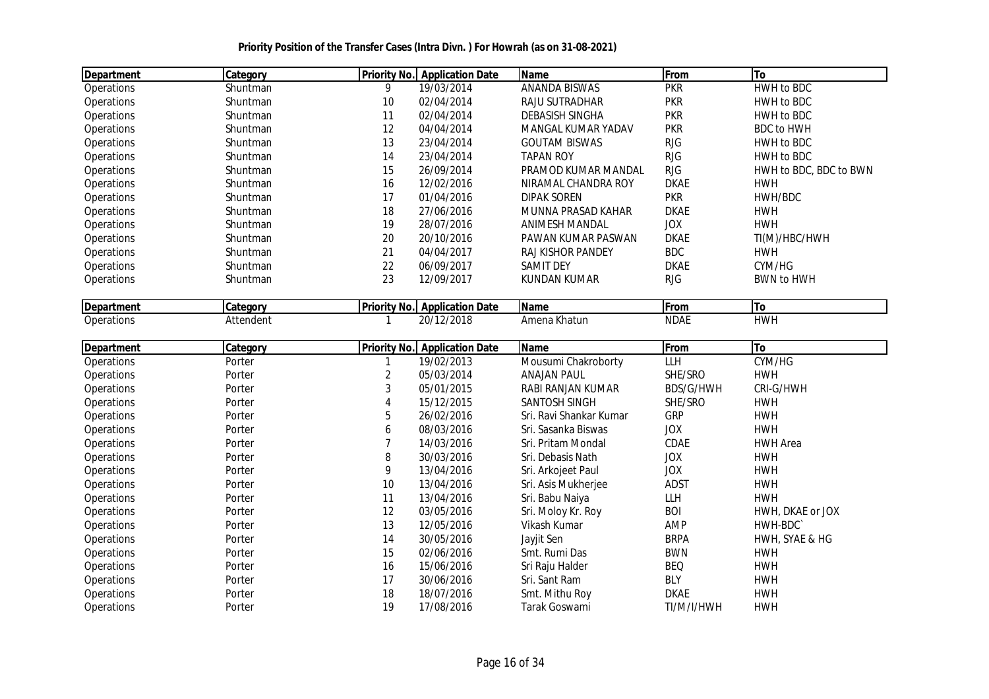| <b>Department</b> | <b>Category</b> |    | <b>Priority No. Application Date</b> | <b>Name</b>           | From        | To                     |
|-------------------|-----------------|----|--------------------------------------|-----------------------|-------------|------------------------|
| Operations        | Shuntman        | 9  | 19/03/2014                           | ANANDA BISWAS         | <b>PKR</b>  | HWH to BDC             |
| Operations        | Shuntman        | 10 | 02/04/2014                           | <b>RAJU SUTRADHAR</b> | <b>PKR</b>  | HWH to BDC             |
| <b>Operations</b> | Shuntman        | 11 | 02/04/2014                           | DEBASISH SINGHA       | <b>PKR</b>  | HWH to BDC             |
| Operations        | Shuntman        | 12 | 04/04/2014                           | MANGAL KUMAR YADAV    | <b>PKR</b>  | <b>BDC to HWH</b>      |
| Operations        | Shuntman        | 13 | 23/04/2014                           | <b>GOUTAM BISWAS</b>  | <b>RJG</b>  | HWH to BDC             |
| Operations        | Shuntman        | 14 | 23/04/2014                           | <b>TAPAN ROY</b>      | <b>RJG</b>  | HWH to BDC             |
| Operations        | Shuntman        | 15 | 26/09/2014                           | PRAMOD KUMAR MANDAL   | <b>RJG</b>  | HWH to BDC, BDC to BWN |
| Operations        | Shuntman        | 16 | 12/02/2016                           | NIRAMAL CHANDRA ROY   | <b>DKAE</b> | HWH                    |
| <b>Operations</b> | Shuntman        | 17 | 01/04/2016                           | <b>DIPAK SOREN</b>    | <b>PKR</b>  | HWH/BDC                |
| Operations        | Shuntman        | 18 | 27/06/2016                           | MUNNA PRASAD KAHAR    | <b>DKAE</b> | <b>HWH</b>             |
| Operations        | Shuntman        | 19 | 28/07/2016                           | <b>ANIMESH MANDAL</b> | <b>JOX</b>  | <b>HWH</b>             |
| <b>Operations</b> | Shuntman        | 20 | 20/10/2016                           | PAWAN KUMAR PASWAN    | <b>DKAE</b> | TI(M)/HBC/HWH          |
| Operations        | Shuntman        | 21 | 04/04/2017                           | RAJ KISHOR PANDEY     | <b>BDC</b>  | <b>HWH</b>             |
| Operations        | Shuntman        | 22 | 06/09/2017                           | <b>SAMIT DEY</b>      | <b>DKAE</b> | CYM/HG                 |
| Operations        | Shuntman        | 23 | 12/09/2017                           | KUNDAN KUMAR          | <b>RJG</b>  | <b>BWN to HWH</b>      |

| Department | <b>Categor</b>         | <b>Priority No.</b> | <b>Application Date</b>   | <b>Name</b>                         | <b>From</b> | - 10 |
|------------|------------------------|---------------------|---------------------------|-------------------------------------|-------------|------|
| Operations | ∧ttar<br>าdent<br>וסור |                     | /2018<br>$\sim$<br>11 I L | .<br>าa Khatun<br>Amen <sup>.</sup> | NDAL        | HWI  |

| Department        | Category | <b>Priority No.</b> | <b>Application Date</b> | <b>Name</b>             | From        | To               |
|-------------------|----------|---------------------|-------------------------|-------------------------|-------------|------------------|
| Operations        | Porter   |                     | 19/02/2013              | Mousumi Chakroborty     | LLH         | CYM/HG           |
| Operations        | Porter   |                     | 05/03/2014              | <b>ANAJAN PAUL</b>      | SHE/SRO     | <b>HWH</b>       |
| Operations        | Porter   | 3                   | 05/01/2015              | RABI RANJAN KUMAR       | BDS/G/HWH   | CRI-G/HWH        |
| <b>Operations</b> | Porter   | 4                   | 15/12/2015              | <b>SANTOSH SINGH</b>    | SHE/SRO     | <b>HWH</b>       |
| <b>Operations</b> | Porter   | 5                   | 26/02/2016              | Sri. Ravi Shankar Kumar | <b>GRP</b>  | <b>HWH</b>       |
| Operations        | Porter   | 6                   | 08/03/2016              | Sri. Sasanka Biswas     | <b>JOX</b>  | <b>HWH</b>       |
| Operations        | Porter   |                     | 14/03/2016              | Sri. Pritam Mondal      | <b>CDAE</b> | <b>HWH Area</b>  |
| Operations        | Porter   | 8                   | 30/03/2016              | Sri. Debasis Nath       | <b>JOX</b>  | <b>HWH</b>       |
| Operations        | Porter   | 9                   | 13/04/2016              | Sri. Arkojeet Paul      | <b>JOX</b>  | <b>HWH</b>       |
| <b>Operations</b> | Porter   | 10                  | 13/04/2016              | Sri. Asis Mukherjee     | ADST        | <b>HWH</b>       |
| <b>Operations</b> | Porter   | 11                  | 13/04/2016              | Sri. Babu Naiya         | LLH         | <b>HWH</b>       |
| Operations        | Porter   | 12                  | 03/05/2016              | Sri. Moloy Kr. Roy      | <b>BOI</b>  | HWH, DKAE or JOX |
| Operations        | Porter   | 13                  | 12/05/2016              | Vikash Kumar            | AMP         | HWH-BDC          |
| Operations        | Porter   | 14                  | 30/05/2016              | Jayjit Sen              | <b>BRPA</b> | HWH, SYAE & HG   |
| Operations        | Porter   | 15                  | 02/06/2016              | Smt. Rumi Das           | <b>BWN</b>  | <b>HWH</b>       |
| Operations        | Porter   | 16                  | 15/06/2016              | Sri Raju Halder         | <b>BEQ</b>  | <b>HWH</b>       |
| <b>Operations</b> | Porter   | 17                  | 30/06/2016              | Sri. Sant Ram           | <b>BLY</b>  | <b>HWH</b>       |
| <b>Operations</b> | Porter   | 18                  | 18/07/2016              | Smt. Mithu Roy          | <b>DKAE</b> | <b>HWH</b>       |
| <b>Operations</b> | Porter   | 19                  | 17/08/2016              | Tarak Goswami           | TI/M/I/HWH  | <b>HWH</b>       |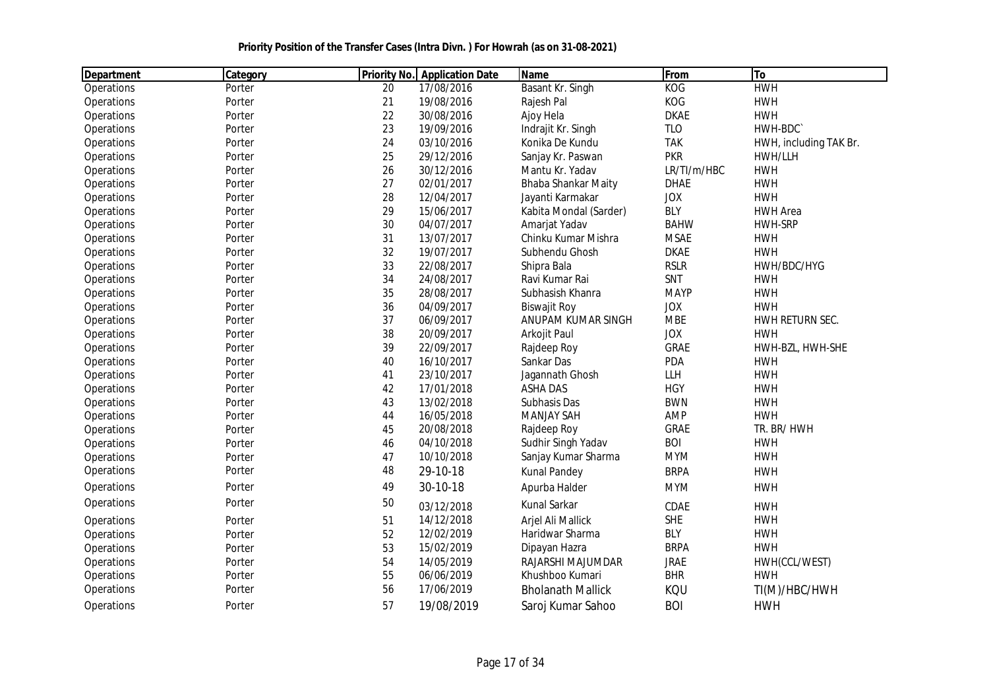| Department | Category |    | <b>Priority No.</b> Application Date | Name                     | <b>From</b> | <b>To</b>              |
|------------|----------|----|--------------------------------------|--------------------------|-------------|------------------------|
| Operations | Porter   | 20 | 17/08/2016                           | Basant Kr. Singh         | KOG         | <b>HWH</b>             |
| Operations | Porter   | 21 | 19/08/2016                           | Rajesh Pal               | KOG         | <b>HWH</b>             |
| Operations | Porter   | 22 | 30/08/2016                           | Ajoy Hela                | <b>DKAE</b> | <b>HWH</b>             |
| Operations | Porter   | 23 | 19/09/2016                           | Indrajit Kr. Singh       | <b>TLO</b>  | HWH-BDC                |
| Operations | Porter   | 24 | 03/10/2016                           | Konika De Kundu          | <b>TAK</b>  | HWH, including TAK Br. |
| Operations | Porter   | 25 | 29/12/2016                           | Sanjay Kr. Paswan        | <b>PKR</b>  | HWH/LLH                |
| Operations | Porter   | 26 | 30/12/2016                           | Mantu Kr. Yadav          | LR/TI/m/HBC | <b>HWH</b>             |
| Operations | Porter   | 27 | 02/01/2017                           | Bhaba Shankar Maity      | <b>DHAE</b> | <b>HWH</b>             |
| Operations | Porter   | 28 | 12/04/2017                           | Jayanti Karmakar         | <b>JOX</b>  | <b>HWH</b>             |
| Operations | Porter   | 29 | 15/06/2017                           | Kabita Mondal (Sarder)   | <b>BLY</b>  | <b>HWH Area</b>        |
| Operations | Porter   | 30 | 04/07/2017                           | Amarjat Yadav            | <b>BAHW</b> | <b>HWH-SRP</b>         |
| Operations | Porter   | 31 | 13/07/2017                           | Chinku Kumar Mishra      | <b>MSAE</b> | <b>HWH</b>             |
| Operations | Porter   | 32 | 19/07/2017                           | Subhendu Ghosh           | <b>DKAE</b> | <b>HWH</b>             |
| Operations | Porter   | 33 | 22/08/2017                           | Shipra Bala              | <b>RSLR</b> | HWH/BDC/HYG            |
| Operations | Porter   | 34 | 24/08/2017                           | Ravi Kumar Rai           | SNT         | <b>HWH</b>             |
| Operations | Porter   | 35 | 28/08/2017                           | Subhasish Khanra         | <b>MAYP</b> | <b>HWH</b>             |
| Operations | Porter   | 36 | 04/09/2017                           | <b>Biswajit Roy</b>      | <b>JOX</b>  | <b>HWH</b>             |
| Operations | Porter   | 37 | 06/09/2017                           | ANUPAM KUMAR SINGH       | <b>MBE</b>  | HWH RETURN SEC.        |
| Operations | Porter   | 38 | 20/09/2017                           | Arkojit Paul             | <b>JOX</b>  | <b>HWH</b>             |
| Operations | Porter   | 39 | 22/09/2017                           | Rajdeep Roy              | <b>GRAE</b> | HWH-BZL, HWH-SHE       |
| Operations | Porter   | 40 | 16/10/2017                           | Sankar Das               | <b>PDA</b>  | <b>HWH</b>             |
| Operations | Porter   | 41 | 23/10/2017                           | Jagannath Ghosh          | LLH         | <b>HWH</b>             |
| Operations | Porter   | 42 | 17/01/2018                           | <b>ASHA DAS</b>          | <b>HGY</b>  | <b>HWH</b>             |
| Operations | Porter   | 43 | 13/02/2018                           | Subhasis Das             | <b>BWN</b>  | <b>HWH</b>             |
| Operations | Porter   | 44 | 16/05/2018                           | <b>MANJAY SAH</b>        | AMP         | <b>HWH</b>             |
| Operations | Porter   | 45 | 20/08/2018                           | Rajdeep Roy              | <b>GRAE</b> | TR. BR/ HWH            |
| Operations | Porter   | 46 | 04/10/2018                           | Sudhir Singh Yadav       | <b>BOI</b>  | <b>HWH</b>             |
| Operations | Porter   | 47 | 10/10/2018                           | Sanjay Kumar Sharma      | <b>MYM</b>  | <b>HWH</b>             |
| Operations | Porter   | 48 | 29-10-18                             | <b>Kunal Pandey</b>      | <b>BRPA</b> | <b>HWH</b>             |
| Operations | Porter   | 49 | 30-10-18                             | Apurba Halder            | <b>MYM</b>  | <b>HWH</b>             |
| Operations | Porter   | 50 | 03/12/2018                           | Kunal Sarkar             | CDAE        | <b>HWH</b>             |
| Operations | Porter   | 51 | 14/12/2018                           | Arjel Ali Mallick        | <b>SHE</b>  | <b>HWH</b>             |
| Operations | Porter   | 52 | 12/02/2019                           | Haridwar Sharma          | <b>BLY</b>  | <b>HWH</b>             |
| Operations | Porter   | 53 | 15/02/2019                           | Dipayan Hazra            | <b>BRPA</b> | <b>HWH</b>             |
| Operations | Porter   | 54 | 14/05/2019                           | RAJARSHI MAJUMDAR        | <b>JRAE</b> | HWH(CCL/WEST)          |
| Operations | Porter   | 55 | 06/06/2019                           | Khushboo Kumari          | <b>BHR</b>  | <b>HWH</b>             |
| Operations | Porter   | 56 | 17/06/2019                           | <b>Bholanath Mallick</b> | KQU         | TI(M)/HBC/HWH          |
| Operations | Porter   | 57 | 19/08/2019                           | Saroj Kumar Sahoo        | <b>BOI</b>  | <b>HWH</b>             |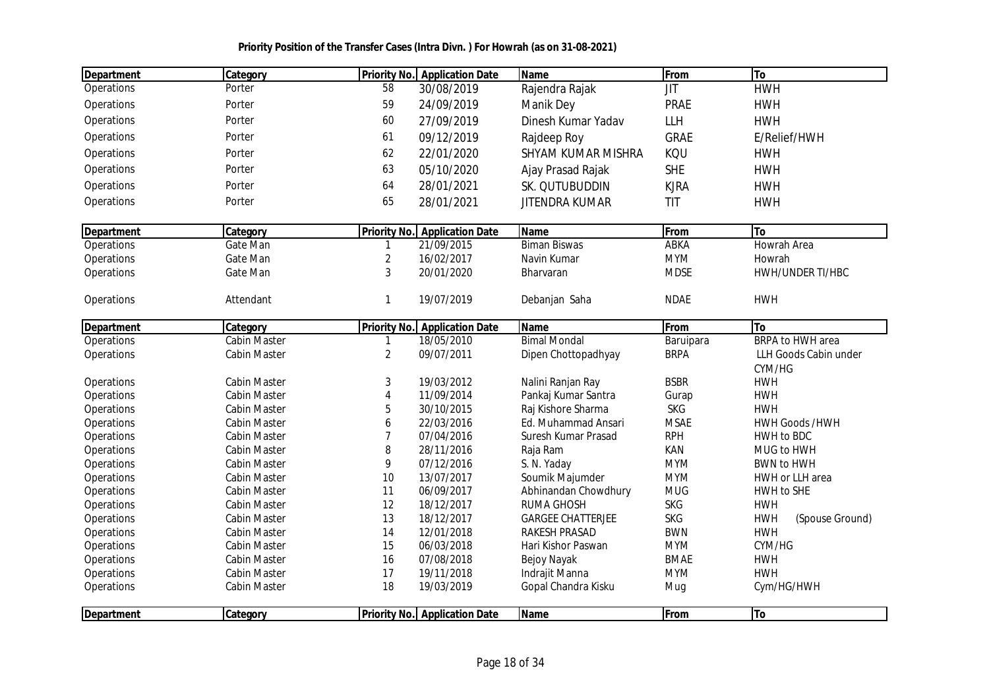|  | Priority Position of the Transfer Cases (Intra Divn.) For Howrah (as on 31-08-2021) |
|--|-------------------------------------------------------------------------------------|
|--|-------------------------------------------------------------------------------------|

| <b>Department</b> | Category            | <b>Priority No.</b> | <b>Application Date</b>              | Name                      | From        | To                            |
|-------------------|---------------------|---------------------|--------------------------------------|---------------------------|-------------|-------------------------------|
| Operations        | Porter              | 58                  | 30/08/2019                           | Rajendra Rajak            | JIT         | <b>HWH</b>                    |
| Operations        | Porter              | 59                  | 24/09/2019                           | Manik Dey                 | <b>PRAE</b> | <b>HWH</b>                    |
| Operations        | Porter              | 60                  | 27/09/2019                           | Dinesh Kumar Yadav        | LLH         | <b>HWH</b>                    |
| Operations        | Porter              | 61                  | 09/12/2019                           | Rajdeep Roy               | <b>GRAE</b> | E/Relief/HWH                  |
| Operations        | Porter              | 62                  | 22/01/2020                           | <b>SHYAM KUMAR MISHRA</b> | KQU         | <b>HWH</b>                    |
| Operations        | Porter              | 63                  | 05/10/2020                           | Ajay Prasad Rajak         | <b>SHE</b>  | <b>HWH</b>                    |
| Operations        | Porter              | 64                  | 28/01/2021                           | SK. QUTUBUDDIN            | <b>KJRA</b> | <b>HWH</b>                    |
| Operations        | Porter              | 65                  | 28/01/2021                           | <b>JITENDRA KUMAR</b>     | <b>TIT</b>  | <b>HWH</b>                    |
| Department        | Category            | <b>Priority No.</b> | <b>Application Date</b>              | Name                      | From        | To                            |
| Operations        | Gate Man            |                     | 21/09/2015                           | <b>Biman Biswas</b>       | ABKA        | Howrah Area                   |
| Operations        | Gate Man            | $\overline{2}$      | 16/02/2017                           | Navin Kumar               | <b>MYM</b>  | Howrah                        |
| Operations        | Gate Man            | 3                   | 20/01/2020                           | Bharvaran                 | <b>MDSE</b> | HWH/UNDER TI/HBC              |
| Operations        | Attendant           | 1                   | 19/07/2019                           | Debanjan Saha             | <b>NDAE</b> | <b>HWH</b>                    |
| Department        | Category            | <b>Priority No.</b> | <b>Application Date</b>              | Name                      | From        | To                            |
| Operations        | <b>Cabin Master</b> | 1                   | 18/05/2010                           | <b>Bimal Mondal</b>       | Baruipara   | <b>BRPA to HWH area</b>       |
| Operations        | Cabin Master        | $\overline{2}$      | 09/07/2011                           | Dipen Chottopadhyay       | <b>BRPA</b> | LLH Goods Cabin under         |
|                   |                     |                     |                                      |                           |             | CYM/HG                        |
| Operations        | <b>Cabin Master</b> | 3                   | 19/03/2012                           | Nalini Ranjan Ray         | <b>BSBR</b> | <b>HWH</b>                    |
| Operations        | <b>Cabin Master</b> | $\overline{4}$      | 11/09/2014                           | Pankaj Kumar Santra       | Gurap       | <b>HWH</b>                    |
| Operations        | <b>Cabin Master</b> | 5                   | 30/10/2015                           | Raj Kishore Sharma        | <b>SKG</b>  | <b>HWH</b>                    |
| Operations        | <b>Cabin Master</b> | 6                   | 22/03/2016                           | Ed. Muhammad Ansari       | <b>MSAE</b> | <b>HWH Goods /HWH</b>         |
| Operations        | <b>Cabin Master</b> | $\overline{7}$      | 07/04/2016                           | Suresh Kumar Prasad       | <b>RPH</b>  | HWH to BDC                    |
| Operations        | <b>Cabin Master</b> | 8                   | 28/11/2016                           | Raja Ram                  | KAN         | MUG to HWH                    |
| Operations        | <b>Cabin Master</b> | 9                   | 07/12/2016                           | S. N. Yaday               | <b>MYM</b>  | <b>BWN to HWH</b>             |
| Operations        | <b>Cabin Master</b> | 10                  | 13/07/2017                           | Soumik Majumder           | <b>MYM</b>  | HWH or LLH area               |
| Operations        | <b>Cabin Master</b> | 11                  | 06/09/2017                           | Abhinandan Chowdhury      | <b>MUG</b>  | HWH to SHE                    |
| Operations        | <b>Cabin Master</b> | 12                  | 18/12/2017                           | RUMA GHOSH                | <b>SKG</b>  | <b>HWH</b>                    |
| Operations        | <b>Cabin Master</b> | 13                  | 18/12/2017                           | <b>GARGEE CHATTERJEE</b>  | <b>SKG</b>  | <b>HWH</b><br>(Spouse Ground) |
| Operations        | <b>Cabin Master</b> | 14                  | 12/01/2018                           | RAKESH PRASAD             | <b>BWN</b>  | <b>HWH</b>                    |
| Operations        | Cabin Master        | 15                  | 06/03/2018                           | Hari Kishor Paswan        | <b>MYM</b>  | CYM/HG                        |
| Operations        | Cabin Master        | 16                  | 07/08/2018                           | Bejoy Nayak               | <b>BMAE</b> | <b>HWH</b>                    |
| Operations        | Cabin Master        | 17                  | 19/11/2018                           | Indrajit Manna            | <b>MYM</b>  | <b>HWH</b>                    |
| Operations        | <b>Cabin Master</b> | 18                  | 19/03/2019                           | Gopal Chandra Kisku       | Mug         | Cym/HG/HWH                    |
| <b>Department</b> | Category            |                     | <b>Priority No.</b> Application Date | <b>Name</b>               | From        | To                            |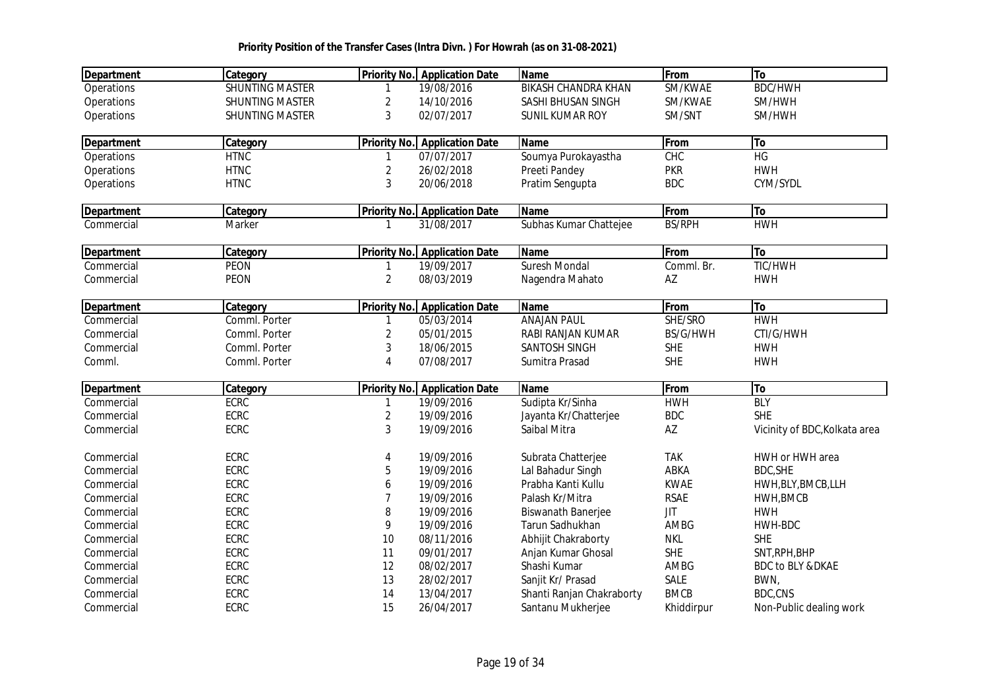| <b>Department</b> | Category               | <b>Priority No.</b>     | <b>Application Date</b>              | <b>Name</b>                | From          | To                            |
|-------------------|------------------------|-------------------------|--------------------------------------|----------------------------|---------------|-------------------------------|
| Operations        | <b>SHUNTING MASTER</b> |                         | 19/08/2016                           | <b>BIKASH CHANDRA KHAN</b> | SM/KWAE       | <b>BDC/HWH</b>                |
| Operations        | <b>SHUNTING MASTER</b> | 2                       | 14/10/2016                           | SASHI BHUSAN SINGH         | SM/KWAE       | SM/HWH                        |
| Operations        | <b>SHUNTING MASTER</b> | 3                       | 02/07/2017                           | <b>SUNIL KUMAR ROY</b>     | SM/SNT        | SM/HWH                        |
| <b>Department</b> | Category               | <b>Priority No.</b>     | <b>Application Date</b>              | <b>Name</b>                | From          | To                            |
| Operations        | <b>HTNC</b>            | 1                       | 07/07/2017                           | Soumya Purokayastha        | CHC           | HG                            |
| Operations        | <b>HTNC</b>            | 2                       | 26/02/2018                           | Preeti Pandey              | <b>PKR</b>    | <b>HWH</b>                    |
| Operations        | <b>HTNC</b>            | 3                       | 20/06/2018                           | Pratim Sengupta            | <b>BDC</b>    | CYM/SYDL                      |
| <b>Department</b> | Category               | Priority No.            | <b>Application Date</b>              | <b>Name</b>                | From          | To                            |
| Commercial        | Marker                 | 1                       | 31/08/2017                           | Subhas Kumar Chattejee     | <b>BS/RPH</b> | <b>HWH</b>                    |
| <b>Department</b> | Category               |                         | <b>Priority No. Application Date</b> | <b>Name</b>                | From          | To                            |
| Commercial        | <b>PEON</b>            |                         | 19/09/2017                           | Suresh Mondal              | Comml. Br.    | <b>TIC/HWH</b>                |
| Commercial        | <b>PEON</b>            | $\overline{2}$          | 08/03/2019                           | Nagendra Mahato            | AZ            | <b>HWH</b>                    |
| <b>Department</b> | <b>Category</b>        |                         | <b>Priority No. Application Date</b> | <b>Name</b>                | From          | To                            |
| Commercial        | Comml. Porter          | 1                       | 05/03/2014                           | <b>ANAJAN PAUL</b>         | SHE/SRO       | <b>HWH</b>                    |
| Commercial        | Comml. Porter          | $\overline{2}$          | 05/01/2015                           | RABI RANJAN KUMAR          | BS/G/HWH      | CTI/G/HWH                     |
| Commercial        | Comml. Porter          | 3                       | 18/06/2015                           | SANTOSH SINGH              | <b>SHE</b>    | <b>HWH</b>                    |
| Comml.            | Comml. Porter          | $\overline{4}$          | 07/08/2017                           | Sumitra Prasad             | <b>SHE</b>    | <b>HWH</b>                    |
| <b>Department</b> | Category               | <b>Priority No.</b>     | <b>Application Date</b>              | Name                       | From          | To                            |
| Commercial        | <b>ECRC</b>            | 1                       | 19/09/2016                           | Sudipta Kr/Sinha           | <b>HWH</b>    | <b>BLY</b>                    |
| Commercial        | <b>ECRC</b>            | $\overline{\mathbf{c}}$ | 19/09/2016                           | Jayanta Kr/Chatterjee      | <b>BDC</b>    | <b>SHE</b>                    |
| Commercial        | <b>ECRC</b>            | 3                       | 19/09/2016                           | Saibal Mitra               | AZ            | Vicinity of BDC, Kolkata area |
| Commercial        | <b>ECRC</b>            | 4                       | 19/09/2016                           | Subrata Chatterjee         | <b>TAK</b>    | HWH or HWH area               |
| Commercial        | <b>ECRC</b>            | 5                       | 19/09/2016                           | Lal Bahadur Singh          | ABKA          | <b>BDC, SHE</b>               |
| Commercial        | <b>ECRC</b>            | 6                       | 19/09/2016                           | Prabha Kanti Kullu         | <b>KWAE</b>   | HWH, BLY, BMCB, LLH           |
| Commercial        | <b>ECRC</b>            | 7                       | 19/09/2016                           | Palash Kr/Mitra            | <b>RSAE</b>   | HWH, BMCB                     |
| Commercial        | <b>ECRC</b>            | 8                       | 19/09/2016                           | <b>Biswanath Banerjee</b>  | <b>JIT</b>    | <b>HWH</b>                    |
| Commercial        | <b>ECRC</b>            | 9                       | 19/09/2016                           | Tarun Sadhukhan            | AMBG          | HWH-BDC                       |
| Commercial        | <b>ECRC</b>            | 10                      | 08/11/2016                           | Abhijit Chakraborty        | <b>NKL</b>    | <b>SHE</b>                    |
| Commercial        | ECRC                   | 11                      | 09/01/2017                           | Anjan Kumar Ghosal         | <b>SHE</b>    | SNT, RPH, BHP                 |
| Commercial        | <b>ECRC</b>            | 12                      | 08/02/2017                           | Shashi Kumar               | AMBG          | <b>BDC to BLY &amp;DKAE</b>   |
| Commercial        | ECRC                   | 13                      | 28/02/2017                           | Sanjit Kr/ Prasad          | SALE          | BWN,                          |
| Commercial        | <b>ECRC</b>            | 14                      | 13/04/2017                           | Shanti Ranjan Chakraborty  | <b>BMCB</b>   | <b>BDC,CNS</b>                |
| Commercial        | <b>ECRC</b>            | 15                      | 26/04/2017                           | Santanu Mukherjee          | Khiddirpur    | Non-Public dealing work       |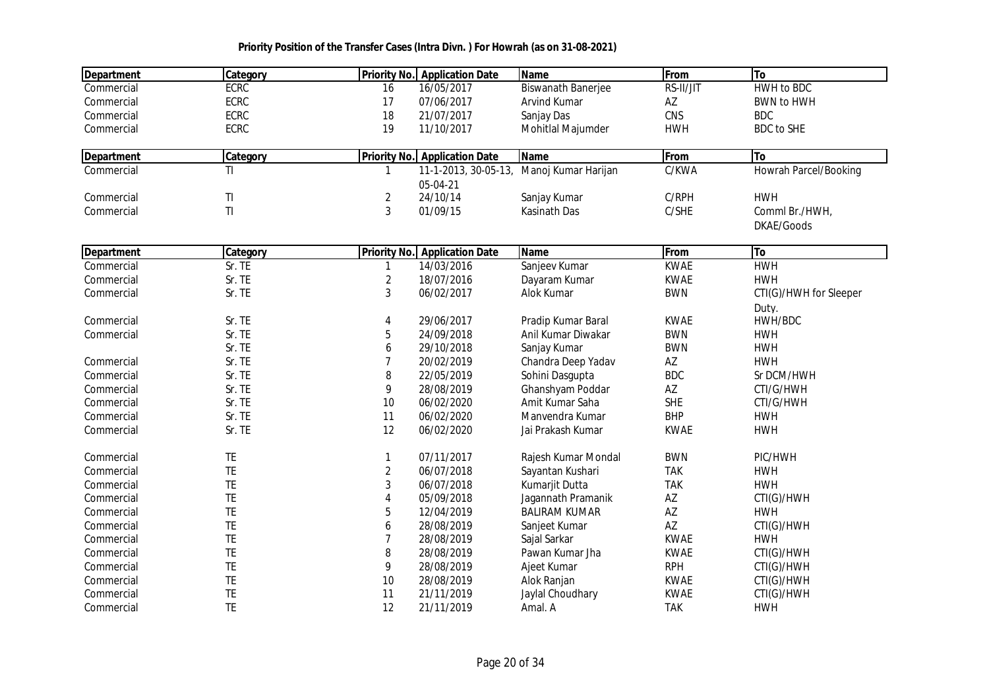| 16/05/2017<br><b>HWH to BDC</b><br><b>ECRC</b><br><b>Biswanath Banerjee</b><br>RS-II/JIT<br>Commercial<br>16<br>ECRC<br>07/06/2017<br>AZ<br>17<br>Arvind Kumar<br><b>BWN to HWH</b><br>Commercial<br>CNS<br><b>ECRC</b><br>18<br>21/07/2017<br><b>BDC</b><br>Sanjay Das<br>Commercial<br>ECRC<br>19<br>11/10/2017<br><b>HWH</b><br><b>BDC</b> to SHE<br>Commercial<br>Mohitlal Majumder<br>From<br>Category<br><b>Priority No.</b> Application Date<br><b>Name</b><br>To<br><b>Department</b><br>Manoj Kumar Harijan<br>Howrah Parcel/Booking<br>C/KWA<br>Commercial<br>ΤI<br>11-1-2013, 30-05-13,<br>1<br>05-04-21<br>T <sub>l</sub><br>$\overline{2}$<br>24/10/14<br>C/RPH<br><b>HWH</b><br>Commercial<br>Sanjay Kumar<br>3<br>T1<br>C/SHE<br>01/09/15<br>Kasinath Das<br>Comml Br./HWH,<br>Commercial | <b>Department</b> | Category | <b>Priority No.</b> Application Date | <b>Name</b> | From | To         |
|----------------------------------------------------------------------------------------------------------------------------------------------------------------------------------------------------------------------------------------------------------------------------------------------------------------------------------------------------------------------------------------------------------------------------------------------------------------------------------------------------------------------------------------------------------------------------------------------------------------------------------------------------------------------------------------------------------------------------------------------------------------------------------------------------------|-------------------|----------|--------------------------------------|-------------|------|------------|
|                                                                                                                                                                                                                                                                                                                                                                                                                                                                                                                                                                                                                                                                                                                                                                                                          |                   |          |                                      |             |      |            |
|                                                                                                                                                                                                                                                                                                                                                                                                                                                                                                                                                                                                                                                                                                                                                                                                          |                   |          |                                      |             |      |            |
|                                                                                                                                                                                                                                                                                                                                                                                                                                                                                                                                                                                                                                                                                                                                                                                                          |                   |          |                                      |             |      |            |
|                                                                                                                                                                                                                                                                                                                                                                                                                                                                                                                                                                                                                                                                                                                                                                                                          |                   |          |                                      |             |      |            |
|                                                                                                                                                                                                                                                                                                                                                                                                                                                                                                                                                                                                                                                                                                                                                                                                          |                   |          |                                      |             |      |            |
|                                                                                                                                                                                                                                                                                                                                                                                                                                                                                                                                                                                                                                                                                                                                                                                                          |                   |          |                                      |             |      |            |
|                                                                                                                                                                                                                                                                                                                                                                                                                                                                                                                                                                                                                                                                                                                                                                                                          |                   |          |                                      |             |      |            |
|                                                                                                                                                                                                                                                                                                                                                                                                                                                                                                                                                                                                                                                                                                                                                                                                          |                   |          |                                      |             |      |            |
|                                                                                                                                                                                                                                                                                                                                                                                                                                                                                                                                                                                                                                                                                                                                                                                                          |                   |          |                                      |             |      |            |
|                                                                                                                                                                                                                                                                                                                                                                                                                                                                                                                                                                                                                                                                                                                                                                                                          |                   |          |                                      |             |      | DKAE/Goods |
| From<br>To<br><b>Department</b><br>Category<br><b>Priority No.</b> Application Date<br><b>Name</b>                                                                                                                                                                                                                                                                                                                                                                                                                                                                                                                                                                                                                                                                                                       |                   |          |                                      |             |      |            |
| Sanjeev Kumar<br><b>HWH</b><br>Sr. TE<br>14/03/2016<br><b>KWAE</b><br>Commercial<br>$\mathbf{1}$                                                                                                                                                                                                                                                                                                                                                                                                                                                                                                                                                                                                                                                                                                         |                   |          |                                      |             |      |            |
| $\overline{2}$<br><b>KWAE</b><br>Sr. TE<br>18/07/2016<br><b>HWH</b><br>Commercial<br>Dayaram Kumar                                                                                                                                                                                                                                                                                                                                                                                                                                                                                                                                                                                                                                                                                                       |                   |          |                                      |             |      |            |
| 3<br>06/02/2017<br><b>BWN</b><br>Commercial<br>Sr. TE<br>Alok Kumar<br>CTI(G)/HWH for Sleeper                                                                                                                                                                                                                                                                                                                                                                                                                                                                                                                                                                                                                                                                                                            |                   |          |                                      |             |      |            |
| Duty.                                                                                                                                                                                                                                                                                                                                                                                                                                                                                                                                                                                                                                                                                                                                                                                                    |                   |          |                                      |             |      |            |
| <b>KWAE</b><br>Sr. TE<br>29/06/2017<br>HWH/BDC<br>Commercial<br>4<br>Pradip Kumar Baral                                                                                                                                                                                                                                                                                                                                                                                                                                                                                                                                                                                                                                                                                                                  |                   |          |                                      |             |      |            |
| Sr. TE<br>5<br>24/09/2018<br><b>BWN</b><br>Anil Kumar Diwakar<br><b>HWH</b><br>Commercial                                                                                                                                                                                                                                                                                                                                                                                                                                                                                                                                                                                                                                                                                                                |                   |          |                                      |             |      |            |
| <b>BWN</b><br><b>HWH</b><br>Sr. TE<br>6<br>29/10/2018<br>Sanjay Kumar                                                                                                                                                                                                                                                                                                                                                                                                                                                                                                                                                                                                                                                                                                                                    |                   |          |                                      |             |      |            |
| 7<br>AZ<br><b>HWH</b><br>Commercial<br>Sr. TE<br>20/02/2019<br>Chandra Deep Yadav                                                                                                                                                                                                                                                                                                                                                                                                                                                                                                                                                                                                                                                                                                                        |                   |          |                                      |             |      |            |
| <b>BDC</b><br>Sr. TE<br>8<br>Commercial<br>22/05/2019<br>Sohini Dasgupta<br>Sr DCM/HWH                                                                                                                                                                                                                                                                                                                                                                                                                                                                                                                                                                                                                                                                                                                   |                   |          |                                      |             |      |            |
| 9<br>Sr. TE<br>28/08/2019<br>Ghanshyam Poddar<br>AZ<br>CTI/G/HWH<br>Commercial                                                                                                                                                                                                                                                                                                                                                                                                                                                                                                                                                                                                                                                                                                                           |                   |          |                                      |             |      |            |
| <b>SHE</b><br>Sr. TE<br>$10$<br>06/02/2020<br>Amit Kumar Saha<br>CTI/G/HWH<br>Commercial                                                                                                                                                                                                                                                                                                                                                                                                                                                                                                                                                                                                                                                                                                                 |                   |          |                                      |             |      |            |
| Sr. TE<br><b>BHP</b><br>11<br>06/02/2020<br>Manvendra Kumar<br><b>HWH</b><br>Commercial                                                                                                                                                                                                                                                                                                                                                                                                                                                                                                                                                                                                                                                                                                                  |                   |          |                                      |             |      |            |
| Sr. TE<br>12<br><b>KWAE</b><br>06/02/2020<br>Jai Prakash Kumar<br><b>HWH</b><br>Commercial                                                                                                                                                                                                                                                                                                                                                                                                                                                                                                                                                                                                                                                                                                               |                   |          |                                      |             |      |            |
| 07/11/2017<br><b>BWN</b><br>PIC/HWH<br>Commercial<br>TE<br>1<br>Rajesh Kumar Mondal                                                                                                                                                                                                                                                                                                                                                                                                                                                                                                                                                                                                                                                                                                                      |                   |          |                                      |             |      |            |
| TE<br>$\overline{2}$<br>06/07/2018<br>Sayantan Kushari<br><b>TAK</b><br><b>HWH</b><br>Commercial                                                                                                                                                                                                                                                                                                                                                                                                                                                                                                                                                                                                                                                                                                         |                   |          |                                      |             |      |            |
| TE<br><b>TAK</b><br>3<br><b>HWH</b><br>06/07/2018<br>Kumarjit Dutta<br>Commercial                                                                                                                                                                                                                                                                                                                                                                                                                                                                                                                                                                                                                                                                                                                        |                   |          |                                      |             |      |            |
| TE<br>4<br>05/09/2018<br>AZ<br>Commercial<br>Jagannath Pramanik<br>CTI(G)/HWH                                                                                                                                                                                                                                                                                                                                                                                                                                                                                                                                                                                                                                                                                                                            |                   |          |                                      |             |      |            |
| TE<br>5<br>AZ<br>12/04/2019<br><b>BALIRAM KUMAR</b><br><b>HWH</b><br>Commercial                                                                                                                                                                                                                                                                                                                                                                                                                                                                                                                                                                                                                                                                                                                          |                   |          |                                      |             |      |            |
| TE<br>AZ<br>28/08/2019<br>Sanjeet Kumar<br>CTI(G)/HWH<br>Commercial<br>6                                                                                                                                                                                                                                                                                                                                                                                                                                                                                                                                                                                                                                                                                                                                 |                   |          |                                      |             |      |            |
| TE<br><b>KWAE</b><br>$\overline{7}$<br>28/08/2019<br><b>HWH</b><br>Sajal Sarkar<br>Commercial                                                                                                                                                                                                                                                                                                                                                                                                                                                                                                                                                                                                                                                                                                            |                   |          |                                      |             |      |            |
| TE<br>8<br>28/08/2019<br><b>KWAE</b><br>CTI(G)/HWH<br>Pawan Kumar Jha<br>Commercial                                                                                                                                                                                                                                                                                                                                                                                                                                                                                                                                                                                                                                                                                                                      |                   |          |                                      |             |      |            |
| TE<br>9<br>28/08/2019<br><b>RPH</b><br>Ajeet Kumar<br>CTI(G)/HWH<br>Commercial                                                                                                                                                                                                                                                                                                                                                                                                                                                                                                                                                                                                                                                                                                                           |                   |          |                                      |             |      |            |
| TE<br>$10$<br>28/08/2019<br><b>KWAE</b><br>Commercial<br>Alok Ranjan<br>CTI(G)/HWH                                                                                                                                                                                                                                                                                                                                                                                                                                                                                                                                                                                                                                                                                                                       |                   |          |                                      |             |      |            |
| TE<br>11<br>21/11/2019<br>Jaylal Choudhary<br><b>KWAE</b><br>CTI(G)/HWH<br>Commercial                                                                                                                                                                                                                                                                                                                                                                                                                                                                                                                                                                                                                                                                                                                    |                   |          |                                      |             |      |            |
| <b>TE</b><br>12<br><b>TAK</b><br>21/11/2019<br><b>HWH</b><br>Commercial<br>Amal. A                                                                                                                                                                                                                                                                                                                                                                                                                                                                                                                                                                                                                                                                                                                       |                   |          |                                      |             |      |            |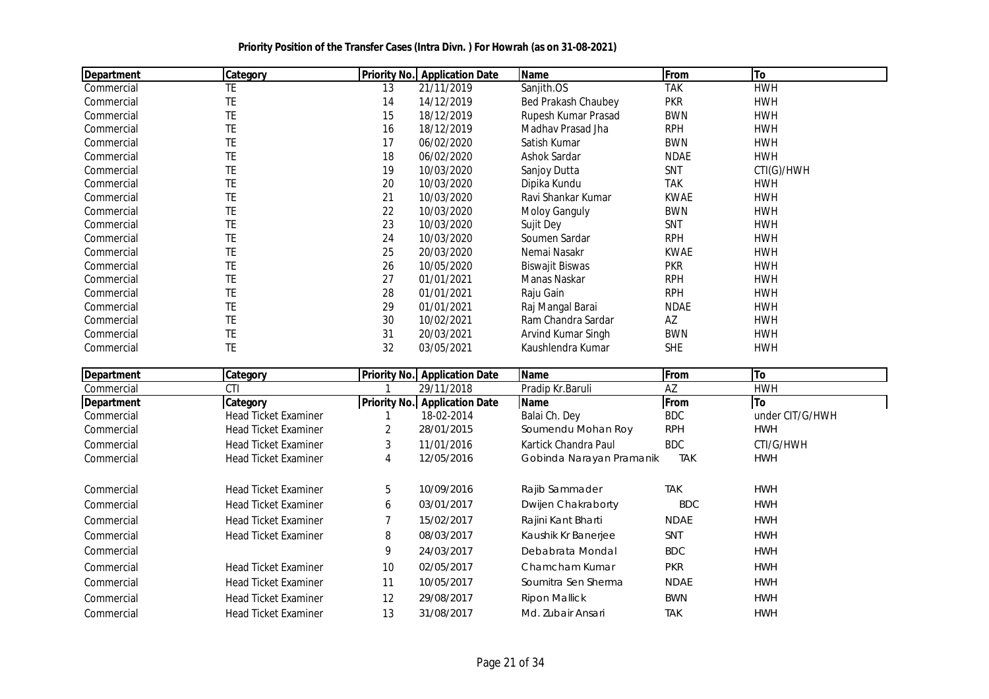| <b>Department</b> | <b>Category</b> | <b>Priority No.</b> | <b>Application Date</b> | Name                   | From        | <b>To</b>  |
|-------------------|-----------------|---------------------|-------------------------|------------------------|-------------|------------|
| Commercial        | TE              | 13                  | 21/11/2019              | Sanjith.OS             | <b>TAK</b>  | <b>HWH</b> |
| Commercial        | TE              | 14                  | 14/12/2019              | Bed Prakash Chaubey    | <b>PKR</b>  | <b>HWH</b> |
| Commercial        | TE              | 15                  | 18/12/2019              | Rupesh Kumar Prasad    | <b>BWN</b>  | <b>HWH</b> |
| Commercial        | TE              | 16                  | 18/12/2019              | Madhav Prasad Jha      | <b>RPH</b>  | <b>HWH</b> |
| Commercial        | TE              | 17                  | 06/02/2020              | Satish Kumar           | <b>BWN</b>  | <b>HWH</b> |
| Commercial        | TE              | 18                  | 06/02/2020              | Ashok Sardar           | <b>NDAE</b> | <b>HWH</b> |
| Commercial        | TE              | 19                  | 10/03/2020              | Sanjoy Dutta           | SNT         | CTI(G)/HWH |
| Commercial        | TE              | 20                  | 10/03/2020              | Dipika Kundu           | <b>TAK</b>  | <b>HWH</b> |
| Commercial        | TE              | 21                  | 10/03/2020              | Ravi Shankar Kumar     | <b>KWAE</b> | <b>HWH</b> |
| Commercial        | TE              | 22                  | 10/03/2020              | <b>Moloy Ganguly</b>   | <b>BWN</b>  | <b>HWH</b> |
| Commercial        | TE              | 23                  | 10/03/2020              | Sujit Dey              | SNT         | <b>HWH</b> |
| Commercial        | TE              | 24                  | 10/03/2020              | Soumen Sardar          | <b>RPH</b>  | <b>HWH</b> |
| Commercial        | TE              | 25                  | 20/03/2020              | Nemai Nasakr           | <b>KWAE</b> | <b>HWH</b> |
| Commercial        | TE              | 26                  | 10/05/2020              | <b>Biswajit Biswas</b> | <b>PKR</b>  | <b>HWH</b> |
| Commercial        | TE              | 27                  | 01/01/2021              | Manas Naskar           | <b>RPH</b>  | <b>HWH</b> |
| Commercial        | TE              | 28                  | 01/01/2021              | Raju Gain              | <b>RPH</b>  | <b>HWH</b> |
| Commercial        | TE              | 29                  | 01/01/2021              | Raj Mangal Barai       | <b>NDAE</b> | <b>HWH</b> |
| Commercial        | TE              | 30                  | 10/02/2021              | Ram Chandra Sardar     | AZ          | <b>HWH</b> |
| Commercial        | TE              | 31                  | 20/03/2021              | Arvind Kumar Singh     | <b>BWN</b>  | <b>HWH</b> |
| Commercial        | TE              | 32                  | 03/05/2021              | Kaushlendra Kumar      | SHE         | <b>HWH</b> |

| Department | Category                    |    | <b>Priority No. Application Date</b> | Name                     | From        | To              |
|------------|-----------------------------|----|--------------------------------------|--------------------------|-------------|-----------------|
| Commercial | CTI                         |    | 29/11/2018                           | Pradip Kr.Baruli         | AZ          | <b>HWH</b>      |
| Department | Category                    |    | <b>Priority No. Application Date</b> | <b>Name</b>              | From        | <b>To</b>       |
| Commercial | <b>Head Ticket Examiner</b> |    | 18-02-2014                           | Balai Ch. Dey            | <b>BDC</b>  | under CIT/G/HWH |
| Commercial | <b>Head Ticket Examiner</b> | 2  | 28/01/2015                           | Soumendu Mohan Roy       | <b>RPH</b>  | <b>HWH</b>      |
| Commercial | <b>Head Ticket Examiner</b> | 3  | 11/01/2016                           | Kartick Chandra Paul     | <b>BDC</b>  | CTI/G/HWH       |
| Commercial | <b>Head Ticket Examiner</b> | 4  | 12/05/2016                           | Gobinda Narayan Pramanik | <b>TAK</b>  | <b>HWH</b>      |
| Commercial | <b>Head Ticket Examiner</b> | 5  | 10/09/2016                           | Rajib Sammader           | <b>TAK</b>  | <b>HWH</b>      |
| Commercial | <b>Head Ticket Examiner</b> | 6  | 03/01/2017                           | Dwijen Chakraborty       | <b>BDC</b>  | <b>HWH</b>      |
| Commercial | <b>Head Ticket Examiner</b> |    | 15/02/2017                           | Rajini Kant Bharti       | <b>NDAE</b> | <b>HWH</b>      |
| Commercial | <b>Head Ticket Examiner</b> | 8  | 08/03/2017                           | Kaushik Kr Banerjee      | <b>SNT</b>  | <b>HWH</b>      |
| Commercial |                             | 9  | 24/03/2017                           | Debabrata Mondal         | <b>BDC</b>  | <b>HWH</b>      |
| Commercial | <b>Head Ticket Examiner</b> | 10 | 02/05/2017                           | Chamcham Kumar           | <b>PKR</b>  | <b>HWH</b>      |
| Commercial | <b>Head Ticket Examiner</b> | 11 | 10/05/2017                           | Soumitra Sen Sherma      | <b>NDAE</b> | <b>HWH</b>      |
| Commercial | <b>Head Ticket Examiner</b> | 12 | 29/08/2017                           | Ripon Mallick            | <b>BWN</b>  | <b>HWH</b>      |
| Commercial | <b>Head Ticket Examiner</b> | 13 | 31/08/2017                           | Md. Zubair Ansari        | <b>TAK</b>  | <b>HWH</b>      |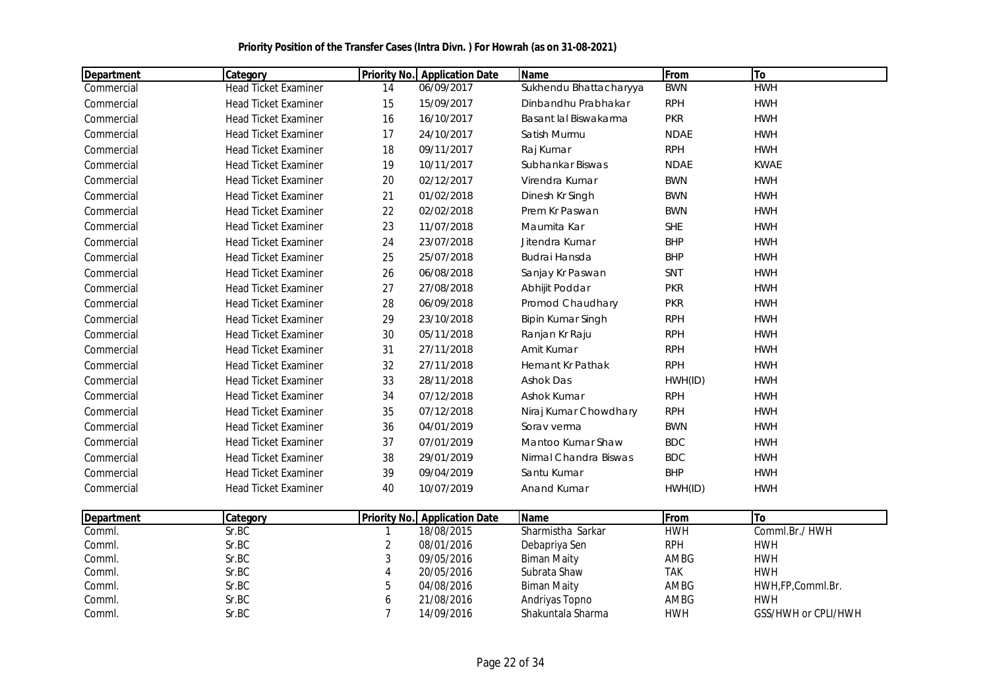| <b>Department</b> | <b>Category</b>             | <b>Priority No.</b> | <b>Application Date</b> | <b>Name</b>             | From        | To          |
|-------------------|-----------------------------|---------------------|-------------------------|-------------------------|-------------|-------------|
| Commercial        | <b>Head Ticket Examiner</b> | 14                  | 06/09/2017              | Sukhendu Bhattacharyya  | <b>BWN</b>  | <b>HWH</b>  |
| Commercial        | <b>Head Ticket Examiner</b> | 15                  | 15/09/2017              | Dinbandhu Prabhakar     | <b>RPH</b>  | <b>HWH</b>  |
| Commercial        | <b>Head Ticket Examiner</b> | 16                  | 16/10/2017              | Basant lal Biswakarma   | <b>PKR</b>  | <b>HWH</b>  |
| Commercial        | <b>Head Ticket Examiner</b> | 17                  | 24/10/2017              | Satish Murmu            | <b>NDAE</b> | <b>HWH</b>  |
| Commercial        | <b>Head Ticket Examiner</b> | 18                  | 09/11/2017              | Raj Kumar               | <b>RPH</b>  | <b>HWH</b>  |
| Commercial        | <b>Head Ticket Examiner</b> | 19                  | 10/11/2017              | Subhankar Biswas        | <b>NDAE</b> | <b>KWAE</b> |
| Commercial        | <b>Head Ticket Examiner</b> | 20                  | 02/12/2017              | Virendra Kumar          | <b>BWN</b>  | <b>HWH</b>  |
| Commercial        | <b>Head Ticket Examiner</b> | 21                  | 01/02/2018              | Dinesh Kr Singh         | <b>BWN</b>  | <b>HWH</b>  |
| Commercial        | <b>Head Ticket Examiner</b> | 22                  | 02/02/2018              | Prem Kr Paswan          | <b>BWN</b>  | <b>HWH</b>  |
| Commercial        | <b>Head Ticket Examiner</b> | 23                  | 11/07/2018              | Maumita Kar             | <b>SHE</b>  | <b>HWH</b>  |
| Commercial        | <b>Head Ticket Examiner</b> | 24                  | 23/07/2018              | Jitendra Kumar          | <b>BHP</b>  | <b>HWH</b>  |
| Commercial        | <b>Head Ticket Examiner</b> | 25                  | 25/07/2018              | <b>Budrai Hansda</b>    | <b>BHP</b>  | <b>HWH</b>  |
| Commercial        | <b>Head Ticket Examiner</b> | 26                  | 06/08/2018              | Sanjay Kr Paswan        | SNT         | <b>HWH</b>  |
| Commercial        | <b>Head Ticket Examiner</b> | 27                  | 27/08/2018              | Abhijit Poddar          | <b>PKR</b>  | <b>HWH</b>  |
| Commercial        | <b>Head Ticket Examiner</b> | 28                  | 06/09/2018              | Promod Chaudhary        | <b>PKR</b>  | <b>HWH</b>  |
| Commercial        | <b>Head Ticket Examiner</b> | 29                  | 23/10/2018              | Bipin Kumar Singh       | <b>RPH</b>  | <b>HWH</b>  |
| Commercial        | <b>Head Ticket Examiner</b> | 30                  | 05/11/2018              | Ranjan Kr Raju          | <b>RPH</b>  | <b>HWH</b>  |
| Commercial        | <b>Head Ticket Examiner</b> | 31                  | 27/11/2018              | Amit Kumar              | <b>RPH</b>  | <b>HWH</b>  |
| Commercial        | <b>Head Ticket Examiner</b> | 32                  | 27/11/2018              | <b>Hemant Kr Pathak</b> | <b>RPH</b>  | <b>HWH</b>  |
| Commercial        | <b>Head Ticket Examiner</b> | 33                  | 28/11/2018              | <b>Ashok Das</b>        | HWH(ID)     | <b>HWH</b>  |
| Commercial        | <b>Head Ticket Examiner</b> | 34                  | 07/12/2018              | Ashok Kumar             | <b>RPH</b>  | <b>HWH</b>  |
| Commercial        | <b>Head Ticket Examiner</b> | 35                  | 07/12/2018              | Niraj Kumar Chowdhary   | <b>RPH</b>  | <b>HWH</b>  |
| Commercial        | <b>Head Ticket Examiner</b> | 36                  | 04/01/2019              | Sorav verma             | <b>BWN</b>  | <b>HWH</b>  |
| Commercial        | <b>Head Ticket Examiner</b> | 37                  | 07/01/2019              | Mantoo Kumar Shaw       | <b>BDC</b>  | <b>HWH</b>  |
| Commercial        | <b>Head Ticket Examiner</b> | 38                  | 29/01/2019              | Nirmal Chandra Biswas   | <b>BDC</b>  | <b>HWH</b>  |
| Commercial        | <b>Head Ticket Examiner</b> | 39                  | 09/04/2019              | Santu Kumar             | <b>BHP</b>  | <b>HWH</b>  |
| Commercial        | <b>Head Ticket Examiner</b> | 40                  | 10/07/2019              | <b>Anand Kumar</b>      | HWH(ID)     | <b>HWH</b>  |

| Department | Category |   | <b>Priority No. Application Date</b> | <b>Name</b>       | From       |                     |
|------------|----------|---|--------------------------------------|-------------------|------------|---------------------|
| Comml.     | Sr.BC    |   | 18/08/2015                           | Sharmistha Sarkar | HWH        | Comml.Br./HWH       |
| Comml.     | Sr.BC    |   | 08/01/2016                           | Debapriya Sen     | <b>RPH</b> | <b>HWH</b>          |
| Comml.     | Sr.BC    |   | 09/05/2016                           | Biman Maity       | AMBG       | <b>HWH</b>          |
| Comml.     | Sr.BC    |   | 20/05/2016                           | Subrata Shaw      | TAK        | <b>HWH</b>          |
| Comml.     | Sr.BC    |   | 04/08/2016                           | Biman Maity       | AMBG       | HWH,FP,Comml.Br.    |
| Comml.     | Sr.BC    | υ | 21/08/2016                           | Andriyas Topno    | AMBG       | <b>HWH</b>          |
| Comml.     | Sr.BC    |   | 14/09/2016                           | Shakuntala Sharma | HWH        | GSS/HWH or CPLI/HWH |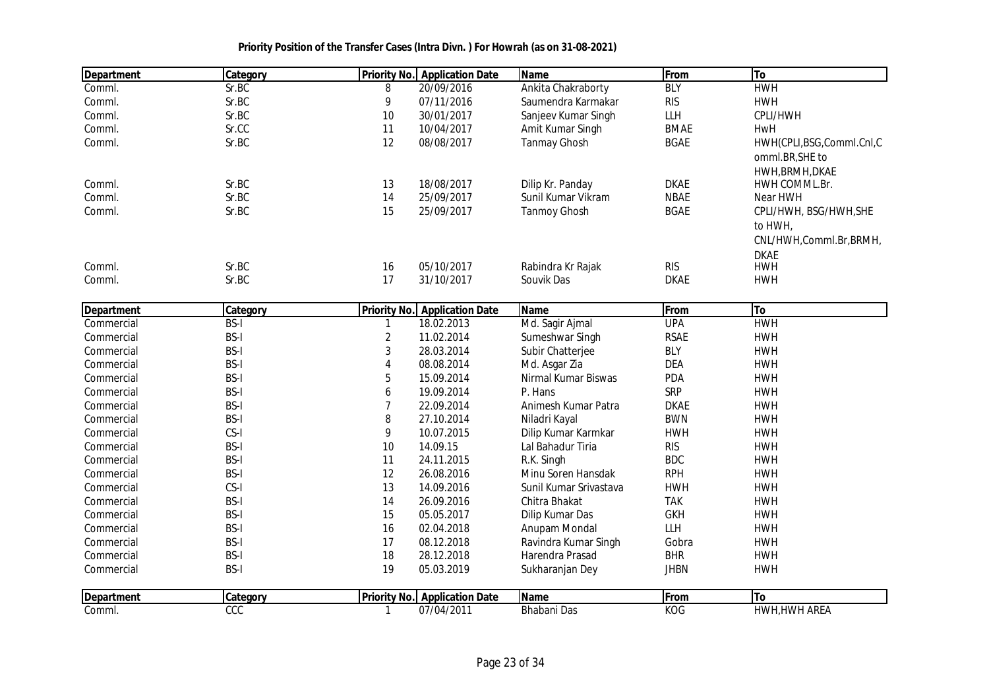| <b>Department</b> | Category    |                         | <b>Priority No.</b> Application Date | <b>Name</b>            | From        | To                       |
|-------------------|-------------|-------------------------|--------------------------------------|------------------------|-------------|--------------------------|
| Comml.            | Sr.BC       | 8                       | 20/09/2016                           | Ankita Chakraborty     | <b>BLY</b>  | <b>HWH</b>               |
| Comml.            | Sr.BC       | 9                       | 07/11/2016                           | Saumendra Karmakar     | <b>RIS</b>  | <b>HWH</b>               |
| Comml.            | Sr.BC       | 10                      | 30/01/2017                           | Sanjeev Kumar Singh    | LLH         | CPLI/HWH                 |
| Comml.            | Sr.CC       | 11                      | 10/04/2017                           | Amit Kumar Singh       | <b>BMAE</b> | HwH                      |
| Comml.            | Sr.BC       | 12                      | 08/08/2017                           | <b>Tanmay Ghosh</b>    | <b>BGAE</b> | HWH(CPLI,BSG,Comml.CnI,C |
|                   |             |                         |                                      |                        |             | omml.BR, SHE to          |
|                   |             |                         |                                      |                        |             | HWH, BRMH, DKAE          |
| Comml.            | Sr.BC       | 13                      | 18/08/2017                           | Dilip Kr. Panday       | <b>DKAE</b> | HWH COMML.Br.            |
| Comml.            | Sr.BC       | 14                      | 25/09/2017                           | Sunil Kumar Vikram     | <b>NBAE</b> | Near HWH                 |
| Comml.            | Sr.BC       | 15                      | 25/09/2017                           | <b>Tanmoy Ghosh</b>    | <b>BGAE</b> | CPLI/HWH, BSG/HWH, SHE   |
|                   |             |                         |                                      |                        |             | to HWH,                  |
|                   |             |                         |                                      |                        |             | CNL/HWH,Comml.Br,BRMH,   |
|                   |             |                         |                                      |                        |             | <b>DKAE</b>              |
| Comml.            | Sr.BC       | 16                      | 05/10/2017                           | Rabindra Kr Rajak      | <b>RIS</b>  | <b>HWH</b>               |
| Comml.            | Sr.BC       | 17                      | 31/10/2017                           | Souvik Das             | <b>DKAE</b> | <b>HWH</b>               |
|                   |             |                         |                                      |                        |             |                          |
| <b>Department</b> | Category    |                         | <b>Priority No. Application Date</b> | Name                   | From        | To                       |
| Commercial        | <b>BS-I</b> | $\mathbf{1}$            | 18.02.2013                           | Md. Sagir Ajmal        | <b>UPA</b>  | <b>HWH</b>               |
| Commercial        | <b>BS-I</b> | $\overline{c}$          | 11.02.2014                           | Sumeshwar Singh        | <b>RSAE</b> | <b>HWH</b>               |
| Commercial        | <b>BS-I</b> | 3                       | 28.03.2014                           | Subir Chatterjee       | <b>BLY</b>  | <b>HWH</b>               |
| Commercial        | <b>BS-I</b> | $\overline{\mathbf{4}}$ | 08.08.2014                           | Md. Asgar Zia          | <b>DEA</b>  | <b>HWH</b>               |
| Commercial        | <b>BS-I</b> | 5                       | 15.09.2014                           | Nirmal Kumar Biswas    | <b>PDA</b>  | <b>HWH</b>               |
| Commercial        | <b>BS-I</b> | 6                       | 19.09.2014                           | P. Hans                | <b>SRP</b>  | <b>HWH</b>               |
| Commercial        | <b>BS-I</b> | 7                       | 22.09.2014                           | Animesh Kumar Patra    | <b>DKAE</b> | <b>HWH</b>               |
| Commercial        | <b>BS-I</b> | 8                       | 27.10.2014                           | Niladri Kayal          | <b>BWN</b>  | <b>HWH</b>               |
| Commercial        | CS-I        | 9                       | 10.07.2015                           | Dilip Kumar Karmkar    | <b>HWH</b>  | <b>HWH</b>               |
| Commercial        | <b>BS-I</b> | 10                      | 14.09.15                             | Lal Bahadur Tiria      | <b>RIS</b>  | <b>HWH</b>               |
| Commercial        | <b>BS-I</b> | 11                      | 24.11.2015                           | R.K. Singh             | <b>BDC</b>  | <b>HWH</b>               |
| Commercial        | <b>BS-I</b> | 12                      | 26.08.2016                           | Minu Soren Hansdak     | <b>RPH</b>  | <b>HWH</b>               |
| Commercial        | CS-I        | 13                      | 14.09.2016                           | Sunil Kumar Srivastava | <b>HWH</b>  | <b>HWH</b>               |
| Commercial        | <b>BS-I</b> | 14                      | 26.09.2016                           | Chitra Bhakat          | <b>TAK</b>  | <b>HWH</b>               |
| Commercial        | <b>BS-I</b> | 15                      | 05.05.2017                           | Dilip Kumar Das        | <b>GKH</b>  | <b>HWH</b>               |
| Commercial        | <b>BS-I</b> | 16                      | 02.04.2018                           | Anupam Mondal          | <b>LLH</b>  | <b>HWH</b>               |
| Commercial        | <b>BS-I</b> | 17                      | 08.12.2018                           | Ravindra Kumar Singh   | Gobra       | <b>HWH</b>               |
| Commercial        | <b>BS-I</b> | 18                      | 28.12.2018                           | Harendra Prasad        | <b>BHR</b>  | <b>HWH</b>               |
| Commercial        | <b>BS-I</b> | 19                      | 05.03.2019                           | Sukharanjan Dey        | <b>JHBN</b> | <b>HWH</b>               |
|                   |             |                         |                                      |                        |             |                          |
| <b>Department</b> | Category    |                         | <b>Priority No. Application Date</b> | Name                   | From        | To                       |
| Comml.            | CCC         | $\mathbf{1}$            | 07/04/2011                           | <b>Bhabani Das</b>     | <b>KOG</b>  | HWH, HWH AREA            |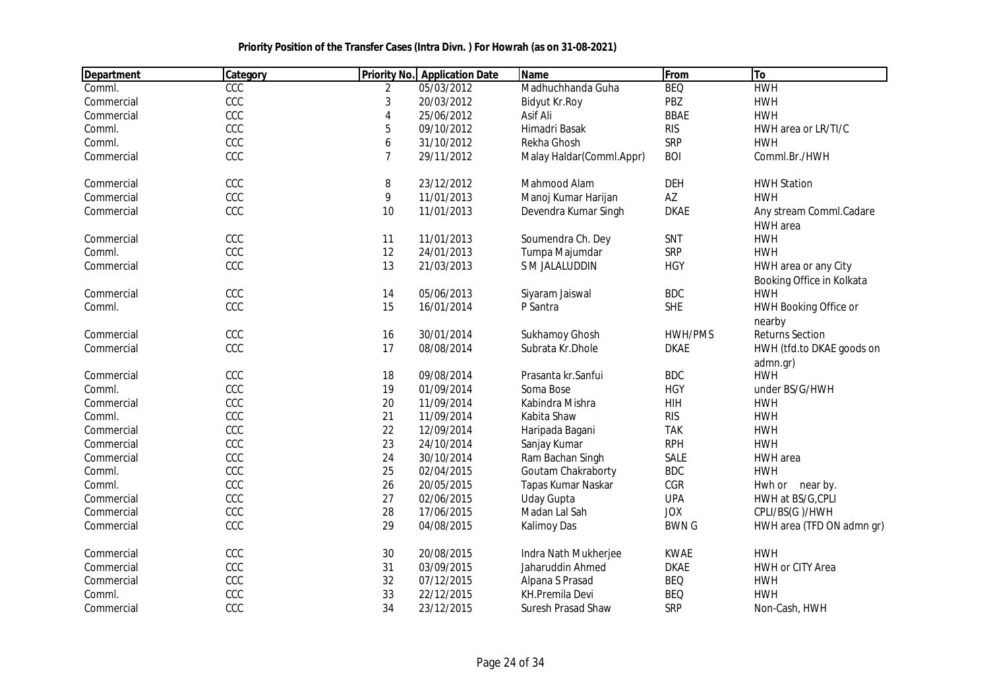| Department | Category |                | <b>Priority No.</b> Application Date | <b>Name</b>               | From         | To                                                |
|------------|----------|----------------|--------------------------------------|---------------------------|--------------|---------------------------------------------------|
| Comml.     | CCC      | 2              | 05/03/2012                           | Madhuchhanda Guha         | <b>BEQ</b>   | <b>HWH</b>                                        |
| Commercial | CCC      | 3              | 20/03/2012                           | Bidyut Kr.Roy             | PBZ          | <b>HWH</b>                                        |
| Commercial | CCC      | 4              | 25/06/2012                           | Asif Ali                  | <b>BBAE</b>  | <b>HWH</b>                                        |
| Comml.     | CCC      | 5              | 09/10/2012                           | Himadri Basak             | <b>RIS</b>   | HWH area or LR/TI/C                               |
| Comml.     | CCC      | 6              | 31/10/2012                           | Rekha Ghosh               | <b>SRP</b>   | <b>HWH</b>                                        |
| Commercial | CCC      | $\overline{7}$ | 29/11/2012                           | Malay Haldar (Comml.Appr) | <b>BOI</b>   | Comml.Br./HWH                                     |
| Commercial | CCC      | 8              | 23/12/2012                           | Mahmood Alam              | <b>DEH</b>   | <b>HWH Station</b>                                |
| Commercial | CCC      | 9              | 11/01/2013                           | Manoj Kumar Harijan       | AZ           | <b>HWH</b>                                        |
| Commercial | CCC      | 10             | 11/01/2013                           | Devendra Kumar Singh      | <b>DKAE</b>  | Any stream Comml.Cadare<br><b>HWH</b> area        |
| Commercial | CCC      | 11             | 11/01/2013                           | Soumendra Ch. Dey         | SNT          | <b>HWH</b>                                        |
| Comml.     | CCC      | 12             | 24/01/2013                           | Tumpa Majumdar            | <b>SRP</b>   | <b>HWH</b>                                        |
| Commercial | CCC      | 13             | 21/03/2013                           | S M JALALUDDIN            | <b>HGY</b>   | HWH area or any City<br>Booking Office in Kolkata |
| Commercial | CCC      | 14             | 05/06/2013                           | Siyaram Jaiswal           | <b>BDC</b>   | <b>HWH</b>                                        |
| Comml.     | CCC      | 15             | 16/01/2014                           | P Santra                  | <b>SHE</b>   | <b>HWH Booking Office or</b>                      |
| Commercial | CCC      | 16             | 30/01/2014                           | Sukhamoy Ghosh            | HWH/PMS      | nearby<br><b>Returns Section</b>                  |
| Commercial | CCC      | 17             | 08/08/2014                           | Subrata Kr.Dhole          | <b>DKAE</b>  | HWH (tfd.to DKAE goods on                         |
|            |          |                |                                      |                           |              | admn.gr)                                          |
| Commercial | CCC      | 18             | 09/08/2014                           | Prasanta kr. Sanfui       | <b>BDC</b>   | <b>HWH</b>                                        |
| Comml.     | CCC      | 19             | 01/09/2014                           | Soma Bose                 | <b>HGY</b>   | under BS/G/HWH                                    |
| Commercial | CCC      | 20             | 11/09/2014                           | Kabindra Mishra           | HIH          | <b>HWH</b>                                        |
| Comml.     | CCC      | 21             | 11/09/2014                           | Kabita Shaw               | <b>RIS</b>   | <b>HWH</b>                                        |
| Commercial | CCC      | 22             | 12/09/2014                           | Haripada Bagani           | <b>TAK</b>   | <b>HWH</b>                                        |
| Commercial | CCC      | 23             | 24/10/2014                           | Sanjay Kumar              | <b>RPH</b>   | <b>HWH</b>                                        |
| Commercial | CCC      | 24             | 30/10/2014                           | Ram Bachan Singh          | <b>SALE</b>  | HWH area                                          |
| Comml.     | CCC      | 25             | 02/04/2015                           | Goutam Chakraborty        | <b>BDC</b>   | <b>HWH</b>                                        |
| Comml.     | CCC      | 26             | 20/05/2015                           | Tapas Kumar Naskar        | CGR          | Hwh or near by.                                   |
| Commercial | CCC      | 27             | 02/06/2015                           | <b>Uday Gupta</b>         | <b>UPA</b>   | HWH at BS/G, CPLI                                 |
| Commercial | CCC      | 28             | 17/06/2015                           | Madan Lal Sah             | <b>JOX</b>   | CPLI/BS(G)/HWH                                    |
| Commercial | CCC      | 29             | 04/08/2015                           | Kalimoy Das               | <b>BWN G</b> | HWH area (TFD ON admn gr)                         |
| Commercial | CCC      | $30\,$         | 20/08/2015                           | Indra Nath Mukherjee      | <b>KWAE</b>  | <b>HWH</b>                                        |
| Commercial | CCC      | 31             | 03/09/2015                           | Jaharuddin Ahmed          | <b>DKAE</b>  | HWH or CITY Area                                  |
| Commercial | CCC      | 32             | 07/12/2015                           | Alpana S Prasad           | <b>BEQ</b>   | <b>HWH</b>                                        |
| Comml.     | CCC      | 33             | 22/12/2015                           | KH.Premila Devi           | <b>BEQ</b>   | <b>HWH</b>                                        |
| Commercial | CCC      | 34             | 23/12/2015                           | Suresh Prasad Shaw        | SRP          | Non-Cash, HWH                                     |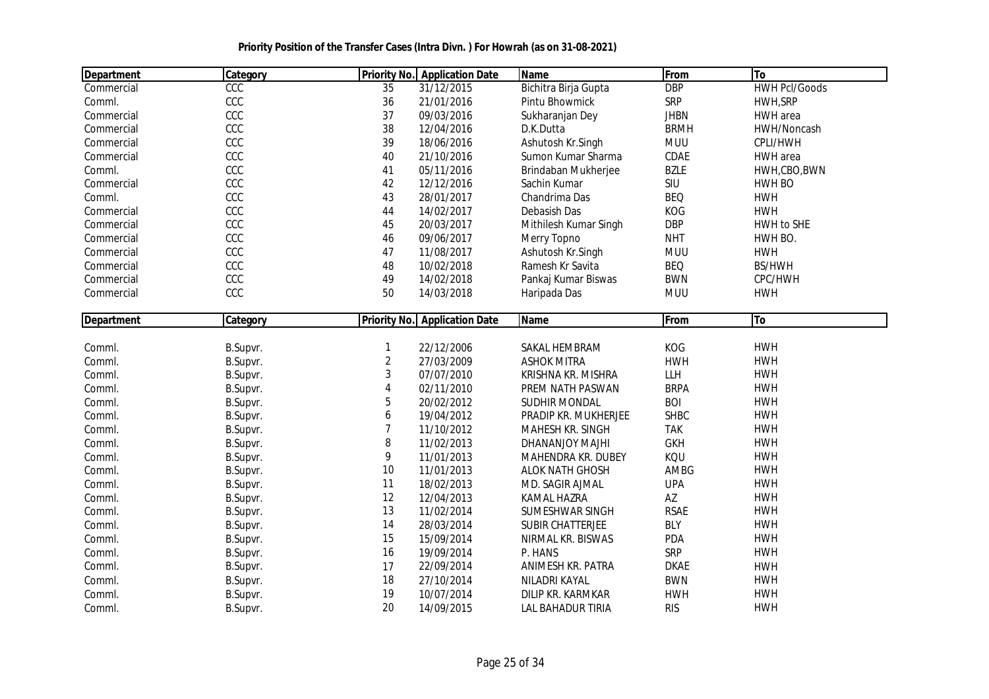| <b>Department</b> | Category | <b>Priority No.</b> | <b>Application Date</b>              | <b>Name</b>             | From        | To                   |
|-------------------|----------|---------------------|--------------------------------------|-------------------------|-------------|----------------------|
| Commercial        | CCC      | 35                  | 31/12/2015                           | Bichitra Birja Gupta    | <b>DBP</b>  | <b>HWH Pcl/Goods</b> |
| Comml.            | CCC      | 36                  | 21/01/2016                           | Pintu Bhowmick          | SRP         | HWH, SRP             |
| Commercial        | CCC      | 37                  | 09/03/2016                           | Sukharanjan Dey         | <b>JHBN</b> | HWH area             |
| Commercial        | CCC      | 38                  | 12/04/2016                           | D.K.Dutta               | <b>BRMH</b> | HWH/Noncash          |
| Commercial        | CCC      | 39                  | 18/06/2016                           | Ashutosh Kr.Singh       | <b>MUU</b>  | CPLI/HWH             |
| Commercial        | CCC      | 40                  | 21/10/2016                           | Sumon Kumar Sharma      | CDAE        | HWH area             |
| Comml.            | CCC      | 41                  | 05/11/2016                           | Brindaban Mukherjee     | <b>BZLE</b> | HWH,CBO,BWN          |
| Commercial        | CCC      | 42                  | 12/12/2016                           | Sachin Kumar            | SIU         | HWH BO               |
| Comml.            | CCC      | 43                  | 28/01/2017                           | Chandrima Das           | <b>BEQ</b>  | <b>HWH</b>           |
| Commercial        | CCC      | 44                  | 14/02/2017                           | Debasish Das            | KOG         | <b>HWH</b>           |
| Commercial        | CCC      | 45                  | 20/03/2017                           | Mithilesh Kumar Singh   | <b>DBP</b>  | HWH to SHE           |
| Commercial        | CCC      | 46                  | 09/06/2017                           | Merry Topno             | <b>NHT</b>  | HWH BO.              |
| Commercial        | CCC      | 47                  | 11/08/2017                           | Ashutosh Kr.Singh       | <b>MUU</b>  | <b>HWH</b>           |
| Commercial        | CCC      | 48                  | 10/02/2018                           | Ramesh Kr Savita        | <b>BEQ</b>  | <b>BS/HWH</b>        |
| Commercial        | CCC      | 49                  | 14/02/2018                           | Pankaj Kumar Biswas     | <b>BWN</b>  | CPC/HWH              |
| Commercial        | CCC      | 50                  | 14/03/2018                           | Haripada Das            | <b>MUU</b>  | <b>HWH</b>           |
|                   |          |                     |                                      |                         |             |                      |
| <b>Department</b> | Category |                     | <b>Priority No.</b> Application Date | Name                    | From        | To                   |
|                   |          |                     |                                      |                         |             |                      |
| Comml.            | B.Supvr. | 1                   | 22/12/2006                           | SAKAL HEMBRAM           | KOG         | <b>HWH</b>           |
| Comml.            | B.Supvr. | $\overline{2}$      | 27/03/2009                           | <b>ASHOK MITRA</b>      | <b>HWH</b>  | <b>HWH</b>           |
| Comml.            | B.Supvr. | 3                   | 07/07/2010                           | KRISHNA KR. MISHRA      | <b>LLH</b>  | <b>HWH</b>           |
| Comml.            | B.Supvr. | 4                   | 02/11/2010                           | PREM NATH PASWAN        | <b>BRPA</b> | <b>HWH</b>           |
| Comml.            | B.Supvr. | 5                   | 20/02/2012                           | <b>SUDHIR MONDAL</b>    | <b>BOI</b>  | <b>HWH</b>           |
| Comml.            | B.Supvr. | 6                   | 19/04/2012                           | PRADIP KR. MUKHERJEE    | <b>SHBC</b> | <b>HWH</b>           |
| Comml.            | B.Supvr. | $\overline{7}$      | 11/10/2012                           | MAHESH KR. SINGH        | <b>TAK</b>  | <b>HWH</b>           |
| Comml.            | B.Supvr. | 8                   | 11/02/2013                           | DHANANJOY MAJHI         | <b>GKH</b>  | <b>HWH</b>           |
| Comml.            | B.Supvr. | 9                   | 11/01/2013                           | MAHENDRA KR. DUBEY      | KQU         | <b>HWH</b>           |
| Comml.            | B.Supvr. | 10                  | 11/01/2013                           | <b>ALOK NATH GHOSH</b>  | AMBG        | <b>HWH</b>           |
| Comml.            | B.Supvr. | 11                  | 18/02/2013                           | MD. SAGIR AJMAL         | <b>UPA</b>  | <b>HWH</b>           |
| Comml.            | B.Supvr. | 12                  | 12/04/2013                           | <b>KAMAL HAZRA</b>      | AZ          | <b>HWH</b>           |
| Comml.            | B.Supvr. | 13                  | 11/02/2014                           | SUMESHWAR SINGH         | <b>RSAE</b> | <b>HWH</b>           |
| Comml.            | B.Supvr. | 14                  | 28/03/2014                           | <b>SUBIR CHATTERJEE</b> | <b>BLY</b>  | <b>HWH</b>           |
| Comml.            | B.Supvr. | 15                  | 15/09/2014                           | NIRMAL KR. BISWAS       | PDA         | <b>HWH</b>           |
| Comml.            | B.Supvr. | 16                  | 19/09/2014                           | P. HANS                 | <b>SRP</b>  | <b>HWH</b>           |
| Comml.            | B.Supvr. | 17                  | 22/09/2014                           | ANIMESH KR. PATRA       | <b>DKAE</b> | <b>HWH</b>           |
| Comml.            | B.Supvr. | 18                  | 27/10/2014                           | NILADRI KAYAL           | <b>BWN</b>  | <b>HWH</b>           |
| Comml.            | B.Supvr. | 19                  | 10/07/2014                           | DILIP KR. KARMKAR       | <b>HWH</b>  | <b>HWH</b>           |
| Comml.            | B.Supvr. | 20                  | 14/09/2015                           | LAL BAHADUR TIRIA       | <b>RIS</b>  | <b>HWH</b>           |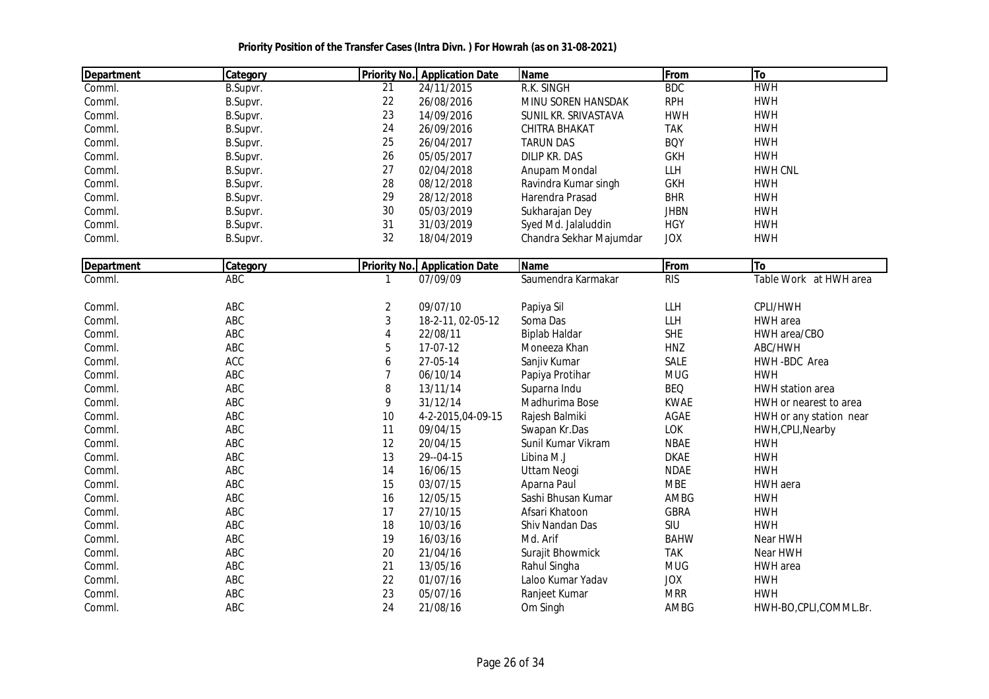| <b>Department</b> | Category   | <b>Priority No.</b> | <b>Application Date</b> | <b>Name</b>             | From        | To                      |
|-------------------|------------|---------------------|-------------------------|-------------------------|-------------|-------------------------|
| Comml.            | B.Supvr.   | 21                  | 24/11/2015              | R.K. SINGH              | <b>BDC</b>  | <b>HWH</b>              |
| Comml.            | B.Supvr.   | 22                  | 26/08/2016              | MINU SOREN HANSDAK      | <b>RPH</b>  | <b>HWH</b>              |
| Comml.            | B.Supvr.   | 23                  | 14/09/2016              | SUNIL KR. SRIVASTAVA    | <b>HWH</b>  | <b>HWH</b>              |
| Comml.            | B.Supvr.   | 24                  | 26/09/2016              | CHITRA BHAKAT           | <b>TAK</b>  | <b>HWH</b>              |
| Comml.            | B.Supvr.   | 25                  | 26/04/2017              | <b>TARUN DAS</b>        | <b>BOY</b>  | <b>HWH</b>              |
| Comml.            | B.Supvr.   | 26                  | 05/05/2017              | <b>DILIP KR. DAS</b>    | <b>GKH</b>  | <b>HWH</b>              |
| Comml.            | B.Supvr.   | 27                  | 02/04/2018              | Anupam Mondal           | LLH         | <b>HWH CNL</b>          |
| Comml.            | B.Supvr.   | 28                  | 08/12/2018              | Ravindra Kumar singh    | <b>GKH</b>  | <b>HWH</b>              |
| Comml.            | B.Supvr.   | 29                  | 28/12/2018              | Harendra Prasad         | <b>BHR</b>  | <b>HWH</b>              |
| Comml.            | B.Supvr.   | 30                  | 05/03/2019              | Sukharajan Dey          | <b>JHBN</b> | <b>HWH</b>              |
| Comml.            | B.Supvr.   | 31                  | 31/03/2019              | Syed Md. Jalaluddin     | <b>HGY</b>  | <b>HWH</b>              |
| Comml.            | B.Supvr.   | 32                  | 18/04/2019              | Chandra Sekhar Majumdar | <b>JOX</b>  | <b>HWH</b>              |
| <b>Department</b> | Category   | <b>Priority No.</b> | <b>Application Date</b> | <b>Name</b>             | From        | To                      |
| Comml.            | ABC        | $\mathbf{1}$        | 07/09/09                | Saumendra Karmakar      | RIS         | Table Work at HWH area  |
|                   |            |                     |                         |                         |             |                         |
| Comml.            | ABC        | $\overline{2}$      | 09/07/10                | Papiya Sil              | LLH         | CPLI/HWH                |
| Comml.            | ABC        | 3                   | 18-2-11, 02-05-12       | Soma Das                | LLH         | HWH area                |
| Comml.            | ABC        | 4                   | 22/08/11                | <b>Biplab Haldar</b>    | <b>SHE</b>  | HWH area/CBO            |
| Comml.            | ABC        | 5                   | 17-07-12                | Moneeza Khan            | HNZ         | ABC/HWH                 |
| Comml.            | <b>ACC</b> | 6                   | 27-05-14                | Sanjiv Kumar            | <b>SALE</b> | HWH-BDC Area            |
| Comml.            | ABC        | 7                   | 06/10/14                | Papiya Protihar         | <b>MUG</b>  | <b>HWH</b>              |
| Comml.            | ABC        | 8                   | 13/11/14                | Suparna Indu            | <b>BEQ</b>  | HWH station area        |
| Comml.            | ABC        | 9                   | 31/12/14                | Madhurima Bose          | <b>KWAE</b> | HWH or nearest to area  |
| Comml.            | ABC        | 10                  | 4-2-2015,04-09-15       | Rajesh Balmiki          | AGAE        | HWH or any station near |
| Comml.            | ABC        | 11                  | 09/04/15                | Swapan Kr.Das           | LOK         | HWH, CPLI, Nearby       |
| Comml.            | ABC        | 12                  | 20/04/15                | Sunil Kumar Vikram      | <b>NBAE</b> | <b>HWH</b>              |
| Comml.            | ABC        | 13                  | 29--04-15               | Libina M.J              | <b>DKAE</b> | <b>HWH</b>              |
| Comml.            | ABC        | 14                  | 16/06/15                | <b>Uttam Neogi</b>      | <b>NDAE</b> | <b>HWH</b>              |
| Comml.            | ABC        | 15                  | 03/07/15                | Aparna Paul             | <b>MBE</b>  | HWH aera                |
| Comml.            | ABC        | 16                  | 12/05/15                | Sashi Bhusan Kumar      | AMBG        | <b>HWH</b>              |
| Comml.            | ABC        | 17                  | 27/10/15                | Afsari Khatoon          | <b>GBRA</b> | <b>HWH</b>              |
| Comml.            | ABC        | 18                  | 10/03/16                | Shiv Nandan Das         | SIU         | <b>HWH</b>              |
| Comml.            | ABC        | 19                  | 16/03/16                | Md. Arif                | <b>BAHW</b> | Near HWH                |
| Comml.            | ABC        | 20                  | 21/04/16                | Surajit Bhowmick        | <b>TAK</b>  | Near HWH                |
| Comml.            | ABC        | 21                  | 13/05/16                | Rahul Singha            | <b>MUG</b>  | HWH area                |
| Comml.            | ABC        | 22                  | 01/07/16                | Laloo Kumar Yadav       | <b>JOX</b>  | <b>HWH</b>              |
| Comml.            | ABC        | 23                  | 05/07/16                | Ranjeet Kumar           | <b>MRR</b>  | <b>HWH</b>              |
| Comml.            | ABC        | 24                  | 21/08/16                | Om Singh                | AMBG        | HWH-BO,CPLI,COMML.Br.   |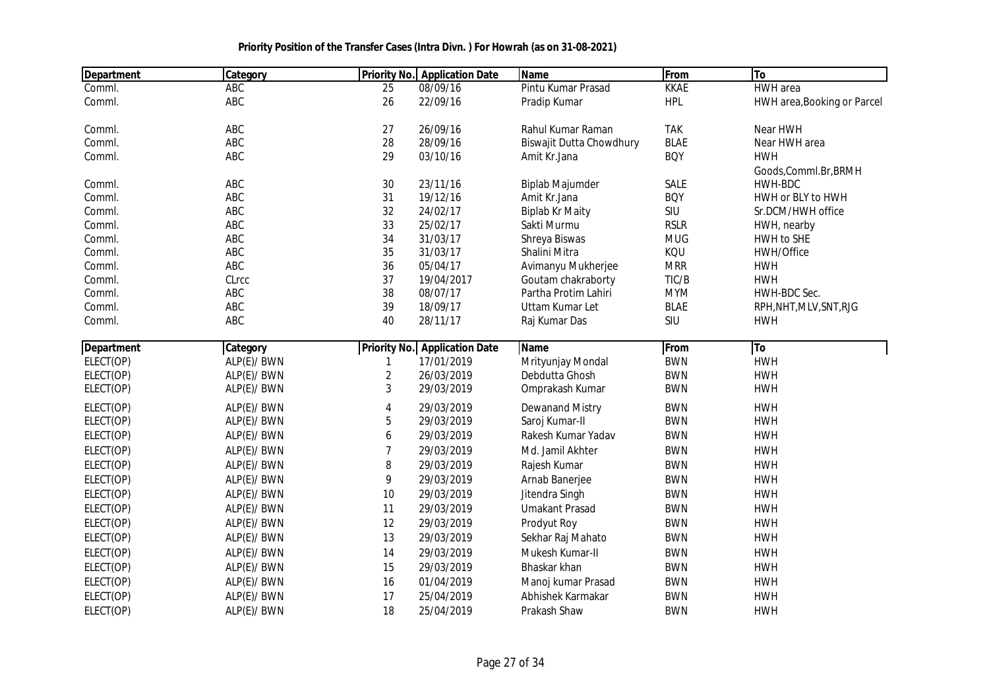| <b>Department</b> | Category    | <b>Priority No.</b>     | <b>Application Date</b>              | <b>Name</b>              | From        | To                          |
|-------------------|-------------|-------------------------|--------------------------------------|--------------------------|-------------|-----------------------------|
| Comml.            | ABC         | 25                      | 08/09/16                             | Pintu Kumar Prasad       | <b>KKAE</b> | <b>HWH</b> area             |
| Comml.            | ABC         | 26                      | 22/09/16                             | Pradip Kumar             | <b>HPL</b>  | HWH area, Booking or Parcel |
| Comml.            | ABC         | 27                      | 26/09/16                             | Rahul Kumar Raman        | <b>TAK</b>  | Near HWH                    |
| Comml.            | ABC         | 28                      | 28/09/16                             | Biswajit Dutta Chowdhury | <b>BLAE</b> | Near HWH area               |
| Comml.            | ABC         | 29                      | 03/10/16                             | Amit Kr.Jana             | <b>BOY</b>  | <b>HWH</b>                  |
|                   |             |                         |                                      |                          |             | Goods, Comml.Br, BRMH       |
| Comml.            | ABC         | 30                      | 23/11/16                             | <b>Biplab Majumder</b>   | SALE        | HWH-BDC                     |
| Comml.            | ABC         | 31                      | 19/12/16                             | Amit Kr.Jana             | <b>BOY</b>  | HWH or BLY to HWH           |
| Comml.            | ABC         | 32                      | 24/02/17                             | <b>Biplab Kr Maity</b>   | SIU         | Sr.DCM/HWH office           |
| Comml.            | ABC         | 33                      | 25/02/17                             | Sakti Murmu              | <b>RSLR</b> | HWH, nearby                 |
| Comml.            | ABC         | 34                      | 31/03/17                             | Shreya Biswas            | <b>MUG</b>  | HWH to SHE                  |
| Comml.            | ABC         | 35                      | 31/03/17                             | Shalini Mitra            | KQU         | HWH/Office                  |
| Comml.            | ABC         | 36                      | 05/04/17                             | Avimanyu Mukherjee       | <b>MRR</b>  | <b>HWH</b>                  |
| Comml.            | CLrcc       | 37                      | 19/04/2017                           | Goutam chakraborty       | TIC/B       | <b>HWH</b>                  |
| Comml.            | ABC         | 38                      | 08/07/17                             | Partha Protim Lahiri     | <b>MYM</b>  | HWH-BDC Sec.                |
| Comml.            | ABC         | 39                      | 18/09/17                             | Uttam Kumar Let          | <b>BLAE</b> | RPH, NHT, MLV, SNT, RJG     |
| Comml.            | ABC         | 40                      | 28/11/17                             | Raj Kumar Das            | SIU         | <b>HWH</b>                  |
| <b>Department</b> | Category    |                         | <b>Priority No.</b> Application Date | <b>Name</b>              | From        | To                          |
| ELECT(OP)         | ALP(E)/ BWN | $\mathbf{1}$            | 17/01/2019                           | Mrityunjay Mondal        | <b>BWN</b>  | <b>HWH</b>                  |
| ELECT(OP)         | ALP(E)/ BWN | $\overline{\mathbf{2}}$ | 26/03/2019                           | Debdutta Ghosh           | <b>BWN</b>  | <b>HWH</b>                  |
| ELECT(OP)         | ALP(E)/ BWN | 3                       | 29/03/2019                           | Omprakash Kumar          | <b>BWN</b>  | <b>HWH</b>                  |
| ELECT(OP)         | ALP(E)/ BWN | 4                       | 29/03/2019                           | <b>Dewanand Mistry</b>   | <b>BWN</b>  | <b>HWH</b>                  |
| ELECT(OP)         | ALP(E)/ BWN | 5                       | 29/03/2019                           | Saroj Kumar-II           | <b>BWN</b>  | <b>HWH</b>                  |
| ELECT(OP)         | ALP(E)/ BWN | 6                       | 29/03/2019                           | Rakesh Kumar Yadav       | <b>BWN</b>  | <b>HWH</b>                  |
| ELECT(OP)         | ALP(E)/ BWN | 7                       | 29/03/2019                           | Md. Jamil Akhter         | <b>BWN</b>  | <b>HWH</b>                  |
| ELECT(OP)         | ALP(E)/ BWN | 8                       | 29/03/2019                           | Rajesh Kumar             | <b>BWN</b>  | <b>HWH</b>                  |
| ELECT(OP)         | ALP(E)/ BWN | 9                       | 29/03/2019                           | Arnab Banerjee           | <b>BWN</b>  | <b>HWH</b>                  |
| ELECT(OP)         | ALP(E)/ BWN | 10                      | 29/03/2019                           | Jitendra Singh           | <b>BWN</b>  | <b>HWH</b>                  |
| ELECT(OP)         | ALP(E)/ BWN | 11                      | 29/03/2019                           | <b>Umakant Prasad</b>    | <b>BWN</b>  | <b>HWH</b>                  |
|                   |             | 12                      |                                      |                          | <b>BWN</b>  | <b>HWH</b>                  |
| ELECT(OP)         | ALP(E)/ BWN |                         | 29/03/2019                           | Prodyut Roy              |             |                             |
| ELECT(OP)         | ALP(E)/ BWN | 13                      | 29/03/2019                           | Sekhar Raj Mahato        | <b>BWN</b>  | <b>HWH</b>                  |
| ELECT(OP)         | ALP(E)/ BWN | 14                      | 29/03/2019                           | Mukesh Kumar-II          | <b>BWN</b>  | <b>HWH</b>                  |
| ELECT(OP)         | ALP(E)/ BWN | 15                      | 29/03/2019                           | Bhaskar khan             | <b>BWN</b>  | <b>HWH</b>                  |
| ELECT(OP)         | ALP(E)/ BWN | 16                      | 01/04/2019                           | Manoj kumar Prasad       | <b>BWN</b>  | <b>HWH</b>                  |
| ELECT(OP)         | ALP(E)/ BWN | 17                      | 25/04/2019                           | Abhishek Karmakar        | <b>BWN</b>  | <b>HWH</b>                  |
| ELECT(OP)         | ALP(E)/ BWN | 18                      | 25/04/2019                           | Prakash Shaw             | <b>BWN</b>  | <b>HWH</b>                  |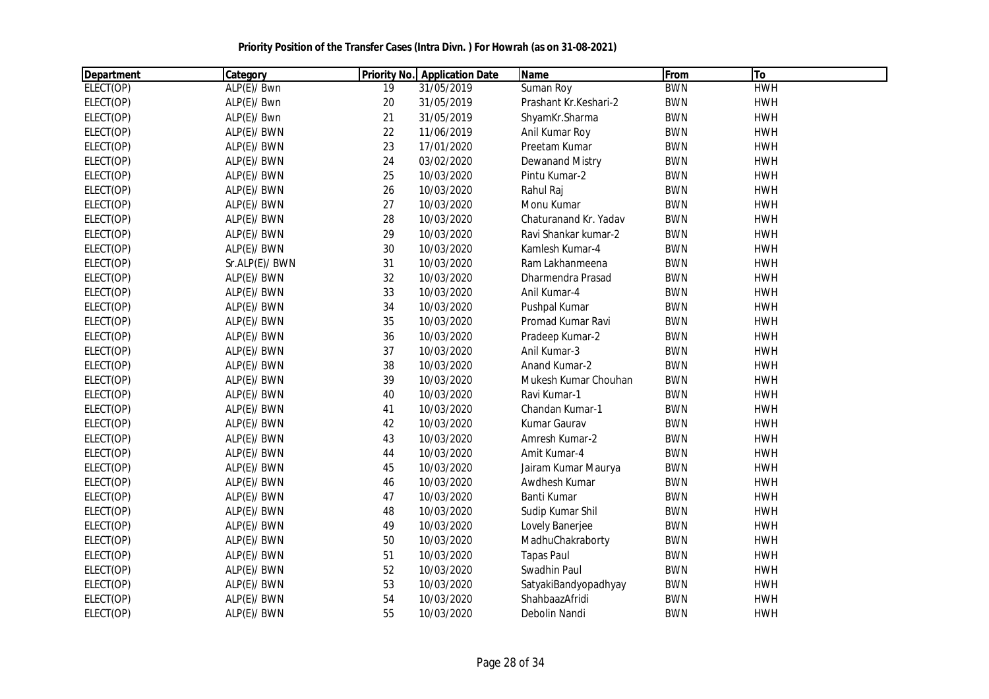| <b>Department</b> | Category       |    | <b>Priority No. Application Date</b> | <b>Name</b>            | From       | To         |
|-------------------|----------------|----|--------------------------------------|------------------------|------------|------------|
| ELECT(OP)         | ALP(E)/ Bwn    | 19 | 31/05/2019                           | Suman Roy              | <b>BWN</b> | <b>HWH</b> |
| ELECT(OP)         | ALP(E)/ Bwn    | 20 | 31/05/2019                           | Prashant Kr.Keshari-2  | <b>BWN</b> | <b>HWH</b> |
| ELECT(OP)         | ALP(E)/ Bwn    | 21 | 31/05/2019                           | ShyamKr.Sharma         | <b>BWN</b> | <b>HWH</b> |
| ELECT(OP)         | ALP(E)/ BWN    | 22 | 11/06/2019                           | Anil Kumar Roy         | <b>BWN</b> | <b>HWH</b> |
| ELECT(OP)         | ALP(E)/ BWN    | 23 | 17/01/2020                           | Preetam Kumar          | <b>BWN</b> | <b>HWH</b> |
| ELECT(OP)         | ALP(E)/ BWN    | 24 | 03/02/2020                           | <b>Dewanand Mistry</b> | <b>BWN</b> | <b>HWH</b> |
| ELECT(OP)         | ALP(E)/ BWN    | 25 | 10/03/2020                           | Pintu Kumar-2          | <b>BWN</b> | <b>HWH</b> |
| ELECT(OP)         | ALP(E)/ BWN    | 26 | 10/03/2020                           | Rahul Raj              | <b>BWN</b> | <b>HWH</b> |
| ELECT(OP)         | ALP(E)/ BWN    | 27 | 10/03/2020                           | Monu Kumar             | <b>BWN</b> | <b>HWH</b> |
| ELECT(OP)         | ALP(E)/ BWN    | 28 | 10/03/2020                           | Chaturanand Kr. Yadav  | <b>BWN</b> | <b>HWH</b> |
| ELECT(OP)         | ALP(E)/ BWN    | 29 | 10/03/2020                           | Ravi Shankar kumar-2   | <b>BWN</b> | <b>HWH</b> |
| ELECT(OP)         | ALP(E)/ BWN    | 30 | 10/03/2020                           | Kamlesh Kumar-4        | <b>BWN</b> | <b>HWH</b> |
| ELECT(OP)         | Sr.ALP(E)/ BWN | 31 | 10/03/2020                           | Ram Lakhanmeena        | <b>BWN</b> | <b>HWH</b> |
| ELECT(OP)         | ALP(E)/ BWN    | 32 | 10/03/2020                           | Dharmendra Prasad      | <b>BWN</b> | <b>HWH</b> |
| ELECT(OP)         | ALP(E)/ BWN    | 33 | 10/03/2020                           | Anil Kumar-4           | <b>BWN</b> | <b>HWH</b> |
| ELECT(OP)         | ALP(E)/ BWN    | 34 | 10/03/2020                           | Pushpal Kumar          | <b>BWN</b> | <b>HWH</b> |
| ELECT(OP)         | ALP(E)/ BWN    | 35 | 10/03/2020                           | Promad Kumar Ravi      | <b>BWN</b> | <b>HWH</b> |
| ELECT(OP)         | ALP(E)/ BWN    | 36 | 10/03/2020                           | Pradeep Kumar-2        | <b>BWN</b> | <b>HWH</b> |
| ELECT(OP)         | ALP(E)/ BWN    | 37 | 10/03/2020                           | Anil Kumar-3           | <b>BWN</b> | <b>HWH</b> |
| ELECT(OP)         | ALP(E)/ BWN    | 38 | 10/03/2020                           | Anand Kumar-2          | <b>BWN</b> | <b>HWH</b> |
| ELECT(OP)         | ALP(E)/ BWN    | 39 | 10/03/2020                           | Mukesh Kumar Chouhan   | <b>BWN</b> | <b>HWH</b> |
| ELECT(OP)         | ALP(E)/ BWN    | 40 | 10/03/2020                           | Ravi Kumar-1           | <b>BWN</b> | <b>HWH</b> |
| ELECT(OP)         | ALP(E)/ BWN    | 41 | 10/03/2020                           | Chandan Kumar-1        | <b>BWN</b> | <b>HWH</b> |
| ELECT(OP)         | ALP(E)/ BWN    | 42 | 10/03/2020                           | Kumar Gaurav           | <b>BWN</b> | <b>HWH</b> |
| ELECT(OP)         | ALP(E)/ BWN    | 43 | 10/03/2020                           | Amresh Kumar-2         | <b>BWN</b> | <b>HWH</b> |
| ELECT(OP)         | ALP(E)/ BWN    | 44 | 10/03/2020                           | Amit Kumar-4           | <b>BWN</b> | <b>HWH</b> |
| ELECT(OP)         | ALP(E)/ BWN    | 45 | 10/03/2020                           | Jairam Kumar Maurya    | <b>BWN</b> | <b>HWH</b> |
| ELECT(OP)         | ALP(E)/ BWN    | 46 | 10/03/2020                           | Awdhesh Kumar          | <b>BWN</b> | <b>HWH</b> |
| ELECT(OP)         | ALP(E)/ BWN    | 47 | 10/03/2020                           | Banti Kumar            | <b>BWN</b> | <b>HWH</b> |
| ELECT(OP)         | ALP(E)/ BWN    | 48 | 10/03/2020                           | Sudip Kumar Shil       | <b>BWN</b> | <b>HWH</b> |
| ELECT(OP)         | ALP(E)/ BWN    | 49 | 10/03/2020                           | Lovely Banerjee        | <b>BWN</b> | <b>HWH</b> |
| ELECT(OP)         | ALP(E)/ BWN    | 50 | 10/03/2020                           | MadhuChakraborty       | <b>BWN</b> | <b>HWH</b> |
| ELECT(OP)         | ALP(E)/ BWN    | 51 | 10/03/2020                           | <b>Tapas Paul</b>      | <b>BWN</b> | <b>HWH</b> |
| ELECT(OP)         | ALP(E)/ BWN    | 52 | 10/03/2020                           | Swadhin Paul           | <b>BWN</b> | <b>HWH</b> |
| ELECT(OP)         | ALP(E)/ BWN    | 53 | 10/03/2020                           | SatyakiBandyopadhyay   | <b>BWN</b> | <b>HWH</b> |
| ELECT(OP)         | ALP(E)/ BWN    | 54 | 10/03/2020                           | ShahbaazAfridi         | <b>BWN</b> | <b>HWH</b> |
| ELECT(OP)         | ALP(E)/ BWN    | 55 | 10/03/2020                           | Debolin Nandi          | <b>BWN</b> | <b>HWH</b> |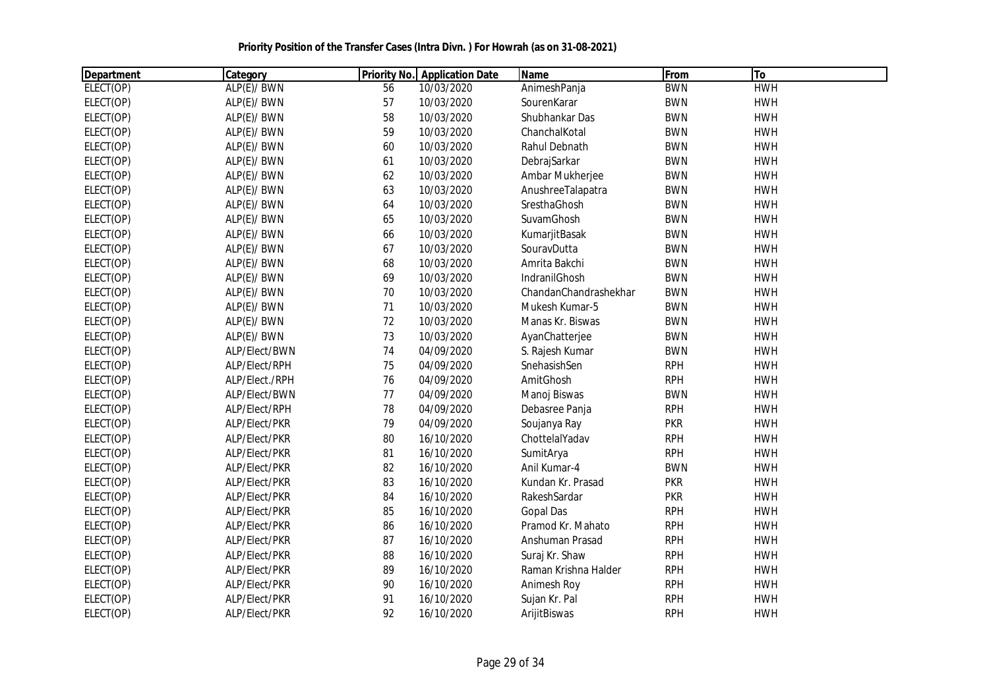| <b>Department</b> | Category       |    | <b>Priority No.</b> Application Date | <b>Name</b>           | From       | T <sub>o</sub> |
|-------------------|----------------|----|--------------------------------------|-----------------------|------------|----------------|
| ELECT(OP)         | ALP(E)/ BWN    | 56 | 10/03/2020                           | AnimeshPanja          | <b>BWN</b> | <b>HWH</b>     |
| ELECT(OP)         | ALP(E)/ BWN    | 57 | 10/03/2020                           | SourenKarar           | <b>BWN</b> | <b>HWH</b>     |
| ELECT(OP)         | ALP(E)/ BWN    | 58 | 10/03/2020                           | Shubhankar Das        | <b>BWN</b> | <b>HWH</b>     |
| ELECT(OP)         | ALP(E)/ BWN    | 59 | 10/03/2020                           | ChanchalKotal         | <b>BWN</b> | <b>HWH</b>     |
| ELECT(OP)         | ALP(E)/ BWN    | 60 | 10/03/2020                           | Rahul Debnath         | <b>BWN</b> | <b>HWH</b>     |
| ELECT(OP)         | ALP(E)/ BWN    | 61 | 10/03/2020                           | DebrajSarkar          | <b>BWN</b> | <b>HWH</b>     |
| ELECT(OP)         | ALP(E)/ BWN    | 62 | 10/03/2020                           | Ambar Mukherjee       | <b>BWN</b> | <b>HWH</b>     |
| ELECT(OP)         | ALP(E)/ BWN    | 63 | 10/03/2020                           | AnushreeTalapatra     | <b>BWN</b> | <b>HWH</b>     |
| ELECT(OP)         | ALP(E)/ BWN    | 64 | 10/03/2020                           | SresthaGhosh          | <b>BWN</b> | <b>HWH</b>     |
| ELECT(OP)         | ALP(E)/ BWN    | 65 | 10/03/2020                           | SuvamGhosh            | <b>BWN</b> | <b>HWH</b>     |
| ELECT(OP)         | ALP(E)/ BWN    | 66 | 10/03/2020                           | KumarjitBasak         | <b>BWN</b> | <b>HWH</b>     |
| ELECT(OP)         | ALP(E)/ BWN    | 67 | 10/03/2020                           | SouravDutta           | <b>BWN</b> | <b>HWH</b>     |
| ELECT(OP)         | ALP(E)/ BWN    | 68 | 10/03/2020                           | Amrita Bakchi         | <b>BWN</b> | <b>HWH</b>     |
| ELECT(OP)         | ALP(E)/ BWN    | 69 | 10/03/2020                           | IndranilGhosh         | <b>BWN</b> | <b>HWH</b>     |
| ELECT(OP)         | ALP(E)/ BWN    | 70 | 10/03/2020                           | ChandanChandrashekhar | <b>BWN</b> | <b>HWH</b>     |
| ELECT(OP)         | ALP(E)/ BWN    | 71 | 10/03/2020                           | Mukesh Kumar-5        | <b>BWN</b> | <b>HWH</b>     |
| ELECT(OP)         | ALP(E)/ BWN    | 72 | 10/03/2020                           | Manas Kr. Biswas      | <b>BWN</b> | <b>HWH</b>     |
| ELECT(OP)         | ALP(E)/ BWN    | 73 | 10/03/2020                           | AyanChatterjee        | <b>BWN</b> | <b>HWH</b>     |
| ELECT(OP)         | ALP/Elect/BWN  | 74 | 04/09/2020                           | S. Rajesh Kumar       | <b>BWN</b> | <b>HWH</b>     |
| ELECT(OP)         | ALP/Elect/RPH  | 75 | 04/09/2020                           | SnehasishSen          | <b>RPH</b> | <b>HWH</b>     |
| ELECT(OP)         | ALP/Elect./RPH | 76 | 04/09/2020                           | AmitGhosh             | <b>RPH</b> | <b>HWH</b>     |
| ELECT(OP)         | ALP/Elect/BWN  | 77 | 04/09/2020                           | Manoj Biswas          | <b>BWN</b> | <b>HWH</b>     |
| ELECT(OP)         | ALP/Elect/RPH  | 78 | 04/09/2020                           | Debasree Panja        | <b>RPH</b> | <b>HWH</b>     |
| ELECT(OP)         | ALP/Elect/PKR  | 79 | 04/09/2020                           | Soujanya Ray          | <b>PKR</b> | <b>HWH</b>     |
| ELECT(OP)         | ALP/Elect/PKR  | 80 | 16/10/2020                           | ChottelalYadav        | <b>RPH</b> | <b>HWH</b>     |
| ELECT(OP)         | ALP/Elect/PKR  | 81 | 16/10/2020                           | SumitArya             | <b>RPH</b> | <b>HWH</b>     |
| ELECT(OP)         | ALP/Elect/PKR  | 82 | 16/10/2020                           | Anil Kumar-4          | <b>BWN</b> | <b>HWH</b>     |
| ELECT(OP)         | ALP/Elect/PKR  | 83 | 16/10/2020                           | Kundan Kr. Prasad     | <b>PKR</b> | <b>HWH</b>     |
| ELECT(OP)         | ALP/Elect/PKR  | 84 | 16/10/2020                           | RakeshSardar          | <b>PKR</b> | <b>HWH</b>     |
| ELECT(OP)         | ALP/Elect/PKR  | 85 | 16/10/2020                           | <b>Gopal Das</b>      | <b>RPH</b> | <b>HWH</b>     |
| ELECT(OP)         | ALP/Elect/PKR  | 86 | 16/10/2020                           | Pramod Kr. Mahato     | <b>RPH</b> | <b>HWH</b>     |
| ELECT(OP)         | ALP/Elect/PKR  | 87 | 16/10/2020                           | Anshuman Prasad       | <b>RPH</b> | <b>HWH</b>     |
| ELECT(OP)         | ALP/Elect/PKR  | 88 | 16/10/2020                           | Suraj Kr. Shaw        | <b>RPH</b> | <b>HWH</b>     |
| ELECT(OP)         | ALP/Elect/PKR  | 89 | 16/10/2020                           | Raman Krishna Halder  | <b>RPH</b> | <b>HWH</b>     |
| ELECT(OP)         | ALP/Elect/PKR  | 90 | 16/10/2020                           | Animesh Roy           | <b>RPH</b> | <b>HWH</b>     |
| ELECT(OP)         | ALP/Elect/PKR  | 91 | 16/10/2020                           | Sujan Kr. Pal         | <b>RPH</b> | <b>HWH</b>     |
| ELECT(OP)         | ALP/Elect/PKR  | 92 | 16/10/2020                           | ArijitBiswas          | <b>RPH</b> | <b>HWH</b>     |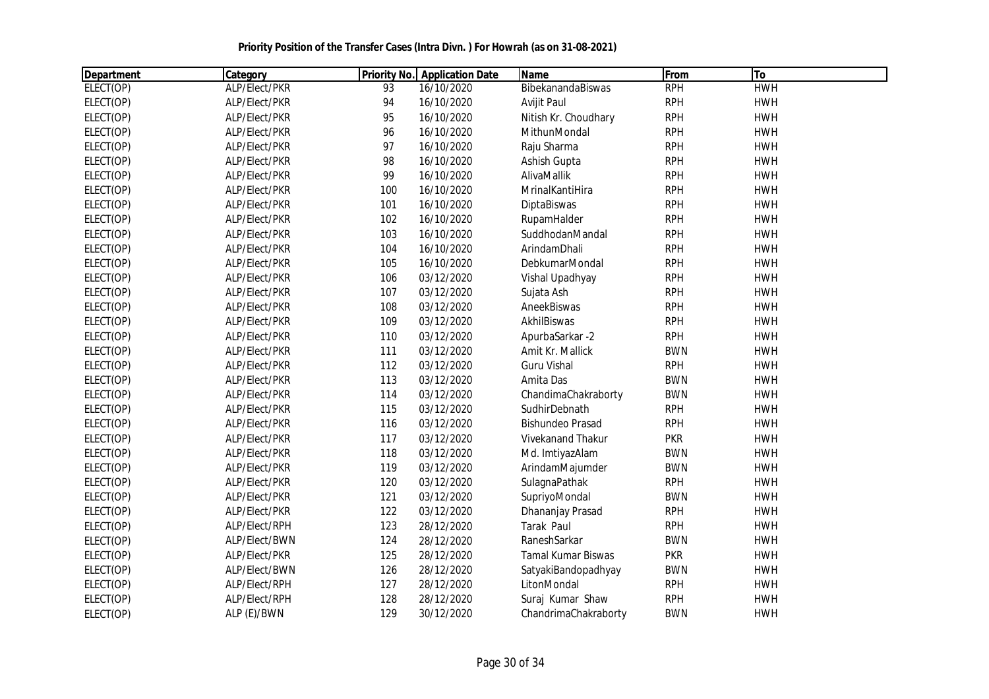| <b>Department</b> | Category      |     | <b>Priority No.</b> Application Date | <b>Name</b>               | From       | T <sub>o</sub> |  |
|-------------------|---------------|-----|--------------------------------------|---------------------------|------------|----------------|--|
| ELECT(OP)         | ALP/Elect/PKR | 93  | 16/10/2020                           | BibekanandaBiswas         | <b>RPH</b> | <b>HWH</b>     |  |
| ELECT(OP)         | ALP/Elect/PKR | 94  | 16/10/2020                           | Avijit Paul               | <b>RPH</b> | <b>HWH</b>     |  |
| ELECT(OP)         | ALP/Elect/PKR | 95  | 16/10/2020                           | Nitish Kr. Choudhary      | <b>RPH</b> | <b>HWH</b>     |  |
| ELECT(OP)         | ALP/Elect/PKR | 96  | 16/10/2020                           | MithunMondal              | <b>RPH</b> | <b>HWH</b>     |  |
| ELECT(OP)         | ALP/Elect/PKR | 97  | 16/10/2020                           | Raju Sharma               | <b>RPH</b> | <b>HWH</b>     |  |
| ELECT(OP)         | ALP/Elect/PKR | 98  | 16/10/2020                           | Ashish Gupta              | <b>RPH</b> | <b>HWH</b>     |  |
| ELECT(OP)         | ALP/Elect/PKR | 99  | 16/10/2020                           | AlivaMallik               | <b>RPH</b> | <b>HWH</b>     |  |
| ELECT(OP)         | ALP/Elect/PKR | 100 | 16/10/2020                           | MrinalKantiHira           | <b>RPH</b> | <b>HWH</b>     |  |
| ELECT(OP)         | ALP/Elect/PKR | 101 | 16/10/2020                           | DiptaBiswas               | <b>RPH</b> | <b>HWH</b>     |  |
| ELECT(OP)         | ALP/Elect/PKR | 102 | 16/10/2020                           | RupamHalder               | <b>RPH</b> | <b>HWH</b>     |  |
| ELECT(OP)         | ALP/Elect/PKR | 103 | 16/10/2020                           | SuddhodanMandal           | <b>RPH</b> | <b>HWH</b>     |  |
| ELECT(OP)         | ALP/Elect/PKR | 104 | 16/10/2020                           | ArindamDhali              | <b>RPH</b> | <b>HWH</b>     |  |
| ELECT(OP)         | ALP/Elect/PKR | 105 | 16/10/2020                           | DebkumarMondal            | <b>RPH</b> | <b>HWH</b>     |  |
| ELECT(OP)         | ALP/Elect/PKR | 106 | 03/12/2020                           | Vishal Upadhyay           | <b>RPH</b> | <b>HWH</b>     |  |
| ELECT(OP)         | ALP/Elect/PKR | 107 | 03/12/2020                           | Sujata Ash                | <b>RPH</b> | <b>HWH</b>     |  |
| ELECT(OP)         | ALP/Elect/PKR | 108 | 03/12/2020                           | AneekBiswas               | <b>RPH</b> | <b>HWH</b>     |  |
| ELECT(OP)         | ALP/Elect/PKR | 109 | 03/12/2020                           | AkhilBiswas               | <b>RPH</b> | <b>HWH</b>     |  |
| ELECT(OP)         | ALP/Elect/PKR | 110 | 03/12/2020                           | ApurbaSarkar -2           | <b>RPH</b> | <b>HWH</b>     |  |
| ELECT(OP)         | ALP/Elect/PKR | 111 | 03/12/2020                           | Amit Kr. Mallick          | <b>BWN</b> | <b>HWH</b>     |  |
| ELECT(OP)         | ALP/Elect/PKR | 112 | 03/12/2020                           | <b>Guru Vishal</b>        | <b>RPH</b> | <b>HWH</b>     |  |
| ELECT(OP)         | ALP/Elect/PKR | 113 | 03/12/2020                           | Amita Das                 | <b>BWN</b> | <b>HWH</b>     |  |
| ELECT(OP)         | ALP/Elect/PKR | 114 | 03/12/2020                           | ChandimaChakraborty       | <b>BWN</b> | <b>HWH</b>     |  |
| ELECT(OP)         | ALP/Elect/PKR | 115 | 03/12/2020                           | SudhirDebnath             | <b>RPH</b> | <b>HWH</b>     |  |
| ELECT(OP)         | ALP/Elect/PKR | 116 | 03/12/2020                           | <b>Bishundeo Prasad</b>   | <b>RPH</b> | <b>HWH</b>     |  |
| ELECT(OP)         | ALP/Elect/PKR | 117 | 03/12/2020                           | Vivekanand Thakur         | <b>PKR</b> | <b>HWH</b>     |  |
| ELECT(OP)         | ALP/Elect/PKR | 118 | 03/12/2020                           | Md. ImtiyazAlam           | <b>BWN</b> | <b>HWH</b>     |  |
| ELECT(OP)         | ALP/Elect/PKR | 119 | 03/12/2020                           | ArindamMajumder           | <b>BWN</b> | <b>HWH</b>     |  |
| ELECT(OP)         | ALP/Elect/PKR | 120 | 03/12/2020                           | SulagnaPathak             | <b>RPH</b> | <b>HWH</b>     |  |
| ELECT(OP)         | ALP/Elect/PKR | 121 | 03/12/2020                           | SupriyoMondal             | <b>BWN</b> | <b>HWH</b>     |  |
| ELECT(OP)         | ALP/Elect/PKR | 122 | 03/12/2020                           | Dhananjay Prasad          | <b>RPH</b> | <b>HWH</b>     |  |
| ELECT(OP)         | ALP/Elect/RPH | 123 | 28/12/2020                           | Tarak Paul                | <b>RPH</b> | <b>HWH</b>     |  |
| ELECT(OP)         | ALP/Elect/BWN | 124 | 28/12/2020                           | RaneshSarkar              | <b>BWN</b> | <b>HWH</b>     |  |
| ELECT(OP)         | ALP/Elect/PKR | 125 | 28/12/2020                           | <b>Tamal Kumar Biswas</b> | <b>PKR</b> | <b>HWH</b>     |  |
| ELECT(OP)         | ALP/Elect/BWN | 126 | 28/12/2020                           | SatyakiBandopadhyay       | <b>BWN</b> | <b>HWH</b>     |  |
| ELECT(OP)         | ALP/Elect/RPH | 127 | 28/12/2020                           | LitonMondal               | <b>RPH</b> | <b>HWH</b>     |  |
| ELECT(OP)         | ALP/Elect/RPH | 128 | 28/12/2020                           | Suraj Kumar Shaw          | <b>RPH</b> | <b>HWH</b>     |  |
| ELECT(OP)         | ALP (E)/BWN   | 129 | 30/12/2020                           | ChandrimaChakraborty      | <b>BWN</b> | <b>HWH</b>     |  |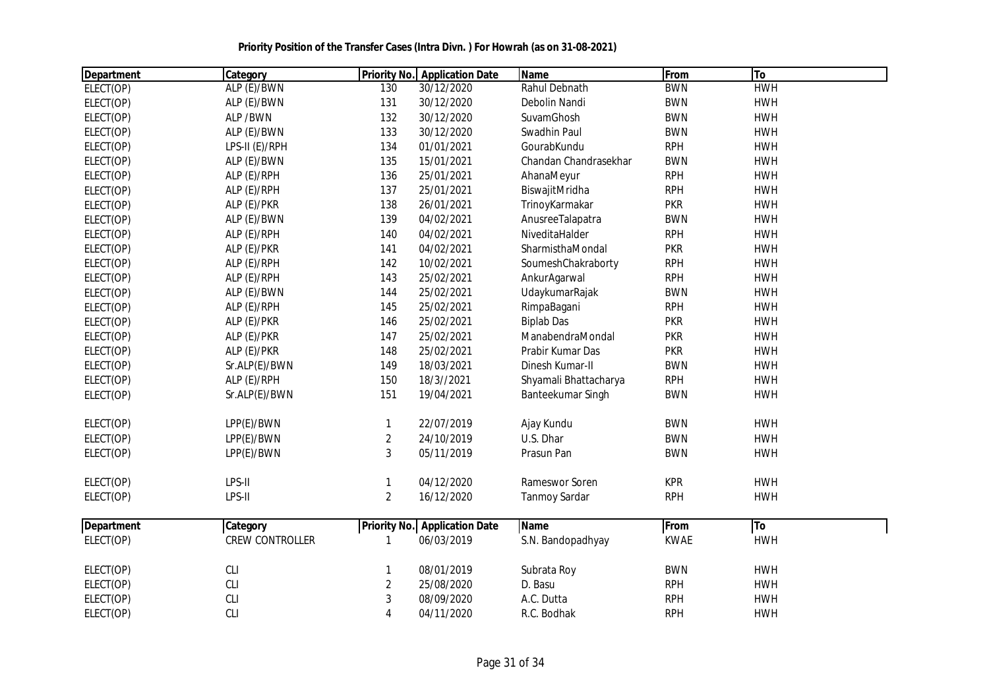| <b>Department</b> | Category               |                         | <b>Priority No.</b> Application Date | Name                  | From        | To         |  |
|-------------------|------------------------|-------------------------|--------------------------------------|-----------------------|-------------|------------|--|
| ELECT(OP)         | ALP (E)/BWN            | 130                     | 30/12/2020                           | Rahul Debnath         | <b>BWN</b>  | <b>HWH</b> |  |
| ELECT(OP)         | ALP (E)/BWN            | 131                     | 30/12/2020                           | Debolin Nandi         | <b>BWN</b>  | <b>HWH</b> |  |
| ELECT(OP)         | ALP / BWN              | 132                     | 30/12/2020                           | SuvamGhosh            | <b>BWN</b>  | <b>HWH</b> |  |
| ELECT(OP)         | ALP (E)/BWN            | 133                     | 30/12/2020                           | Swadhin Paul          | <b>BWN</b>  | <b>HWH</b> |  |
| ELECT(OP)         | LPS-II (E)/RPH         | 134                     | 01/01/2021                           | GourabKundu           | <b>RPH</b>  | <b>HWH</b> |  |
| ELECT(OP)         | ALP (E)/BWN            | 135                     | 15/01/2021                           | Chandan Chandrasekhar | <b>BWN</b>  | <b>HWH</b> |  |
| ELECT(OP)         | ALP (E)/RPH            | 136                     | 25/01/2021                           | AhanaMeyur            | <b>RPH</b>  | <b>HWH</b> |  |
| ELECT(OP)         | ALP (E)/RPH            | 137                     | 25/01/2021                           | BiswajitMridha        | <b>RPH</b>  | <b>HWH</b> |  |
| ELECT(OP)         | ALP (E)/PKR            | 138                     | 26/01/2021                           | TrinoyKarmakar        | <b>PKR</b>  | <b>HWH</b> |  |
| ELECT(OP)         | ALP (E)/BWN            | 139                     | 04/02/2021                           | AnusreeTalapatra      | <b>BWN</b>  | <b>HWH</b> |  |
| ELECT(OP)         | ALP (E)/RPH            | 140                     | 04/02/2021                           | NiveditaHalder        | <b>RPH</b>  | <b>HWH</b> |  |
| ELECT(OP)         | ALP (E)/PKR            | 141                     | 04/02/2021                           | SharmisthaMondal      | <b>PKR</b>  | <b>HWH</b> |  |
| ELECT(OP)         | ALP (E)/RPH            | 142                     | 10/02/2021                           | SoumeshChakraborty    | <b>RPH</b>  | <b>HWH</b> |  |
| ELECT(OP)         | ALP (E)/RPH            | 143                     | 25/02/2021                           | AnkurAgarwal          | <b>RPH</b>  | <b>HWH</b> |  |
| ELECT(OP)         | ALP (E)/BWN            | 144                     | 25/02/2021                           | UdaykumarRajak        | <b>BWN</b>  | <b>HWH</b> |  |
| ELECT(OP)         | ALP (E)/RPH            | 145                     | 25/02/2021                           | RimpaBagani           | <b>RPH</b>  | <b>HWH</b> |  |
| ELECT(OP)         | ALP (E)/PKR            | 146                     | 25/02/2021                           | <b>Biplab Das</b>     | <b>PKR</b>  | <b>HWH</b> |  |
| ELECT(OP)         | ALP (E)/PKR            | 147                     | 25/02/2021                           | ManabendraMondal      | <b>PKR</b>  | <b>HWH</b> |  |
| ELECT(OP)         | ALP (E)/PKR            | 148                     | 25/02/2021                           | Prabir Kumar Das      | <b>PKR</b>  | <b>HWH</b> |  |
| ELECT(OP)         | Sr.ALP(E)/BWN          | 149                     | 18/03/2021                           | Dinesh Kumar-II       | <b>BWN</b>  | <b>HWH</b> |  |
| ELECT(OP)         | ALP (E)/RPH            | 150                     | 18/3//2021                           | Shyamali Bhattacharya | <b>RPH</b>  | <b>HWH</b> |  |
| ELECT(OP)         | Sr.ALP(E)/BWN          | 151                     | 19/04/2021                           | Banteekumar Singh     | <b>BWN</b>  | <b>HWH</b> |  |
| ELECT(OP)         | LPP(E)/BWN             | $\mathbf{1}$            | 22/07/2019                           | Ajay Kundu            | <b>BWN</b>  | <b>HWH</b> |  |
| ELECT(OP)         | LPP(E)/BWN             | $\overline{c}$          | 24/10/2019                           | U.S. Dhar             | <b>BWN</b>  | <b>HWH</b> |  |
| ELECT(OP)         | LPP(E)/BWN             | 3                       | 05/11/2019                           | Prasun Pan            | <b>BWN</b>  | <b>HWH</b> |  |
| ELECT(OP)         | LPS-II                 | $\mathbf{1}$            | 04/12/2020                           | Rameswor Soren        | <b>KPR</b>  | <b>HWH</b> |  |
| ELECT(OP)         | LPS-II                 | $\overline{2}$          | 16/12/2020                           | <b>Tanmoy Sardar</b>  | <b>RPH</b>  | <b>HWH</b> |  |
| Department        | <b>Category</b>        |                         | <b>Priority No.</b> Application Date | Name                  | From        | To         |  |
| ELECT(OP)         | <b>CREW CONTROLLER</b> | 1                       | 06/03/2019                           | S.N. Bandopadhyay     | <b>KWAE</b> | <b>HWH</b> |  |
| ELECT(OP)         | <b>CLI</b>             | $\mathbf{1}$            | 08/01/2019                           | Subrata Roy           | <b>BWN</b>  | <b>HWH</b> |  |
| ELECT(OP)         | <b>CLI</b>             | $\overline{\mathbf{c}}$ | 25/08/2020                           | D. Basu               | <b>RPH</b>  | <b>HWH</b> |  |
| ELECT(OP)         | CLI                    | 3                       | 08/09/2020                           | A.C. Dutta            | <b>RPH</b>  | <b>HWH</b> |  |
| ELECT(OP)         | <b>CLI</b>             | 4                       | 04/11/2020                           | R.C. Bodhak           | <b>RPH</b>  | <b>HWH</b> |  |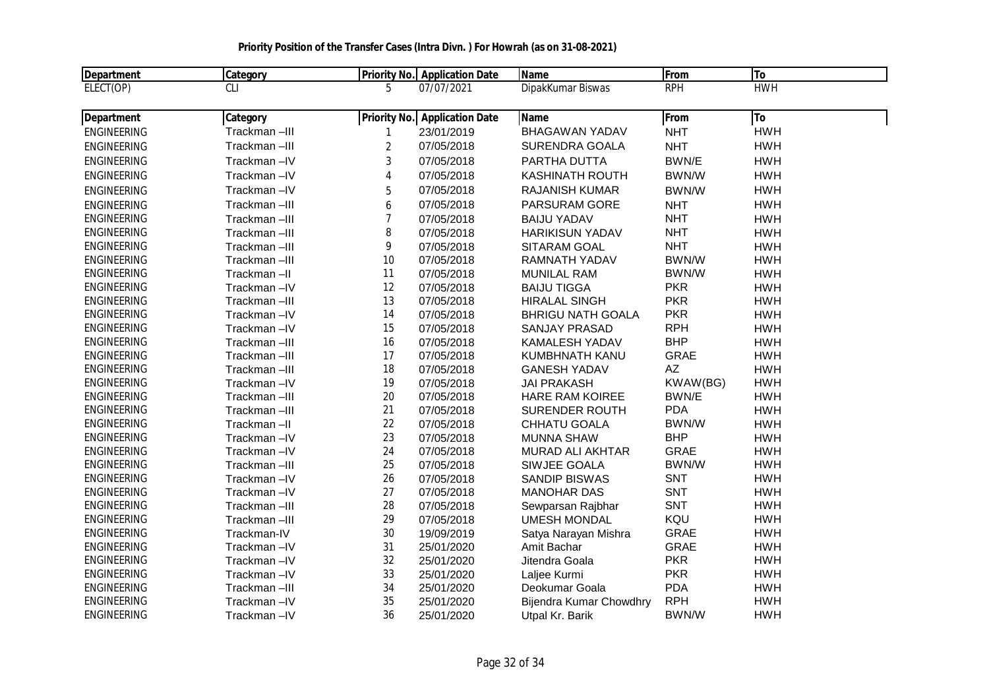| Department         | Category     |                | <b>Priority No. Application Date</b> | <b>Name</b>              | From        | <b>To</b>  |  |
|--------------------|--------------|----------------|--------------------------------------|--------------------------|-------------|------------|--|
| ELECT(OP)          | <b>CLI</b>   | 5              | 07/07/2021                           | DipakKumar Biswas        | <b>RPH</b>  | <b>HWH</b> |  |
| Department         | Category     |                | <b>Priority No.</b> Application Date | Name                     | <b>From</b> | To         |  |
| <b>ENGINEERING</b> | Trackman-III |                | 23/01/2019                           | <b>BHAGAWAN YADAV</b>    | <b>NHT</b>  | <b>HWH</b> |  |
| <b>ENGINEERING</b> | Trackman-III | $\sqrt{2}$     | 07/05/2018                           | SURENDRA GOALA           | <b>NHT</b>  | <b>HWH</b> |  |
| <b>ENGINEERING</b> | Trackman-IV  | 3              | 07/05/2018                           | PARTHA DUTTA             | BWN/E       | <b>HWH</b> |  |
| <b>ENGINEERING</b> | Trackman-IV  | $\overline{4}$ | 07/05/2018                           | <b>KASHINATH ROUTH</b>   | BWN/W       | <b>HWH</b> |  |
| <b>ENGINEERING</b> | Trackman-IV  | 5              | 07/05/2018                           | RAJANISH KUMAR           | BWN/W       | <b>HWH</b> |  |
| <b>ENGINEERING</b> | Trackman-III | 6              | 07/05/2018                           | PARSURAM GORE            | <b>NHT</b>  | <b>HWH</b> |  |
| <b>ENGINEERING</b> | Trackman-III | $\overline{7}$ | 07/05/2018                           | <b>BAIJU YADAV</b>       | <b>NHT</b>  | <b>HWH</b> |  |
| <b>ENGINEERING</b> | Trackman-III | 8              | 07/05/2018                           | <b>HARIKISUN YADAV</b>   | <b>NHT</b>  | <b>HWH</b> |  |
| <b>ENGINEERING</b> | Trackman-III | 9              | 07/05/2018                           | SITARAM GOAL             | <b>NHT</b>  | <b>HWH</b> |  |
| <b>ENGINEERING</b> | Trackman-III | 10             | 07/05/2018                           | RAMNATH YADAV            | BWN/W       | <b>HWH</b> |  |
| <b>ENGINEERING</b> | Trackman-II  | 11             | 07/05/2018                           | <b>MUNILAL RAM</b>       | BWN/W       | <b>HWH</b> |  |
| <b>ENGINEERING</b> | Trackman-IV  | 12             | 07/05/2018                           | <b>BAIJU TIGGA</b>       | <b>PKR</b>  | <b>HWH</b> |  |
| <b>ENGINEERING</b> | Trackman-III | 13             | 07/05/2018                           | <b>HIRALAL SINGH</b>     | <b>PKR</b>  | <b>HWH</b> |  |
| <b>ENGINEERING</b> | Trackman-IV  | 14             | 07/05/2018                           | <b>BHRIGU NATH GOALA</b> | <b>PKR</b>  | <b>HWH</b> |  |
| <b>ENGINEERING</b> | Trackman-IV  | 15             | 07/05/2018                           | SANJAY PRASAD            | <b>RPH</b>  | <b>HWH</b> |  |
| <b>ENGINEERING</b> | Trackman-III | 16             | 07/05/2018                           | KAMALESH YADAV           | <b>BHP</b>  | <b>HWH</b> |  |
| <b>ENGINEERING</b> | Trackman-III | 17             | 07/05/2018                           | KUMBHNATH KANU           | <b>GRAE</b> | <b>HWH</b> |  |
| <b>ENGINEERING</b> | Trackman-III | 18             | 07/05/2018                           | <b>GANESH YADAV</b>      | AZ          | <b>HWH</b> |  |
| <b>ENGINEERING</b> | Trackman-IV  | 19             | 07/05/2018                           | <b>JAI PRAKASH</b>       | KWAW(BG)    | <b>HWH</b> |  |
| <b>ENGINEERING</b> | Trackman-III | 20             | 07/05/2018                           | <b>HARE RAM KOIREE</b>   | BWN/E       | <b>HWH</b> |  |
| <b>ENGINEERING</b> | Trackman-III | 21             | 07/05/2018                           | <b>SURENDER ROUTH</b>    | <b>PDA</b>  | <b>HWH</b> |  |
| <b>ENGINEERING</b> | Trackman-II  | 22             | 07/05/2018                           | CHHATU GOALA             | BWN/W       | <b>HWH</b> |  |
| <b>ENGINEERING</b> | Trackman-IV  | 23             | 07/05/2018                           | <b>MUNNA SHAW</b>        | <b>BHP</b>  | <b>HWH</b> |  |
| <b>ENGINEERING</b> | Trackman-IV  | 24             | 07/05/2018                           | <b>MURAD ALI AKHTAR</b>  | <b>GRAE</b> | <b>HWH</b> |  |
| <b>ENGINEERING</b> | Trackman-III | 25             | 07/05/2018                           | SIWJEE GOALA             | BWN/W       | <b>HWH</b> |  |
| <b>ENGINEERING</b> | Trackman-IV  | 26             | 07/05/2018                           | <b>SANDIP BISWAS</b>     | <b>SNT</b>  | <b>HWH</b> |  |
| <b>ENGINEERING</b> | Trackman-IV  | 27             | 07/05/2018                           | <b>MANOHAR DAS</b>       | SNT         | <b>HWH</b> |  |
| <b>ENGINEERING</b> | Trackman-III | 28             | 07/05/2018                           | Sewparsan Rajbhar        | SNT         | <b>HWH</b> |  |
| <b>ENGINEERING</b> | Trackman-III | 29             | 07/05/2018                           | <b>UMESH MONDAL</b>      | KQU         | <b>HWH</b> |  |
| <b>ENGINEERING</b> | Trackman-IV  | 30             | 19/09/2019                           | Satya Narayan Mishra     | <b>GRAE</b> | <b>HWH</b> |  |
| <b>ENGINEERING</b> | Trackman-IV  | 31             | 25/01/2020                           | Amit Bachar              | <b>GRAE</b> | <b>HWH</b> |  |
| <b>ENGINEERING</b> | Trackman-IV  | 32             | 25/01/2020                           | Jitendra Goala           | <b>PKR</b>  | <b>HWH</b> |  |
| <b>ENGINEERING</b> | Trackman-IV  | 33             | 25/01/2020                           | Laljee Kurmi             | <b>PKR</b>  | <b>HWH</b> |  |
| <b>ENGINEERING</b> | Trackman-III | 34             | 25/01/2020                           | Deokumar Goala           | <b>PDA</b>  | <b>HWH</b> |  |
| <b>ENGINEERING</b> | Trackman-IV  | 35             | 25/01/2020                           | Bijendra Kumar Chowdhry  | <b>RPH</b>  | <b>HWH</b> |  |
| <b>ENGINEERING</b> | Trackman-IV  | 36             | 25/01/2020                           | Utpal Kr. Barik          | BWN/W       | <b>HWH</b> |  |

 **Priority Position of the Transfer Cases (Intra Divn. ) For Howrah (as on 31-08-2021)**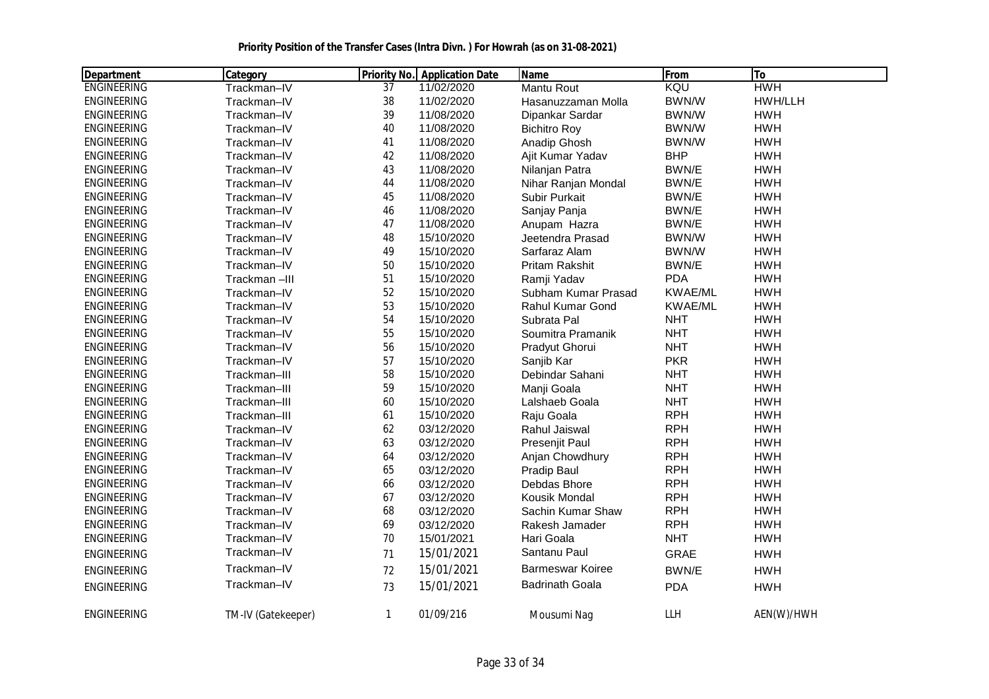| Department         | Category           |              | <b>Priority No. Application Date</b> | <b>Name</b>             | From           | To         |
|--------------------|--------------------|--------------|--------------------------------------|-------------------------|----------------|------------|
| <b>ENGINEERING</b> | Trackman-IV        | 37           | 11/02/2020                           | Mantu Rout              | KQU            | <b>HWH</b> |
| <b>ENGINEERING</b> | Trackman-IV        | 38           | 11/02/2020                           | Hasanuzzaman Molla      | <b>BWN/W</b>   | HWH/LLH    |
| <b>ENGINEERING</b> | Trackman-IV        | 39           | 11/08/2020                           | Dipankar Sardar         | BWN/W          | <b>HWH</b> |
| <b>ENGINEERING</b> | Trackman-IV        | 40           | 11/08/2020                           | <b>Bichitro Roy</b>     | BWN/W          | <b>HWH</b> |
| <b>ENGINEERING</b> | Trackman-IV        | 41           | 11/08/2020                           | Anadip Ghosh            | BWN/W          | <b>HWH</b> |
| <b>ENGINEERING</b> | Trackman-IV        | 42           | 11/08/2020                           | Ajit Kumar Yadav        | <b>BHP</b>     | <b>HWH</b> |
| <b>ENGINEERING</b> | Trackman-IV        | 43           | 11/08/2020                           | Nilanjan Patra          | BWN/E          | <b>HWH</b> |
| <b>ENGINEERING</b> | Trackman-IV        | 44           | 11/08/2020                           | Nihar Ranjan Mondal     | BWN/E          | <b>HWH</b> |
| <b>ENGINEERING</b> | Trackman-IV        | 45           | 11/08/2020                           | Subir Purkait           | BWN/E          | <b>HWH</b> |
| <b>ENGINEERING</b> | Trackman-IV        | 46           | 11/08/2020                           | Sanjay Panja            | BWN/E          | <b>HWH</b> |
| <b>ENGINEERING</b> | Trackman-IV        | 47           | 11/08/2020                           | Anupam Hazra            | BWN/E          | <b>HWH</b> |
| <b>ENGINEERING</b> | Trackman-IV        | 48           | 15/10/2020                           | Jeetendra Prasad        | BWN/W          | <b>HWH</b> |
| <b>ENGINEERING</b> | Trackman-IV        | 49           | 15/10/2020                           | Sarfaraz Alam           | BWN/W          | <b>HWH</b> |
| <b>ENGINEERING</b> | Trackman-IV        | 50           | 15/10/2020                           | Pritam Rakshit          | BWN/E          | <b>HWH</b> |
| <b>ENGINEERING</b> | Trackman-III       | 51           | 15/10/2020                           | Ramji Yadav             | <b>PDA</b>     | <b>HWH</b> |
| <b>ENGINEERING</b> | Trackman-IV        | 52           | 15/10/2020                           | Subham Kumar Prasad     | <b>KWAE/ML</b> | <b>HWH</b> |
| <b>ENGINEERING</b> | Trackman-IV        | 53           | 15/10/2020                           | Rahul Kumar Gond        | <b>KWAE/ML</b> | <b>HWH</b> |
| <b>ENGINEERING</b> | Trackman-IV        | 54           | 15/10/2020                           | Subrata Pal             | <b>NHT</b>     | <b>HWH</b> |
| <b>ENGINEERING</b> | Trackman-IV        | 55           | 15/10/2020                           | Soumitra Pramanik       | <b>NHT</b>     | <b>HWH</b> |
| <b>ENGINEERING</b> | Trackman-IV        | 56           | 15/10/2020                           | Pradyut Ghorui          | <b>NHT</b>     | <b>HWH</b> |
| <b>ENGINEERING</b> | Trackman-IV        | 57           | 15/10/2020                           | Sanjib Kar              | <b>PKR</b>     | <b>HWH</b> |
| <b>ENGINEERING</b> | Trackman-III       | 58           | 15/10/2020                           | Debindar Sahani         | <b>NHT</b>     | <b>HWH</b> |
| <b>ENGINEERING</b> | Trackman-III       | 59           | 15/10/2020                           | Manji Goala             | <b>NHT</b>     | <b>HWH</b> |
| <b>ENGINEERING</b> | Trackman-III       | 60           | 15/10/2020                           | Lalshaeb Goala          | <b>NHT</b>     | <b>HWH</b> |
| <b>ENGINEERING</b> | Trackman-III       | 61           | 15/10/2020                           | Raju Goala              | <b>RPH</b>     | <b>HWH</b> |
| <b>ENGINEERING</b> | Trackman-IV        | 62           | 03/12/2020                           | Rahul Jaiswal           | <b>RPH</b>     | <b>HWH</b> |
| <b>ENGINEERING</b> | Trackman-IV        | 63           | 03/12/2020                           | Presenjit Paul          | <b>RPH</b>     | <b>HWH</b> |
| <b>ENGINEERING</b> | Trackman-IV        | 64           | 03/12/2020                           | Anjan Chowdhury         | <b>RPH</b>     | <b>HWH</b> |
| <b>ENGINEERING</b> | Trackman-IV        | 65           | 03/12/2020                           | Pradip Baul             | <b>RPH</b>     | <b>HWH</b> |
| <b>ENGINEERING</b> | Trackman-IV        | 66           | 03/12/2020                           | Debdas Bhore            | <b>RPH</b>     | <b>HWH</b> |
| <b>ENGINEERING</b> | Trackman-IV        | 67           | 03/12/2020                           | Kousik Mondal           | <b>RPH</b>     | <b>HWH</b> |
| <b>ENGINEERING</b> | Trackman-IV        | 68           | 03/12/2020                           | Sachin Kumar Shaw       | <b>RPH</b>     | <b>HWH</b> |
| <b>ENGINEERING</b> | Trackman-IV        | 69           | 03/12/2020                           | Rakesh Jamader          | <b>RPH</b>     | <b>HWH</b> |
| <b>ENGINEERING</b> | Trackman-IV        | 70           | 15/01/2021                           | Hari Goala              | <b>NHT</b>     | <b>HWH</b> |
| <b>ENGINEERING</b> | Trackman-IV        | 71           | 15/01/2021                           | Santanu Paul            | <b>GRAE</b>    | <b>HWH</b> |
| <b>ENGINEERING</b> | Trackman-IV        | 72           | 15/01/2021                           | <b>Barmeswar Koiree</b> | BWN/E          | <b>HWH</b> |
| <b>ENGINEERING</b> | Trackman-IV        | 73           | 15/01/2021                           | <b>Badrinath Goala</b>  | <b>PDA</b>     | <b>HWH</b> |
| <b>ENGINEERING</b> | TM-IV (Gatekeeper) | $\mathbf{1}$ | 01/09/216                            | Mousumi Nag             | LLH            | AEN(W)/HWH |